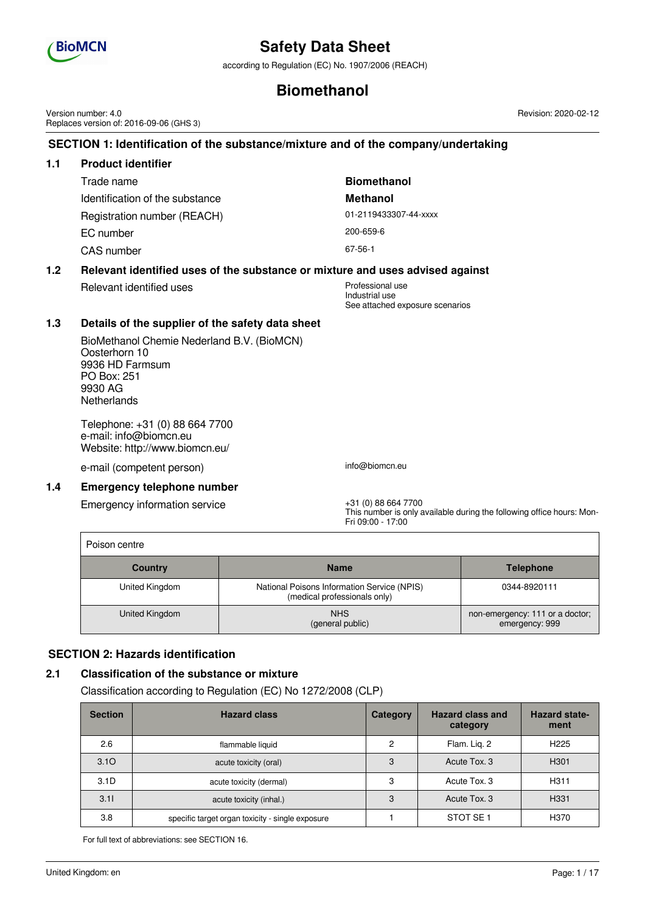

according to Regulation (EC) No. 1907/2006 (REACH)

## **Biomethanol**

**SECTION 1: Identification of the substance/mixture and of the company/undertaking 1.1 Product identifier** Trade name **Biomethanol** Identification of the substance **Methanol** Registration number (REACH) 01-2119433307-44-xxxx EC number 200-659-6 CAS number 67-56-1 **1.2 Relevant identified uses of the substance or mixture and uses advised against** Relevant identified uses **Professional** use Industrial use See attached exposure scenarios **1.3 Details of the supplier of the safety data sheet** BioMethanol Chemie Nederland B.V. (BioMCN) Oosterhorn 10 9936 HD Farmsum PO Box: 251 9930 AG **Netherlands** Telephone: +31 (0) 88 664 7700 e-mail: info@biomcn.eu Website: http://www.biomcn.eu/ e-mail (competent person) info@biomcn.eu **1.4 Emergency telephone number** Emergency information service  $+31$  (0) 88 664 7700 Fri 09:00 - 17:00 Poison centre **Country Name Telephone** United Kingdom | National Poisons Information Service (NPIS) (medical professionals only) 0344-8920111 United Kingdom NHS (general public) non-emergency: 111 or a doctor; emergency: 999 Version number: 4.0 Replaces version of: 2016-09-06 (GHS 3)

### **SECTION 2: Hazards identification**

#### **2.1 Classification of the substance or mixture**

Classification according to Regulation (EC) No 1272/2008 (CLP)

| <b>Section</b> | <b>Hazard class</b>                              | Category       | <b>Hazard class and</b><br>category | <b>Hazard state-</b><br>ment |
|----------------|--------------------------------------------------|----------------|-------------------------------------|------------------------------|
| 2.6            | flammable liquid                                 | $\overline{c}$ | Flam. Lig. 2                        | H <sub>225</sub>             |
| 3.10           | acute toxicity (oral)                            | 3              | Acute Tox, 3                        | H <sub>301</sub>             |
| 3.1D           | acute toxicity (dermal)                          | 3              | Acute Tox, 3                        | H <sub>311</sub>             |
| 3.11           | acute toxicity (inhal.)                          | 3              | Acute Tox, 3                        | H <sub>331</sub>             |
| 3.8            | specific target organ toxicity - single exposure |                | STOT SE <sub>1</sub>                | H370                         |

For full text of abbreviations: see SECTION 16.

Revision: 2020-02-12

This number is only available during the following office hours: Mon-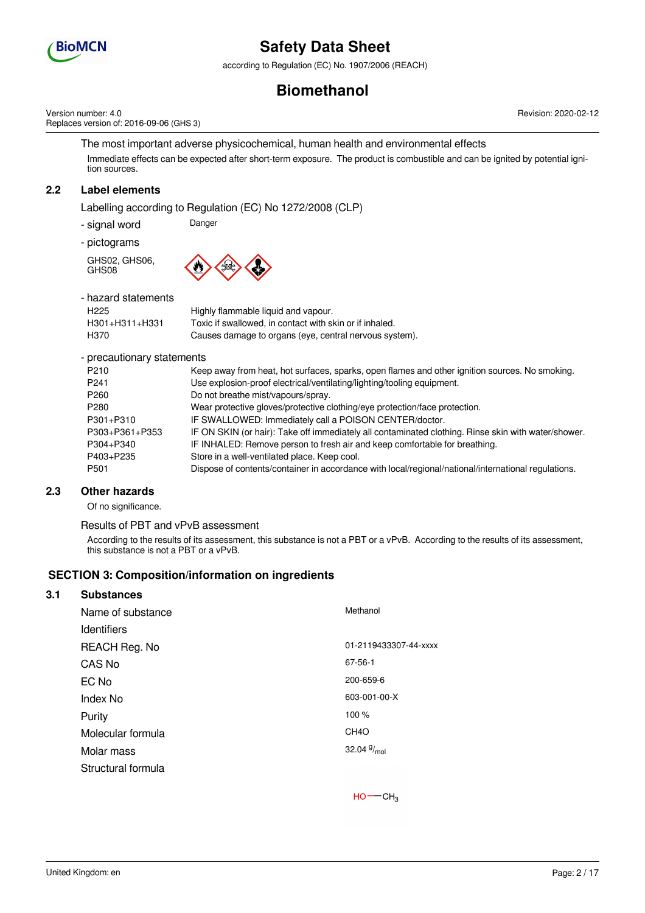

according to Regulation (EC) No. 1907/2006 (REACH)

## **Biomethanol**

Version number: 4.0 Replaces version of: 2016-09-06 (GHS 3) Revision: 2020-02-12

The most important adverse physicochemical, human health and environmental effects Immediate effects can be expected after short-term exposure. The product is combustible and can be ignited by potential ignition sources.

## **2.2 Label elements**

Labelling according to Regulation (EC) No 1272/2008 (CLP)

- signal word Danger

- pictograms

GHS02, GHS06, GHS08



- hazard statements

| παζαι ο διαιθμιθμιδ |                                                         |
|---------------------|---------------------------------------------------------|
| H <sub>225</sub>    | Highly flammable liquid and vapour.                     |
| H301+H311+H331      | Toxic if swallowed, in contact with skin or if inhaled. |
| H370                | Causes damage to organs (eye, central nervous system).  |
|                     |                                                         |

- precautionary statements

| P <sub>210</sub> | Keep away from heat, hot surfaces, sparks, open flames and other ignition sources. No smoking.      |
|------------------|-----------------------------------------------------------------------------------------------------|
| P <sub>241</sub> | Use explosion-proof electrical/ventilating/lighting/tooling equipment.                              |
| P <sub>260</sub> | Do not breathe mist/vapours/spray.                                                                  |
| P <sub>280</sub> | Wear protective gloves/protective clothing/eye protection/face protection.                          |
| P301+P310        | IF SWALLOWED: Immediately call a POISON CENTER/doctor.                                              |
| P303+P361+P353   | IF ON SKIN (or hair): Take off immediately all contaminated clothing. Rinse skin with water/shower. |
| P304+P340        | IF INHALED: Remove person to fresh air and keep comfortable for breathing.                          |
| P403+P235        | Store in a well-ventilated place. Keep cool.                                                        |
| P <sub>501</sub> | Dispose of contents/container in accordance with local/regional/national/international regulations. |
|                  |                                                                                                     |

### **2.3 Other hazards**

Of no significance.

#### Results of PBT and vPvB assessment

According to the results of its assessment, this substance is not a PBT or a vPvB. According to the results of its assessment, this substance is not a PBT or a vPvB.

### **SECTION 3: Composition/information on ingredients**

## **3.1 Substances** Name of substance Methanol **Identifiers** REACH Reg. No 01-2119433307-44-xxxx CAS No 67-56-1 EC No 200-659-6 Index No 603-001-00-X Purity 100 % Molecular formula CH4O Molar mass 32.04  $9/_{mol}$ Structural formula

 $HO$  ––  $CH<sub>3</sub>$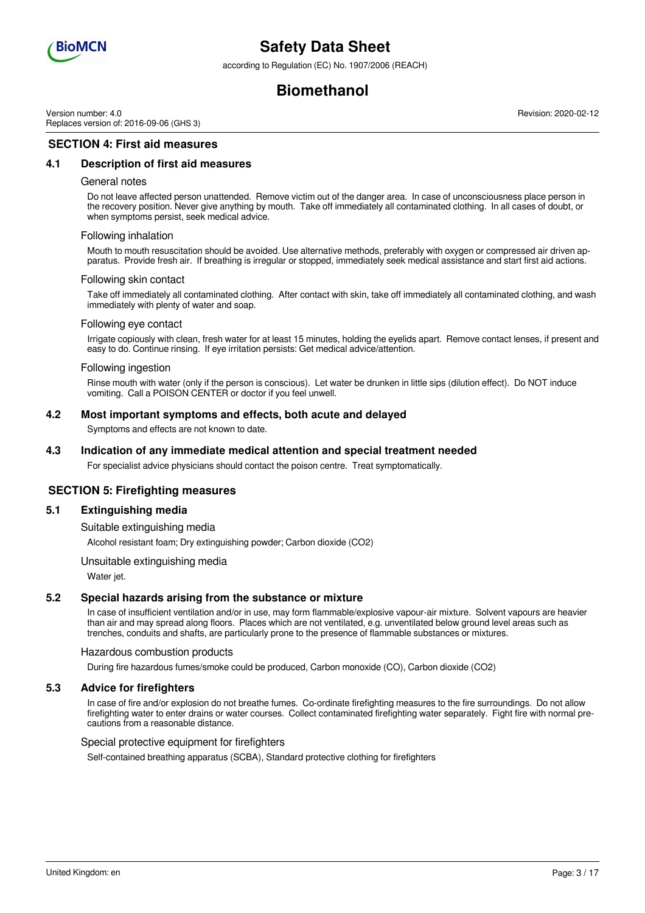

according to Regulation (EC) No. 1907/2006 (REACH)

## **Biomethanol**

Version number: 4.0 Replaces version of: 2016-09-06 (GHS 3) Revision: 2020-02-12

### **SECTION 4: First aid measures**

#### **4.1 Description of first aid measures**

#### General notes

Do not leave affected person unattended. Remove victim out of the danger area. In case of unconsciousness place person in the recovery position. Never give anything by mouth. Take off immediately all contaminated clothing. In all cases of doubt, or when symptoms persist, seek medical advice.

#### Following inhalation

Mouth to mouth resuscitation should be avoided. Use alternative methods, preferably with oxygen or compressed air driven apparatus. Provide fresh air. If breathing is irregular or stopped, immediately seek medical assistance and start first aid actions.

#### Following skin contact

Take off immediately all contaminated clothing. After contact with skin, take off immediately all contaminated clothing, and wash immediately with plenty of water and soap.

#### Following eye contact

Irrigate copiously with clean, fresh water for at least 15 minutes, holding the eyelids apart. Remove contact lenses, if present and easy to do. Continue rinsing. If eye irritation persists: Get medical advice/attention.

#### Following ingestion

Rinse mouth with water (only if the person is conscious). Let water be drunken in little sips (dilution effect). Do NOT induce vomiting. Call a POISON CENTER or doctor if you feel unwell.

#### **4.2 Most important symptoms and effects, both acute and delayed**

Symptoms and effects are not known to date.

#### **4.3 Indication of any immediate medical attention and special treatment needed**

For specialist advice physicians should contact the poison centre. Treat symptomatically.

#### **SECTION 5: Firefighting measures**

#### **5.1 Extinguishing media**

Suitable extinguishing media

Alcohol resistant foam; Dry extinguishing powder; Carbon dioxide (CO2)

Unsuitable extinguishing media

Water jet.

#### **5.2 Special hazards arising from the substance or mixture**

In case of insufficient ventilation and/or in use, may form flammable/explosive vapour-air mixture. Solvent vapours are heavier than air and may spread along floors. Places which are not ventilated, e.g. unventilated below ground level areas such as trenches, conduits and shafts, are particularly prone to the presence of flammable substances or mixtures.

#### Hazardous combustion products

During fire hazardous fumes/smoke could be produced, Carbon monoxide (CO), Carbon dioxide (CO2)

#### **5.3 Advice for firefighters**

In case of fire and/or explosion do not breathe fumes. Co-ordinate firefighting measures to the fire surroundings. Do not allow firefighting water to enter drains or water courses. Collect contaminated firefighting water separately. Fight fire with normal precautions from a reasonable distance.

#### Special protective equipment for firefighters

Self-contained breathing apparatus (SCBA), Standard protective clothing for firefighters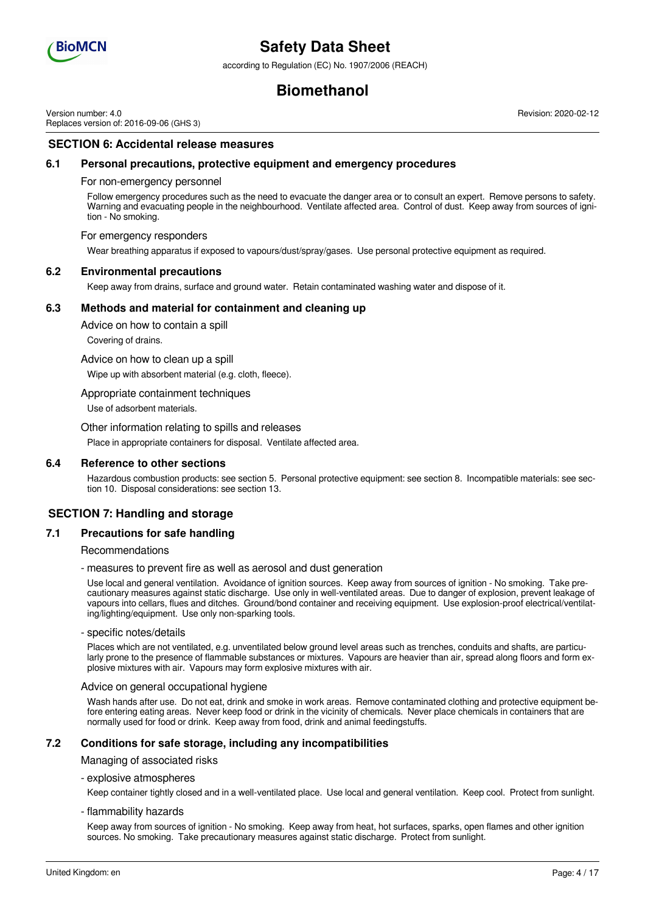

according to Regulation (EC) No. 1907/2006 (REACH)

## **Biomethanol**

Version number: 4.0 Replaces version of: 2016-09-06 (GHS 3) Revision: 2020-02-12

### **SECTION 6: Accidental release measures**

#### **6.1 Personal precautions, protective equipment and emergency procedures**

#### For non-emergency personnel

Follow emergency procedures such as the need to evacuate the danger area or to consult an expert. Remove persons to safety. Warning and evacuating people in the neighbourhood. Ventilate affected area. Control of dust. Keep away from sources of ignition - No smoking.

#### For emergency responders

Wear breathing apparatus if exposed to vapours/dust/spray/gases. Use personal protective equipment as required.

#### **6.2 Environmental precautions**

Keep away from drains, surface and ground water. Retain contaminated washing water and dispose of it.

#### **6.3 Methods and material for containment and cleaning up**

Advice on how to contain a spill

Covering of drains.

Advice on how to clean up a spill Wipe up with absorbent material (e.g. cloth, fleece).

Appropriate containment techniques

Use of adsorbent materials.

Other information relating to spills and releases

Place in appropriate containers for disposal. Ventilate affected area.

#### **6.4 Reference to other sections**

Hazardous combustion products: see section 5. Personal protective equipment: see section 8. Incompatible materials: see section 10. Disposal considerations: see section 13.

### **SECTION 7: Handling and storage**

#### **7.1 Precautions for safe handling**

Recommendations

- measures to prevent fire as well as aerosol and dust generation

Use local and general ventilation. Avoidance of ignition sources. Keep away from sources of ignition - No smoking. Take precautionary measures against static discharge. Use only in well-ventilated areas. Due to danger of explosion, prevent leakage of vapours into cellars, flues and ditches. Ground/bond container and receiving equipment. Use explosion-proof electrical/ventilating/lighting/equipment. Use only non-sparking tools.

#### - specific notes/details

Places which are not ventilated, e.g. unventilated below ground level areas such as trenches, conduits and shafts, are particularly prone to the presence of flammable substances or mixtures. Vapours are heavier than air, spread along floors and form explosive mixtures with air. Vapours may form explosive mixtures with air.

#### Advice on general occupational hygiene

Wash hands after use. Do not eat, drink and smoke in work areas. Remove contaminated clothing and protective equipment before entering eating areas. Never keep food or drink in the vicinity of chemicals. Never place chemicals in containers that are normally used for food or drink. Keep away from food, drink and animal feedingstuffs.

#### **7.2 Conditions for safe storage, including any incompatibilities**

Managing of associated risks

#### - explosive atmospheres

Keep container tightly closed and in a well-ventilated place. Use local and general ventilation. Keep cool. Protect from sunlight.

#### - flammability hazards

Keep away from sources of ignition - No smoking. Keep away from heat, hot surfaces, sparks, open flames and other ignition sources. No smoking. Take precautionary measures against static discharge. Protect from sunlight.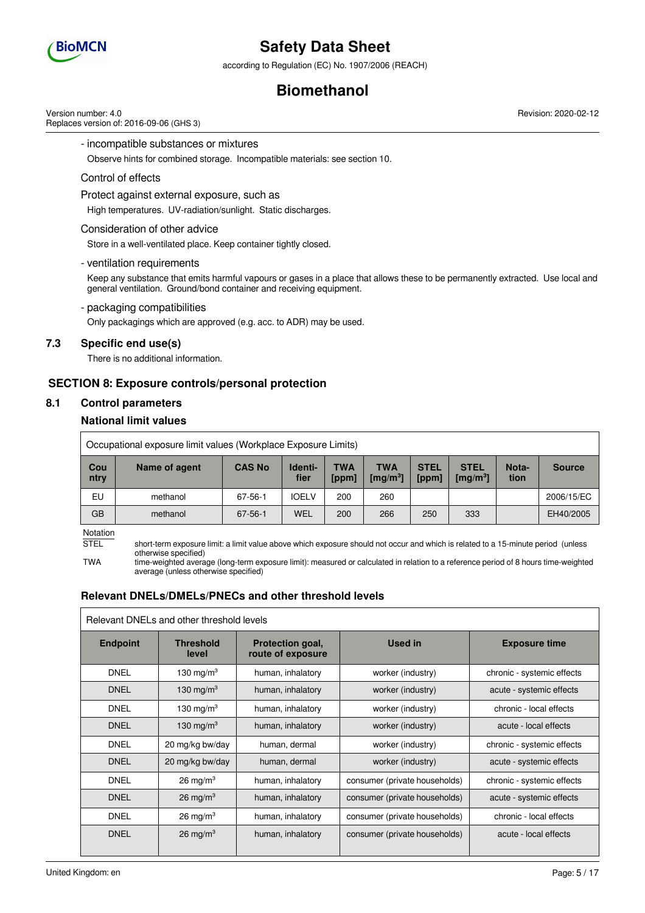

according to Regulation (EC) No. 1907/2006 (REACH)

## **Biomethanol**

Version number: 4.0 Replaces version of: 2016-09-06 (GHS 3) Revision: 2020-02-12

- incompatible substances or mixtures

Observe hints for combined storage. Incompatible materials: see section 10.

#### Control of effects

Protect against external exposure, such as

High temperatures. UV-radiation/sunlight. Static discharges.

#### Consideration of other advice

Store in a well-ventilated place. Keep container tightly closed.

- ventilation requirements

Keep any substance that emits harmful vapours or gases in a place that allows these to be permanently extracted. Use local and general ventilation. Ground/bond container and receiving equipment.

#### - packaging compatibilities

Only packagings which are approved (e.g. acc. to ADR) may be used.

### **7.3 Specific end use(s)**

There is no additional information.

### **SECTION 8: Exposure controls/personal protection**

## **8.1 Control parameters**

### **National limit values**

|             | Occupational exposure limit values (Workplace Exposure Limits) |               |                 |                     |                            |                      |                                    |               |               |
|-------------|----------------------------------------------------------------|---------------|-----------------|---------------------|----------------------------|----------------------|------------------------------------|---------------|---------------|
| Cou<br>ntry | Name of agent                                                  | <b>CAS No</b> | Identi-<br>fier | <b>TWA</b><br>[ppm] | TWA<br>$\mathrm{[mq/m^3]}$ | <b>STEL</b><br>[ppm] | <b>STEL</b><br>$\mathrm{[mq/m^3]}$ | Nota-<br>tion | <b>Source</b> |
| EU          | methanol                                                       | 67-56-1       | <b>IOELV</b>    | 200                 | 260                        |                      |                                    |               | 2006/15/EC    |
| GB          | methanol                                                       | 67-56-1       | WEL             | 200                 | 266                        | 250                  | 333                                |               | EH40/2005     |

Notation

STEL short-term exposure limit: a limit value above which exposure should not occur and which is related to a 15-minute period (unless otherwise specified)

TWA time-weighted average (long-term exposure limit): measured or calculated in relation to a reference period of 8 hours time-weighted average (unless otherwise specified)

### **Relevant DNELs/DMELs/PNECs and other threshold levels**

|                 | Relevant DNELs and other threshold levels |                                       |                               |                            |
|-----------------|-------------------------------------------|---------------------------------------|-------------------------------|----------------------------|
| <b>Endpoint</b> | <b>Threshold</b><br>level                 | Protection goal,<br>route of exposure | <b>Used in</b>                | <b>Exposure time</b>       |
| <b>DNEL</b>     | 130 mg/m $3$                              | human, inhalatory                     | worker (industry)             | chronic - systemic effects |
| <b>DNEL</b>     | 130 mg/m $3$                              | human, inhalatory                     | worker (industry)             | acute - systemic effects   |
| <b>DNEL</b>     | 130 mg/m $3$                              | human, inhalatory                     | worker (industry)             | chronic - local effects    |
| <b>DNEL</b>     | 130 mg/m <sup>3</sup>                     | human, inhalatory                     | worker (industry)             | acute - local effects      |
| <b>DNEL</b>     | 20 mg/kg bw/day                           | human, dermal                         | worker (industry)             | chronic - systemic effects |
| <b>DNEL</b>     | 20 mg/kg bw/day                           | human, dermal                         | worker (industry)             | acute - systemic effects   |
| <b>DNEL</b>     | $26 \text{ mg/m}^3$                       | human, inhalatory                     | consumer (private households) | chronic - systemic effects |
| <b>DNEL</b>     | $26 \text{ mg/m}^3$                       | human, inhalatory                     | consumer (private households) | acute - systemic effects   |
| <b>DNEL</b>     | $26 \text{ mg/m}^3$                       | human, inhalatory                     | consumer (private households) | chronic - local effects    |
| <b>DNEL</b>     | $26 \text{ mg/m}^3$                       | human, inhalatory                     | consumer (private households) | acute - local effects      |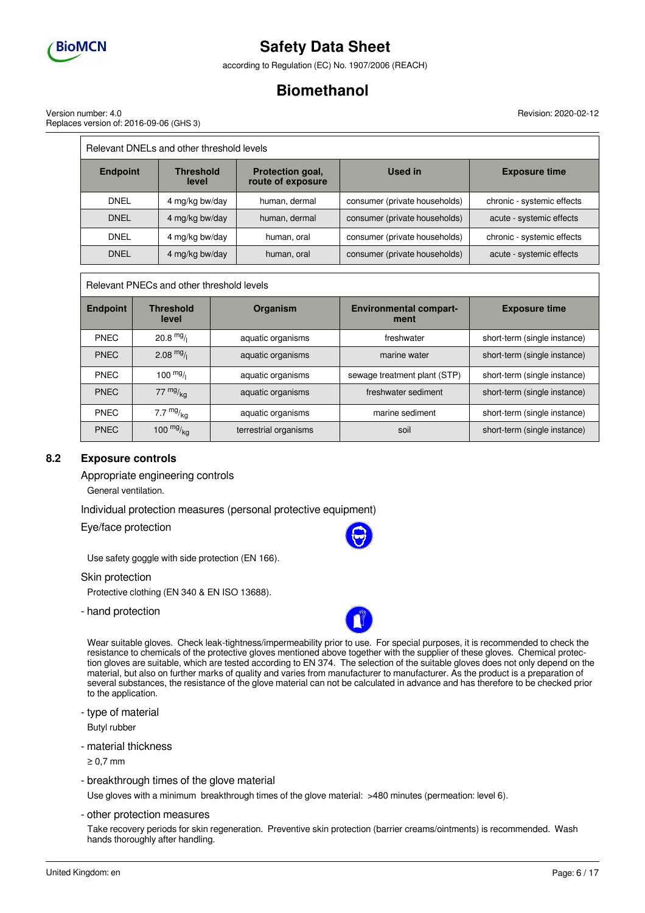

according to Regulation (EC) No. 1907/2006 (REACH)

## **Biomethanol**

Revision: 2020-02-12

| Version number: 4.0                     |  |
|-----------------------------------------|--|
| Replaces version of: 2016-09-06 (GHS 3) |  |

|                 | Relevant DNELs and other threshold levels |                                       |                               |                            |
|-----------------|-------------------------------------------|---------------------------------------|-------------------------------|----------------------------|
| <b>Endpoint</b> | <b>Threshold</b><br>level                 | Protection goal,<br>route of exposure | Used in                       | <b>Exposure time</b>       |
| <b>DNEL</b>     | 4 mg/kg bw/day                            | human, dermal                         | consumer (private households) | chronic - systemic effects |
| <b>DNEL</b>     | 4 mg/kg bw/day                            | human, dermal                         | consumer (private households) | acute - systemic effects   |
| <b>DNEL</b>     | 4 mg/kg bw/day                            | human, oral                           | consumer (private households) | chronic - systemic effects |
| <b>DNEL</b>     | 4 mg/kg bw/day                            | human, oral                           | consumer (private households) | acute - systemic effects   |

Relevant PNECs and other threshold levels

| <b>Endpoint</b> | <b>Threshold</b><br>level | <b>Organism</b>       | <b>Environmental compart-</b><br>ment | <b>Exposure time</b>         |
|-----------------|---------------------------|-----------------------|---------------------------------------|------------------------------|
| <b>PNEC</b>     | $20.8 \text{ mg}$         | aquatic organisms     | freshwater                            | short-term (single instance) |
| <b>PNEC</b>     | $2.08 \frac{mg}{l}$       | aquatic organisms     | marine water                          | short-term (single instance) |
| <b>PNEC</b>     | $100 \frac{mg}{l}$        | aquatic organisms     | sewage treatment plant (STP)          | short-term (single instance) |
| <b>PNEC</b>     | $77 \frac{mg}{ka}$        | aquatic organisms     | freshwater sediment                   | short-term (single instance) |
| <b>PNEC</b>     | 7.7 $mg/kq$               | aquatic organisms     | marine sediment                       | short-term (single instance) |
| <b>PNEC</b>     | 100 $mg/kq$               | terrestrial organisms | soil                                  | short-term (single instance) |

### **8.2 Exposure controls**

Appropriate engineering controls

General ventilation.

Individual protection measures (personal protective equipment)

Eye/face protection

Use safety goggle with side protection (EN 166).

#### Skin protection

Protective clothing (EN 340 & EN ISO 13688).

- hand protection

Wear suitable gloves. Check leak-tightness/impermeability prior to use. For special purposes, it is recommended to check the resistance to chemicals of the protective gloves mentioned above together with the supplier of these gloves. Chemical protection gloves are suitable, which are tested according to EN 374. The selection of the suitable gloves does not only depend on the material, but also on further marks of quality and varies from manufacturer to manufacturer. As the product is a preparation of several substances, the resistance of the glove material can not be calculated in advance and has therefore to be checked prior to the application.

- type of material

Butyl rubber

- material thickness

≥ 0,7 mm

- breakthrough times of the glove material

Use gloves with a minimum breakthrough times of the glove material: >480 minutes (permeation: level 6).

- other protection measures

Take recovery periods for skin regeneration. Preventive skin protection (barrier creams/ointments) is recommended. Wash hands thoroughly after handling.

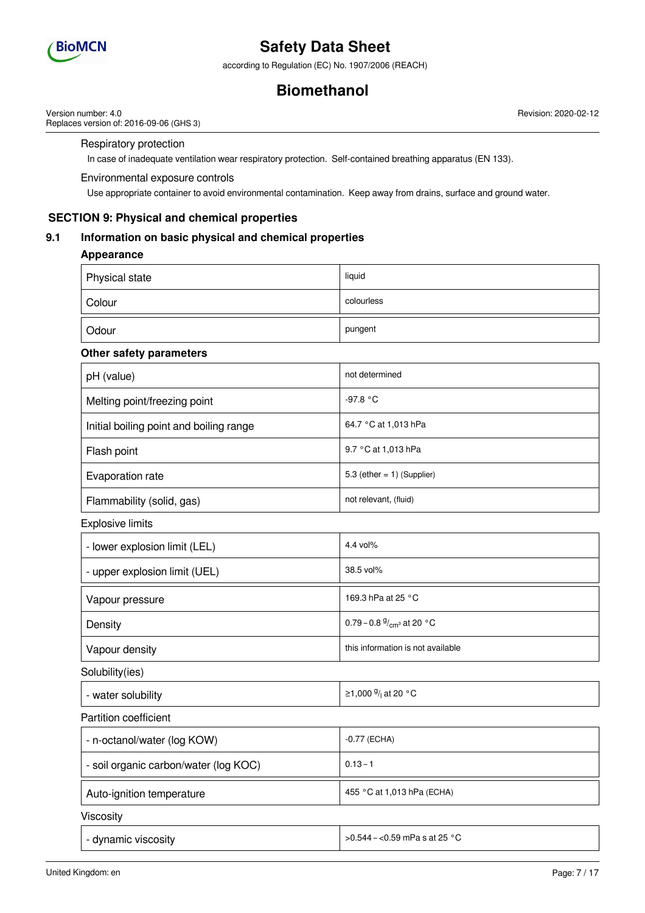

according to Regulation (EC) No. 1907/2006 (REACH)

## **Biomethanol**

Revision: 2020-02-12

Version number: 4.0 Replaces version of: 2016-09-06 (GHS 3)

Respiratory protection

In case of inadequate ventilation wear respiratory protection. Self-contained breathing apparatus (EN 133).

#### Environmental exposure controls

Use appropriate container to avoid environmental contamination. Keep away from drains, surface and ground water.

## **SECTION 9: Physical and chemical properties**

### **9.1 Information on basic physical and chemical properties**

### **Appearance**

| Physical state | liquid     |
|----------------|------------|
| Colour         | colourless |
| Odour          | pungent    |

### **Other safety parameters**

| pH (value)                              | not determined                |
|-----------------------------------------|-------------------------------|
| Melting point/freezing point            | -97.8 °C                      |
| Initial boiling point and boiling range | 64.7 °C at 1,013 hPa          |
| Flash point                             | 9.7 °C at 1,013 hPa           |
| Evaporation rate                        | 5.3 (ether $= 1$ ) (Supplier) |
| Flammability (solid, gas)               | not relevant, (fluid)         |

Explosive limits

| - lower explosion limit (LEL) | 4.4 vol%                           |
|-------------------------------|------------------------------------|
| - upper explosion limit (UEL) | 38.5 vol%                          |
| Vapour pressure               | 169.3 hPa at 25 °C                 |
| Density                       | 0.79 – 0.8 $\frac{9}{cm}$ at 20 °C |
| Vapour density                | this information is not available  |
| $:$ oluhility/ioc $)$         |                                    |

Solubility(ies)

| ≥1,000 <sup>g</sup> / <sub>i</sub> at 20 °C<br>- water solubility |  |
|-------------------------------------------------------------------|--|
|-------------------------------------------------------------------|--|

Partition coefficient

| - n-octanol/water (log KOW)           | -0.77 (ECHA)               |
|---------------------------------------|----------------------------|
| - soil organic carbon/water (log KOC) | $0.13 - 1$                 |
| Auto-ignition temperature             | 455 °C at 1,013 hPa (ECHA) |
| Viscosity                             |                            |

- dynamic viscosity >0.544 – <0.59 mPa s at 25 °C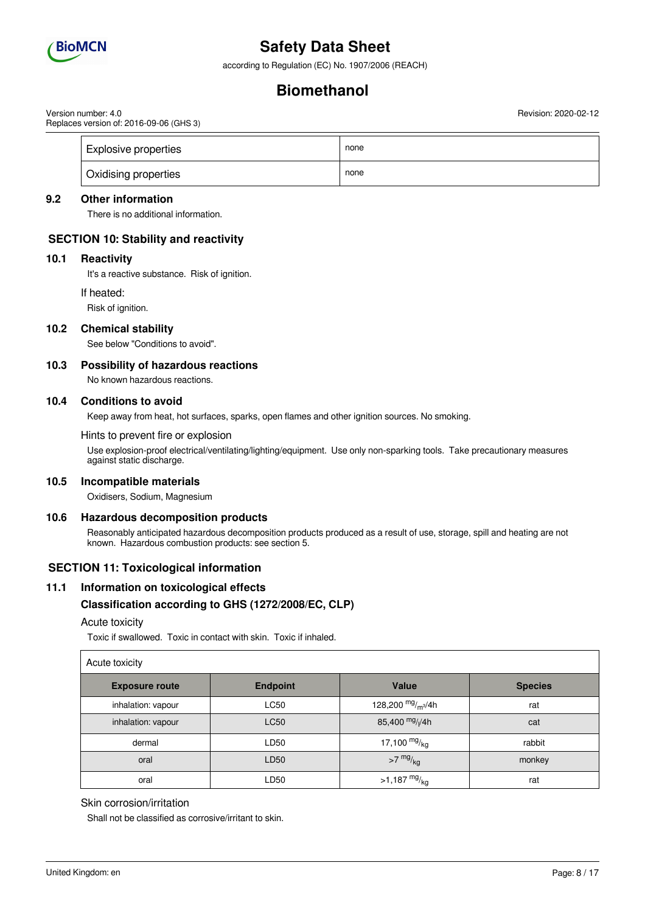

according to Regulation (EC) No. 1907/2006 (REACH)

## **Biomethanol**

Version number: 4.0 Replaces version of: 2016-09-06 (GHS 3) Revision: 2020-02-12

| <b>Explosive properties</b> | none |
|-----------------------------|------|
| Oxidising properties        | none |

### **9.2 Other information**

There is no additional information.

### **SECTION 10: Stability and reactivity**

#### **10.1 Reactivity**

It's a reactive substance. Risk of ignition.

If heated:

Risk of ignition.

#### **10.2 Chemical stability**

See below "Conditions to avoid".

#### **10.3 Possibility of hazardous reactions**

No known hazardous reactions.

#### **10.4 Conditions to avoid**

Keep away from heat, hot surfaces, sparks, open flames and other ignition sources. No smoking.

Hints to prevent fire or explosion

Use explosion-proof electrical/ventilating/lighting/equipment. Use only non-sparking tools. Take precautionary measures against static discharge.

#### **10.5 Incompatible materials**

Oxidisers, Sodium, Magnesium

#### **10.6 Hazardous decomposition products**

Reasonably anticipated hazardous decomposition products produced as a result of use, storage, spill and heating are not known. Hazardous combustion products: see section 5.

### **SECTION 11: Toxicological information**

#### **11.1 Information on toxicological effects**

#### **Classification according to GHS (1272/2008/EC, CLP)**

#### Acute toxicity

Toxic if swallowed. Toxic in contact with skin. Toxic if inhaled.

| Acute toxicity        |                 |                             |                |
|-----------------------|-----------------|-----------------------------|----------------|
| <b>Exposure route</b> | <b>Endpoint</b> | Value                       | <b>Species</b> |
| inhalation: vapour    | <b>LC50</b>     | 128,200 $mg/m3/4h$          | rat            |
| inhalation: vapour    | <b>LC50</b>     | 85,400 mg/ <sub>l</sub> /4h | cat            |
| dermal                | LD50            | 17,100 $mg/kg$              | rabbit         |
| oral                  | LD50            | $>7$ mg/ $_{\text{kg}}$     | monkey         |
| oral                  | LD50            | $>1,187 \frac{mg}{kg}$      | rat            |

#### Skin corrosion/irritation

Shall not be classified as corrosive/irritant to skin.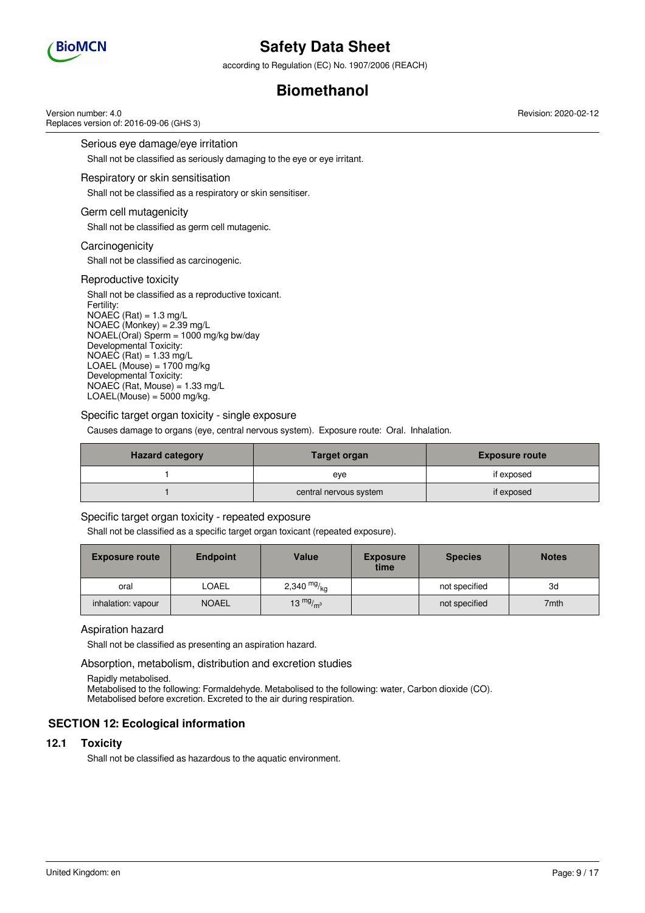

according to Regulation (EC) No. 1907/2006 (REACH)

## **Biomethanol**

Version number: 4.0 Replaces version of: 2016-09-06 (GHS 3)

Serious eye damage/eye irritation

Shall not be classified as seriously damaging to the eye or eye irritant.

#### Respiratory or skin sensitisation

Shall not be classified as a respiratory or skin sensitiser.

#### Germ cell mutagenicity

Shall not be classified as germ cell mutagenic.

#### **Carcinogenicity**

Shall not be classified as carcinogenic.

#### Reproductive toxicity

Shall not be classified as a reproductive toxicant. Fertility:  $NOAEC (Rat) = 1.3 mg/L$  $NOAEC (Monkey) = 2.39 mg/L$ NOAEL(Oral) Sperm = 1000 mg/kg bw/day Developmental Toxicity:  $NOAEC (Rat) = 1.33 mg/L$ LOAEL (Mouse) =  $1700$  mg/kg Developmental Toxicity: NOAEC (Rat, Mouse) =  $1.33 \text{ mg/L}$  $LOAEL(\dot{M}ouse) = 5000$  mg/kg.

#### Specific target organ toxicity - single exposure

Causes damage to organs (eye, central nervous system). Exposure route: Oral. Inhalation.

| <b>Hazard category</b> | Target organ           | <b>Exposure route</b> |
|------------------------|------------------------|-----------------------|
|                        | eve                    | if exposed            |
|                        | central nervous system | if exposed            |

### Specific target organ toxicity - repeated exposure

Shall not be classified as a specific target organ toxicant (repeated exposure).

| <b>Exposure route</b> | <b>Endpoint</b> | <b>Value</b>  | <b>Exposure</b><br>time | <b>Species</b> | <b>Notes</b> |
|-----------------------|-----------------|---------------|-------------------------|----------------|--------------|
| oral                  | <b>LOAEL</b>    | 2,340 $mg/kg$ |                         | not specified  | 3d           |
| inhalation: vapour    | <b>NOAEL</b>    | 13 $mg/m3$    |                         | not specified  | 7mth         |

#### Aspiration hazard

Shall not be classified as presenting an aspiration hazard.

Absorption, metabolism, distribution and excretion studies

Rapidly metabolised.

Metabolised to the following: Formaldehyde. Metabolised to the following: water, Carbon dioxide (CO). Metabolised before excretion. Excreted to the air during respiration.

### **SECTION 12: Ecological information**

#### **12.1 Toxicity**

Shall not be classified as hazardous to the aquatic environment.

Revision: 2020-02-12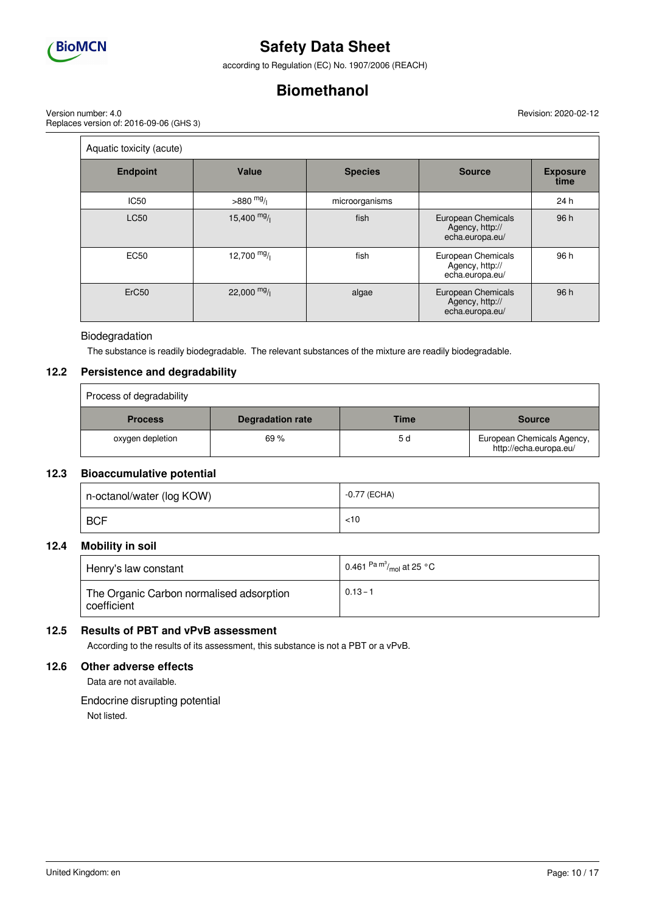

according to Regulation (EC) No. 1907/2006 (REACH)

## **Biomethanol**

Version number: 4.0 Replaces version of: 2016-09-06 (GHS 3) Revision: 2020-02-12

| Aquatic toxicity (acute) |              |                |                                                          |                         |
|--------------------------|--------------|----------------|----------------------------------------------------------|-------------------------|
| <b>Endpoint</b>          | Value        | <b>Species</b> | <b>Source</b>                                            | <b>Exposure</b><br>time |
| <b>IC50</b>              | $>880$ mg/   | microorganisms |                                                          | 24 h                    |
| <b>LC50</b>              | 15,400 $mg/$ | fish           | European Chemicals<br>Agency, http://<br>echa.europa.eu/ | 96 h                    |
| <b>EC50</b>              | 12,700 $mg/$ | fish           | European Chemicals<br>Agency, http://<br>echa.europa.eu/ | 96 h                    |
| ErC <sub>50</sub>        | $22,000$ mg/ | algae          | European Chemicals<br>Agency, http://<br>echa.europa.eu/ | 96 h                    |

### Biodegradation

The substance is readily biodegradable. The relevant substances of the mixture are readily biodegradable.

### **12.2 Persistence and degradability**

| Process of degradability |                         |      |                                                      |
|--------------------------|-------------------------|------|------------------------------------------------------|
| <b>Process</b>           | <b>Degradation rate</b> | Time | <b>Source</b>                                        |
| oxygen depletion         | 69%                     | 5 d  | European Chemicals Agency,<br>http://echa.europa.eu/ |

### **12.3 Bioaccumulative potential**

| n-octanol/water (log KOW) | -0.77 (ECHA) |
|---------------------------|--------------|
| <b>BCF</b>                | < 10         |

### **12.4 Mobility in soil**

| Henry's law constant                                    | 0.461 $\mathrm{^{Pa}}$ $\mathrm{^{m^3}\!}/_{\mathrm{mol}}$ at 25 $\mathrm{^{\circ}C}$ |
|---------------------------------------------------------|---------------------------------------------------------------------------------------|
| The Organic Carbon normalised adsorption<br>coefficient | $0.13 - 1$                                                                            |

### **12.5 Results of PBT and vPvB assessment**

According to the results of its assessment, this substance is not a PBT or a vPvB.

#### **12.6 Other adverse effects**

Data are not available.

Endocrine disrupting potential Not listed.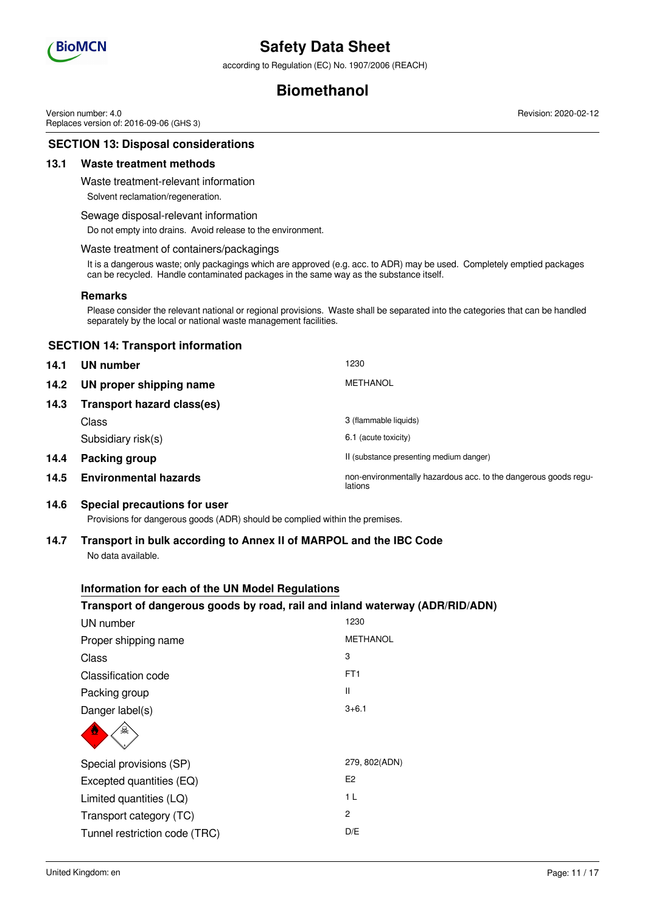

according to Regulation (EC) No. 1907/2006 (REACH)

## **Biomethanol**

Version number: 4.0 Replaces version of: 2016-09-06 (GHS 3) Revision: 2020-02-12

### **SECTION 13: Disposal considerations**

#### **13.1 Waste treatment methods**

Waste treatment-relevant information

Solvent reclamation/regeneration.

#### Sewage disposal-relevant information

Do not empty into drains. Avoid release to the environment.

#### Waste treatment of containers/packagings

It is a dangerous waste; only packagings which are approved (e.g. acc. to ADR) may be used. Completely emptied packages can be recycled. Handle contaminated packages in the same way as the substance itself.

#### **Remarks**

Please consider the relevant national or regional provisions. Waste shall be separated into the categories that can be handled separately by the local or national waste management facilities.

#### **SECTION 14: Transport information**

| 14.1 | UN number                         | 1230                                                                       |
|------|-----------------------------------|----------------------------------------------------------------------------|
| 14.2 | UN proper shipping name           | <b>METHANOL</b>                                                            |
| 14.3 | <b>Transport hazard class(es)</b> |                                                                            |
|      | Class                             | 3 (flammable liquids)                                                      |
|      | Subsidiary risk(s)                | 6.1 (acute toxicity)                                                       |
| 14.4 | Packing group                     | II (substance presenting medium danger)                                    |
| 14.5 | <b>Environmental hazards</b>      | non-environmentally hazardous acc. to the dangerous goods regu-<br>lations |

#### **14.6 Special precautions for user**

Provisions for dangerous goods (ADR) should be complied within the premises.

#### **14.7 Transport in bulk according to Annex II of MARPOL and the IBC Code** No data available.

## **Information for each of the UN Model Regulations**

#### **Transport of dangerous goods by road, rail and inland waterway (ADR/RID/ADN)**

| UN number                     | 1230            |
|-------------------------------|-----------------|
| Proper shipping name          | <b>METHANOL</b> |
| Class                         | 3               |
| Classification code           | FT <sub>1</sub> |
| Packing group                 | Ш               |
| Danger label(s)               | $3 + 6.1$       |
| 오                             |                 |
| Special provisions (SP)       | 279, 802(ADN)   |
| Excepted quantities (EQ)      | E <sub>2</sub>  |
| Limited quantities (LQ)       | 1 <sub>L</sub>  |
| Transport category (TC)       | $\mathcal{P}$   |
| Tunnel restriction code (TRC) | D/E             |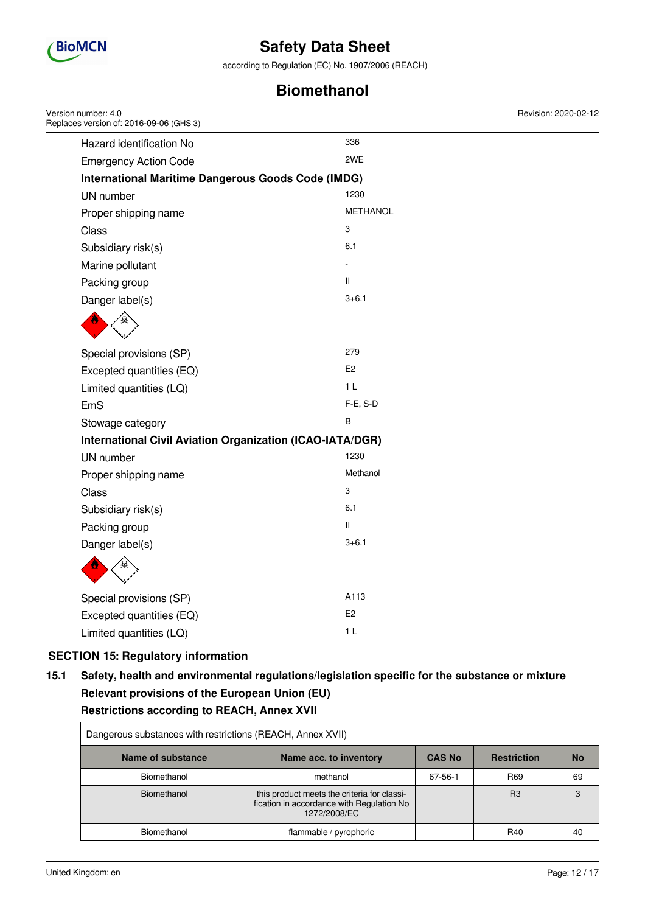

according to Regulation (EC) No. 1907/2006 (REACH)

## **Biomethanol**

| Version number: 4.0<br>Replaces version of: 2016-09-06 (GHS 3)   |                 | Revision: 2020-02-12 |
|------------------------------------------------------------------|-----------------|----------------------|
| Hazard identification No                                         | 336             |                      |
| <b>Emergency Action Code</b>                                     | 2WE             |                      |
| <b>International Maritime Dangerous Goods Code (IMDG)</b>        |                 |                      |
| UN number                                                        | 1230            |                      |
| Proper shipping name                                             | <b>METHANOL</b> |                      |
| <b>Class</b>                                                     | 3               |                      |
| Subsidiary risk(s)                                               | 6.1             |                      |
| Marine pollutant                                                 |                 |                      |
| Packing group                                                    | $\mathbf{H}$    |                      |
| Danger label(s)                                                  | $3 + 6.1$       |                      |
|                                                                  |                 |                      |
| Special provisions (SP)                                          | 279             |                      |
| Excepted quantities (EQ)                                         | E <sub>2</sub>  |                      |
| Limited quantities (LQ)                                          | 1 <sub>L</sub>  |                      |
| EmS                                                              | F-E, S-D        |                      |
| Stowage category                                                 | В               |                      |
| <b>International Civil Aviation Organization (ICAO-IATA/DGR)</b> |                 |                      |
| UN number                                                        | 1230            |                      |
| Proper shipping name                                             | Methanol        |                      |
| Class                                                            | 3               |                      |
| Subsidiary risk(s)                                               | 6.1             |                      |
| Packing group                                                    | Ш               |                      |
| Danger label(s)                                                  | $3 + 6.1$       |                      |
|                                                                  |                 |                      |
| Special provisions (SP)                                          | A113            |                      |
| Excepted quantities (EQ)                                         | E <sub>2</sub>  |                      |
| Limited quantities (LQ)                                          | 1 <sub>L</sub>  |                      |

## **SECTION 15: Regulatory information**

## **15.1 Safety, health and environmental regulations/legislation specific for the substance or mixture Relevant provisions of the European Union (EU) Restrictions according to REACH, Annex XVII**

| Dangerous substances with restrictions (REACH, Annex XVII) |                                                                                                          |               |                    |           |
|------------------------------------------------------------|----------------------------------------------------------------------------------------------------------|---------------|--------------------|-----------|
| Name of substance                                          | Name acc. to inventory                                                                                   | <b>CAS No</b> | <b>Restriction</b> | <b>No</b> |
| Biomethanol                                                | methanol                                                                                                 | 67-56-1       | R <sub>69</sub>    | 69        |
| Biomethanol                                                | this product meets the criteria for classi-<br>fication in accordance with Regulation No<br>1272/2008/EC |               | B <sub>3</sub>     | 3         |
| Biomethanol                                                | flammable / pyrophoric                                                                                   |               | R40                | 40        |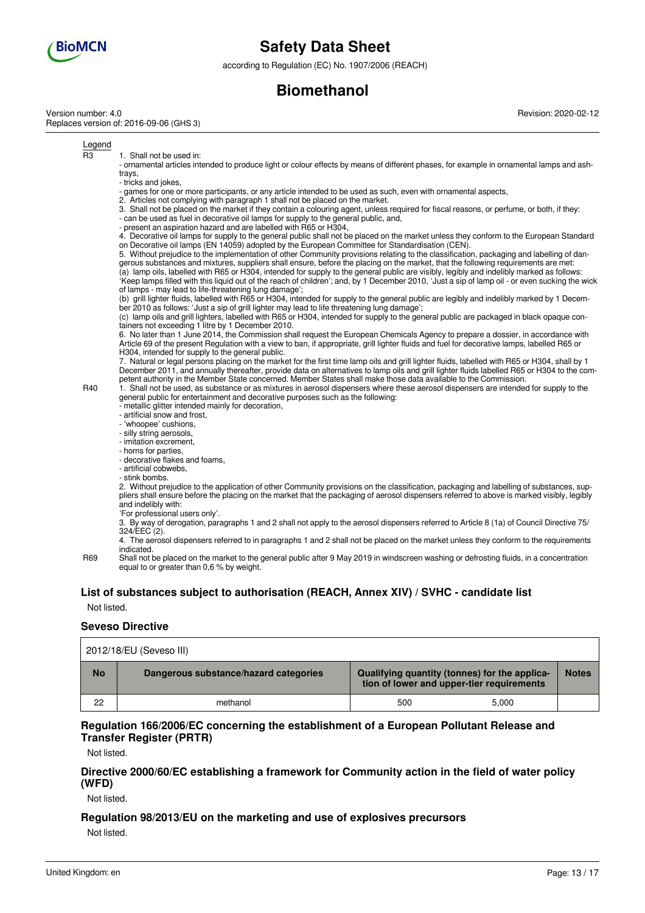

according to Regulation (EC) No. 1907/2006 (REACH)

## **Biomethanol**

Version number: 4.0 Replaces version of: 2016-09-06 (GHS 3) Revision: 2020-02-12

Legend

R3 1. Shall not be used in:

- ornamental articles intended to produce light or colour effects by means of different phases, for example in ornamental lamps and ashtrays,

- tricks and jokes,

- games for one or more participants, or any article intended to be used as such, even with ornamental aspects,

2. Articles not complying with paragraph 1 shall not be placed on the market.

3. Shall not be placed on the market if they contain a colouring agent, unless required for fiscal reasons, or perfume, or both, if they: - can be used as fuel in decorative oil lamps for supply to the general public, and,

- present an aspiration hazard and are labelled with R65 or H304,

4. Decorative oil lamps for supply to the general public shall not be placed on the market unless they conform to the European Standard on Decorative oil lamps (EN 14059) adopted by the European Committee for Standardisation (CEN).

5. Without prejudice to the implementation of other Community provisions relating to the classification, packaging and labelling of dangerous substances and mixtures, suppliers shall ensure, before the placing on the market, that the following requirements are met: (a) lamp oils, labelled with R65 or H304, intended for supply to the general public are visibly, legibly and indelibly marked as follows: 'Keep lamps filled with this liquid out of the reach of children'; and, by 1 December 2010, 'Just a sip of lamp oil - or even sucking the wick of lamps - may lead to life-threatening lung damage';

(b) grill lighter fluids, labelled with R65 or H304, intended for supply to the general public are legibly and indelibly marked by 1 December 2010 as follows: 'Just a sip of grill lighter may lead to life threatening lung damage';

(c) lamp oils and grill lighters, labelled with R65 or H304, intended for supply to the general public are packaged in black opaque containers not exceeding 1 litre by 1 December 2010.

6. No later than 1 June 2014, the Commission shall request the European Chemicals Agency to prepare a dossier, in accordance with Article 69 of the present Regulation with a view to ban, if appropriate, grill lighter fluids and fuel for decorative lamps, labelled R65 or H304, intended for supply to the general public.

7. Natural or legal persons placing on the market for the first time lamp oils and grill lighter fluids, labelled with R65 or H304, shall by 1 December 2011, and annually thereafter, provide data on alternatives to lamp oils and grill lighter fluids labelled R65 or H304 to the competent authority in the Member State concerned. Member States shall make those data available to the Commission.

R40 1. Shall not be used, as substance or as mixtures in aerosol dispensers where these aerosol dispensers are intended for supply to the general public for entertainment and decorative purposes such as the following:

- metallic glitter intended mainly for decoration,
- artificial snow and frost,
- 'whoopee' cushions,
- silly string aerosols, - imitation excrement,
- horns for parties,
- decorative flakes and foams,
- artificial cobwebs,
- stink bombs.

2. Without prejudice to the application of other Community provisions on the classification, packaging and labelling of substances, suppliers shall ensure before the placing on the market that the packaging of aerosol dispensers referred to above is marked visibly, legibly and indelibly with: 'For professional users only'.

3. By way of derogation, paragraphs 1 and 2 shall not apply to the aerosol dispensers referred to Article 8 (1a) of Council Directive 75/ 324/EEC (2).

4. The aerosol dispensers referred to in paragraphs 1 and 2 shall not be placed on the market unless they conform to the requirements indicated.

R69 Shall not be placed on the market to the general public after 9 May 2019 in windscreen washing or defrosting fluids, in a concentration equal to or greater than 0,6 % by weight.

## **List of substances subject to authorisation (REACH, Annex XIV) / SVHC - candidate list**

Not listed.

#### **Seveso Directive**

| 2012/18/EU (Seveso III) |                                       |                                                                                            |       |              |
|-------------------------|---------------------------------------|--------------------------------------------------------------------------------------------|-------|--------------|
| <b>No</b>               | Dangerous substance/hazard categories | Qualifying quantity (tonnes) for the applica-<br>tion of lower and upper-tier requirements |       | <b>Notes</b> |
| 22                      | methanol                              | 500                                                                                        | 5.000 |              |

### **Regulation 166/2006/EC concerning the establishment of a European Pollutant Release and Transfer Register (PRTR)**

Not listed.

### **Directive 2000/60/EC establishing a framework for Community action in the field of water policy (WFD)**

Not listed.

## **Regulation 98/2013/EU on the marketing and use of explosives precursors**

Not listed.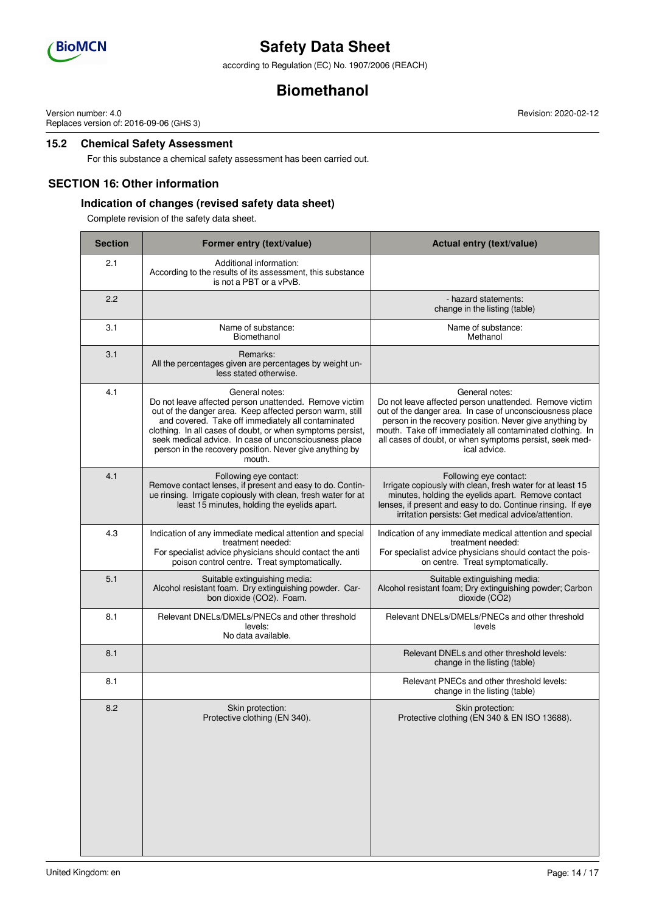

according to Regulation (EC) No. 1907/2006 (REACH)

## **Biomethanol**

Version number: 4.0 Replaces version of: 2016-09-06 (GHS 3) Revision: 2020-02-12

## **15.2 Chemical Safety Assessment**

For this substance a chemical safety assessment has been carried out.

### **SECTION 16: Other information**

### **Indication of changes (revised safety data sheet)**

Complete revision of the safety data sheet.

| <b>Section</b> | Former entry (text/value)                                                                                                                                                                                                                                                                                                                                                              | Actual entry (text/value)                                                                                                                                                                                                                                                                                                               |
|----------------|----------------------------------------------------------------------------------------------------------------------------------------------------------------------------------------------------------------------------------------------------------------------------------------------------------------------------------------------------------------------------------------|-----------------------------------------------------------------------------------------------------------------------------------------------------------------------------------------------------------------------------------------------------------------------------------------------------------------------------------------|
| 2.1            | Additional information:<br>According to the results of its assessment, this substance<br>is not a PBT or a vPvB.                                                                                                                                                                                                                                                                       |                                                                                                                                                                                                                                                                                                                                         |
| 2.2            |                                                                                                                                                                                                                                                                                                                                                                                        | - hazard statements:<br>change in the listing (table)                                                                                                                                                                                                                                                                                   |
| 3.1            | Name of substance:<br>Biomethanol                                                                                                                                                                                                                                                                                                                                                      | Name of substance:<br>Methanol                                                                                                                                                                                                                                                                                                          |
| 3.1            | Remarks:<br>All the percentages given are percentages by weight un-<br>less stated otherwise.                                                                                                                                                                                                                                                                                          |                                                                                                                                                                                                                                                                                                                                         |
| 4.1            | General notes:<br>Do not leave affected person unattended. Remove victim<br>out of the danger area. Keep affected person warm, still<br>and covered. Take off immediately all contaminated<br>clothing. In all cases of doubt, or when symptoms persist,<br>seek medical advice. In case of unconsciousness place<br>person in the recovery position. Never give anything by<br>mouth. | General notes:<br>Do not leave affected person unattended. Remove victim<br>out of the danger area. In case of unconsciousness place<br>person in the recovery position. Never give anything by<br>mouth. Take off immediately all contaminated clothing. In<br>all cases of doubt, or when symptoms persist, seek med-<br>ical advice. |
| 4.1            | Following eye contact:<br>Remove contact lenses, if present and easy to do. Contin-<br>ue rinsing. Irrigate copiously with clean, fresh water for at<br>least 15 minutes, holding the eyelids apart.                                                                                                                                                                                   | Following eye contact:<br>Irrigate copiously with clean, fresh water for at least 15<br>minutes, holding the eyelids apart. Remove contact<br>lenses, if present and easy to do. Continue rinsing. If eye<br>irritation persists: Get medical advice/attention.                                                                         |
| 4.3            | Indication of any immediate medical attention and special<br>treatment needed:<br>For specialist advice physicians should contact the anti<br>poison control centre. Treat symptomatically.                                                                                                                                                                                            | Indication of any immediate medical attention and special<br>treatment needed:<br>For specialist advice physicians should contact the pois-<br>on centre. Treat symptomatically.                                                                                                                                                        |
| 5.1            | Suitable extinguishing media:<br>Alcohol resistant foam. Dry extinguishing powder. Car-<br>bon dioxide (CO2). Foam.                                                                                                                                                                                                                                                                    | Suitable extinguishing media:<br>Alcohol resistant foam; Dry extinguishing powder; Carbon<br>dioxide (CO2)                                                                                                                                                                                                                              |
| 8.1            | Relevant DNELs/DMELs/PNECs and other threshold<br>levels:<br>No data available.                                                                                                                                                                                                                                                                                                        | Relevant DNELs/DMELs/PNECs and other threshold<br>levels                                                                                                                                                                                                                                                                                |
| 8.1            |                                                                                                                                                                                                                                                                                                                                                                                        | Relevant DNELs and other threshold levels:<br>change in the listing (table)                                                                                                                                                                                                                                                             |
| 8.1            |                                                                                                                                                                                                                                                                                                                                                                                        | Relevant PNECs and other threshold levels:<br>change in the listing (table)                                                                                                                                                                                                                                                             |
| 8.2            | Skin protection:<br>Protective clothing (EN 340).                                                                                                                                                                                                                                                                                                                                      | Skin protection:<br>Protective clothing (EN 340 & EN ISO 13688).                                                                                                                                                                                                                                                                        |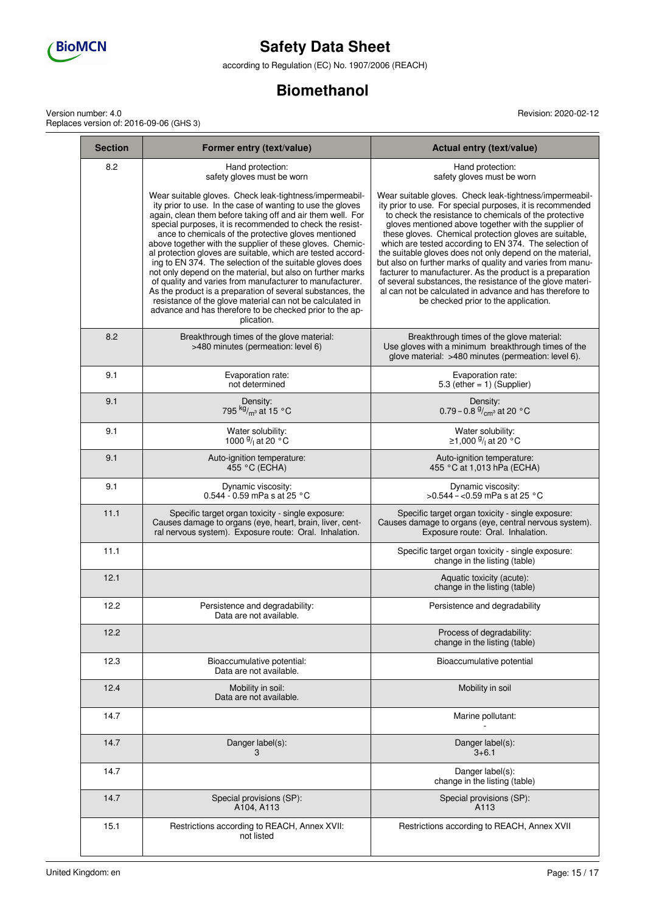

according to Regulation (EC) No. 1907/2006 (REACH)

## **Biomethanol**

Version number: 4.0 Replaces version of: 2016-09-06 (GHS 3) Revision: 2020-02-12

| <b>Section</b> | Former entry (text/value)                                                                                                                                                                                                                                                                                                                                                                                                                                                                                                                                                                                                                                                                                                                                                                                                      | Actual entry (text/value)                                                                                                                                                                                                                                                                                                                                                                                                                                                                                                                                                                                                                                                                                            |
|----------------|--------------------------------------------------------------------------------------------------------------------------------------------------------------------------------------------------------------------------------------------------------------------------------------------------------------------------------------------------------------------------------------------------------------------------------------------------------------------------------------------------------------------------------------------------------------------------------------------------------------------------------------------------------------------------------------------------------------------------------------------------------------------------------------------------------------------------------|----------------------------------------------------------------------------------------------------------------------------------------------------------------------------------------------------------------------------------------------------------------------------------------------------------------------------------------------------------------------------------------------------------------------------------------------------------------------------------------------------------------------------------------------------------------------------------------------------------------------------------------------------------------------------------------------------------------------|
| 8.2            | Hand protection:<br>safety gloves must be worn                                                                                                                                                                                                                                                                                                                                                                                                                                                                                                                                                                                                                                                                                                                                                                                 | Hand protection:<br>safety gloves must be worn                                                                                                                                                                                                                                                                                                                                                                                                                                                                                                                                                                                                                                                                       |
|                | Wear suitable gloves. Check leak-tightness/impermeabil-<br>ity prior to use. In the case of wanting to use the gloves<br>again, clean them before taking off and air them well. For<br>special purposes, it is recommended to check the resist-<br>ance to chemicals of the protective gloves mentioned<br>above together with the supplier of these gloves. Chemic-<br>al protection gloves are suitable, which are tested accord-<br>ing to EN 374. The selection of the suitable gloves does<br>not only depend on the material, but also on further marks<br>of quality and varies from manufacturer to manufacturer.<br>As the product is a preparation of several substances, the<br>resistance of the glove material can not be calculated in<br>advance and has therefore to be checked prior to the ap-<br>plication. | Wear suitable gloves. Check leak-tightness/impermeabil-<br>ity prior to use. For special purposes, it is recommended<br>to check the resistance to chemicals of the protective<br>gloves mentioned above together with the supplier of<br>these gloves. Chemical protection gloves are suitable,<br>which are tested according to EN 374. The selection of<br>the suitable gloves does not only depend on the material,<br>but also on further marks of quality and varies from manu-<br>facturer to manufacturer. As the product is a preparation<br>of several substances, the resistance of the glove materi-<br>al can not be calculated in advance and has therefore to<br>be checked prior to the application. |
| 8.2            | Breakthrough times of the glove material:<br>>480 minutes (permeation: level 6)                                                                                                                                                                                                                                                                                                                                                                                                                                                                                                                                                                                                                                                                                                                                                | Breakthrough times of the glove material:<br>Use gloves with a minimum breakthrough times of the<br>glove material: >480 minutes (permeation: level 6).                                                                                                                                                                                                                                                                                                                                                                                                                                                                                                                                                              |
| 9.1            | Evaporation rate:<br>not determined                                                                                                                                                                                                                                                                                                                                                                                                                                                                                                                                                                                                                                                                                                                                                                                            | Evaporation rate:<br>5.3 (ether $= 1$ ) (Supplier)                                                                                                                                                                                                                                                                                                                                                                                                                                                                                                                                                                                                                                                                   |
| 9.1            | Density:<br>795 $kg/m^3$ at 15 °C                                                                                                                                                                                                                                                                                                                                                                                                                                                                                                                                                                                                                                                                                                                                                                                              | Density:<br>0.79 – 0.8 $\frac{9}{cm^3}$ at 20 °C                                                                                                                                                                                                                                                                                                                                                                                                                                                                                                                                                                                                                                                                     |
| 9.1            | Water solubility:<br>1000 $\frac{9}{1}$ at 20 °C                                                                                                                                                                                                                                                                                                                                                                                                                                                                                                                                                                                                                                                                                                                                                                               | Water solubility:<br>≥1,000 <sup>g</sup> / <sub>l</sub> at 20 °C                                                                                                                                                                                                                                                                                                                                                                                                                                                                                                                                                                                                                                                     |
| 9.1            | Auto-ignition temperature:<br>455 °C (ECHA)                                                                                                                                                                                                                                                                                                                                                                                                                                                                                                                                                                                                                                                                                                                                                                                    | Auto-ignition temperature:<br>455 °C at 1,013 hPa (ECHA)                                                                                                                                                                                                                                                                                                                                                                                                                                                                                                                                                                                                                                                             |
| 9.1            | Dynamic viscosity:<br>0.544 - 0.59 mPa s at 25 °C                                                                                                                                                                                                                                                                                                                                                                                                                                                                                                                                                                                                                                                                                                                                                                              | Dynamic viscosity:<br>$>0.544 - 0.59$ mPa s at 25 °C                                                                                                                                                                                                                                                                                                                                                                                                                                                                                                                                                                                                                                                                 |
| 11.1           | Specific target organ toxicity - single exposure:<br>Causes damage to organs (eye, heart, brain, liver, cent-<br>ral nervous system). Exposure route: Oral. Inhalation.                                                                                                                                                                                                                                                                                                                                                                                                                                                                                                                                                                                                                                                        | Specific target organ toxicity - single exposure:<br>Causes damage to organs (eye, central nervous system).<br>Exposure route: Oral. Inhalation.                                                                                                                                                                                                                                                                                                                                                                                                                                                                                                                                                                     |
| 11.1           |                                                                                                                                                                                                                                                                                                                                                                                                                                                                                                                                                                                                                                                                                                                                                                                                                                | Specific target organ toxicity - single exposure:<br>change in the listing (table)                                                                                                                                                                                                                                                                                                                                                                                                                                                                                                                                                                                                                                   |
| 12.1           |                                                                                                                                                                                                                                                                                                                                                                                                                                                                                                                                                                                                                                                                                                                                                                                                                                | Aquatic toxicity (acute):<br>change in the listing (table)                                                                                                                                                                                                                                                                                                                                                                                                                                                                                                                                                                                                                                                           |
| 12.2           | Persistence and degradability:<br>Data are not available.                                                                                                                                                                                                                                                                                                                                                                                                                                                                                                                                                                                                                                                                                                                                                                      | Persistence and degradability                                                                                                                                                                                                                                                                                                                                                                                                                                                                                                                                                                                                                                                                                        |
| 12.2           |                                                                                                                                                                                                                                                                                                                                                                                                                                                                                                                                                                                                                                                                                                                                                                                                                                | Process of degradability:<br>change in the listing (table)                                                                                                                                                                                                                                                                                                                                                                                                                                                                                                                                                                                                                                                           |
| 12.3           | Bioaccumulative potential:<br>Data are not available.                                                                                                                                                                                                                                                                                                                                                                                                                                                                                                                                                                                                                                                                                                                                                                          | Bioaccumulative potential                                                                                                                                                                                                                                                                                                                                                                                                                                                                                                                                                                                                                                                                                            |
| 12.4           | Mobility in soil:<br>Data are not available.                                                                                                                                                                                                                                                                                                                                                                                                                                                                                                                                                                                                                                                                                                                                                                                   | Mobility in soil                                                                                                                                                                                                                                                                                                                                                                                                                                                                                                                                                                                                                                                                                                     |
| 14.7           |                                                                                                                                                                                                                                                                                                                                                                                                                                                                                                                                                                                                                                                                                                                                                                                                                                | Marine pollutant:                                                                                                                                                                                                                                                                                                                                                                                                                                                                                                                                                                                                                                                                                                    |
| 14.7           | Danger label(s):<br>3                                                                                                                                                                                                                                                                                                                                                                                                                                                                                                                                                                                                                                                                                                                                                                                                          | Danger label(s):<br>$3 + 6.1$                                                                                                                                                                                                                                                                                                                                                                                                                                                                                                                                                                                                                                                                                        |
| 14.7           |                                                                                                                                                                                                                                                                                                                                                                                                                                                                                                                                                                                                                                                                                                                                                                                                                                | Danger label(s):<br>change in the listing (table)                                                                                                                                                                                                                                                                                                                                                                                                                                                                                                                                                                                                                                                                    |
| 14.7           | Special provisions (SP):<br>A104, A113                                                                                                                                                                                                                                                                                                                                                                                                                                                                                                                                                                                                                                                                                                                                                                                         | Special provisions (SP):<br>A113                                                                                                                                                                                                                                                                                                                                                                                                                                                                                                                                                                                                                                                                                     |
| 15.1           | Restrictions according to REACH, Annex XVII:<br>not listed                                                                                                                                                                                                                                                                                                                                                                                                                                                                                                                                                                                                                                                                                                                                                                     | Restrictions according to REACH, Annex XVII                                                                                                                                                                                                                                                                                                                                                                                                                                                                                                                                                                                                                                                                          |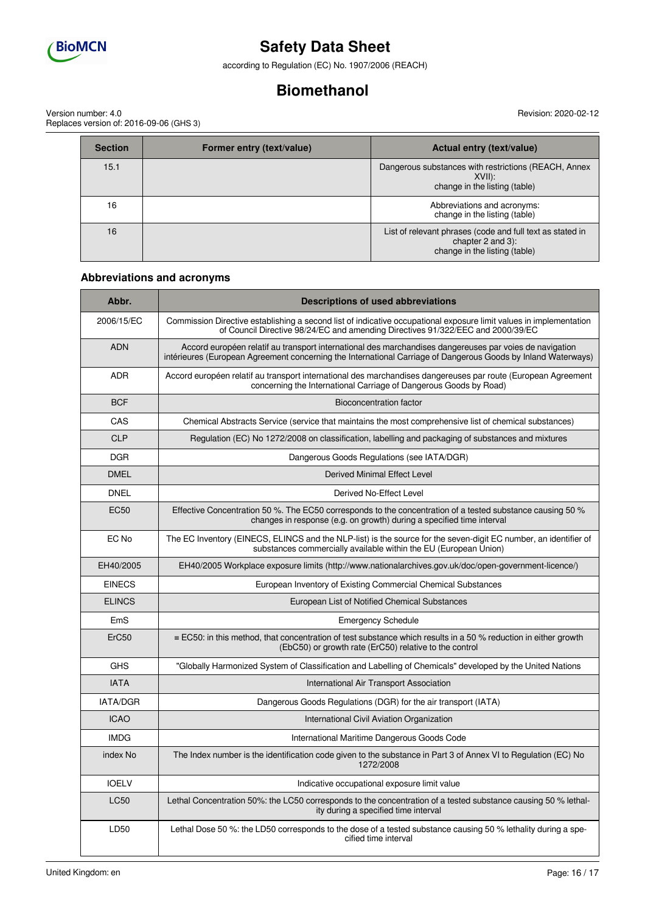

according to Regulation (EC) No. 1907/2006 (REACH)

## **Biomethanol**

Version number: 4.0 Replaces version of: 2016-09-06 (GHS 3) Revision: 2020-02-12

| <b>Section</b> | Former entry (text/value) | Actual entry (text/value)                                                                                       |
|----------------|---------------------------|-----------------------------------------------------------------------------------------------------------------|
| 15.1           |                           | Dangerous substances with restrictions (REACH, Annex<br>XVIII:<br>change in the listing (table)                 |
| 16             |                           | Abbreviations and acronyms:<br>change in the listing (table)                                                    |
| 16             |                           | List of relevant phrases (code and full text as stated in<br>chapter 2 and 3):<br>change in the listing (table) |

### **Abbreviations and acronyms**

| Abbr.             | <b>Descriptions of used abbreviations</b>                                                                                                                                                                                |  |
|-------------------|--------------------------------------------------------------------------------------------------------------------------------------------------------------------------------------------------------------------------|--|
| 2006/15/EC        | Commission Directive establishing a second list of indicative occupational exposure limit values in implementation<br>of Council Directive 98/24/EC and amending Directives 91/322/EEC and 2000/39/EC                    |  |
| <b>ADN</b>        | Accord européen relatif au transport international des marchandises dangereuses par voies de navigation<br>intérieures (European Agreement concerning the International Carriage of Dangerous Goods by Inland Waterways) |  |
| <b>ADR</b>        | Accord européen relatif au transport international des marchandises dangereuses par route (European Agreement<br>concerning the International Carriage of Dangerous Goods by Road)                                       |  |
| <b>BCF</b>        | Bioconcentration factor                                                                                                                                                                                                  |  |
| CAS               | Chemical Abstracts Service (service that maintains the most comprehensive list of chemical substances)                                                                                                                   |  |
| <b>CLP</b>        | Regulation (EC) No 1272/2008 on classification, labelling and packaging of substances and mixtures                                                                                                                       |  |
| <b>DGR</b>        | Dangerous Goods Regulations (see IATA/DGR)                                                                                                                                                                               |  |
| <b>DMEL</b>       | Derived Minimal Effect Level                                                                                                                                                                                             |  |
| <b>DNEL</b>       | Derived No-Effect Level                                                                                                                                                                                                  |  |
| <b>EC50</b>       | Effective Concentration 50 %. The EC50 corresponds to the concentration of a tested substance causing 50 %<br>changes in response (e.g. on growth) during a specified time interval                                      |  |
| EC No             | The EC Inventory (EINECS, ELINCS and the NLP-list) is the source for the seven-digit EC number, an identifier of<br>substances commercially available within the EU (European Union)                                     |  |
| EH40/2005         | EH40/2005 Workplace exposure limits (http://www.nationalarchives.gov.uk/doc/open-government-licence/)                                                                                                                    |  |
| <b>EINECS</b>     | European Inventory of Existing Commercial Chemical Substances                                                                                                                                                            |  |
| <b>ELINCS</b>     | European List of Notified Chemical Substances                                                                                                                                                                            |  |
| EmS               | <b>Emergency Schedule</b>                                                                                                                                                                                                |  |
| ErC <sub>50</sub> | $\equiv$ EC50: in this method, that concentration of test substance which results in a 50 % reduction in either growth<br>(EbC50) or growth rate (ErC50) relative to the control                                         |  |
| <b>GHS</b>        | "Globally Harmonized System of Classification and Labelling of Chemicals" developed by the United Nations                                                                                                                |  |
| <b>IATA</b>       | International Air Transport Association                                                                                                                                                                                  |  |
| <b>IATA/DGR</b>   | Dangerous Goods Regulations (DGR) for the air transport (IATA)                                                                                                                                                           |  |
| <b>ICAO</b>       | International Civil Aviation Organization                                                                                                                                                                                |  |
| <b>IMDG</b>       | International Maritime Dangerous Goods Code                                                                                                                                                                              |  |
| index No          | The Index number is the identification code given to the substance in Part 3 of Annex VI to Regulation (EC) No<br>1272/2008                                                                                              |  |
| <b>IOELV</b>      | Indicative occupational exposure limit value                                                                                                                                                                             |  |
| <b>LC50</b>       | Lethal Concentration 50%: the LC50 corresponds to the concentration of a tested substance causing 50 % lethal-<br>ity during a specified time interval                                                                   |  |
| LD50              | Lethal Dose 50 %: the LD50 corresponds to the dose of a tested substance causing 50 % lethality during a spe-<br>cified time interval                                                                                    |  |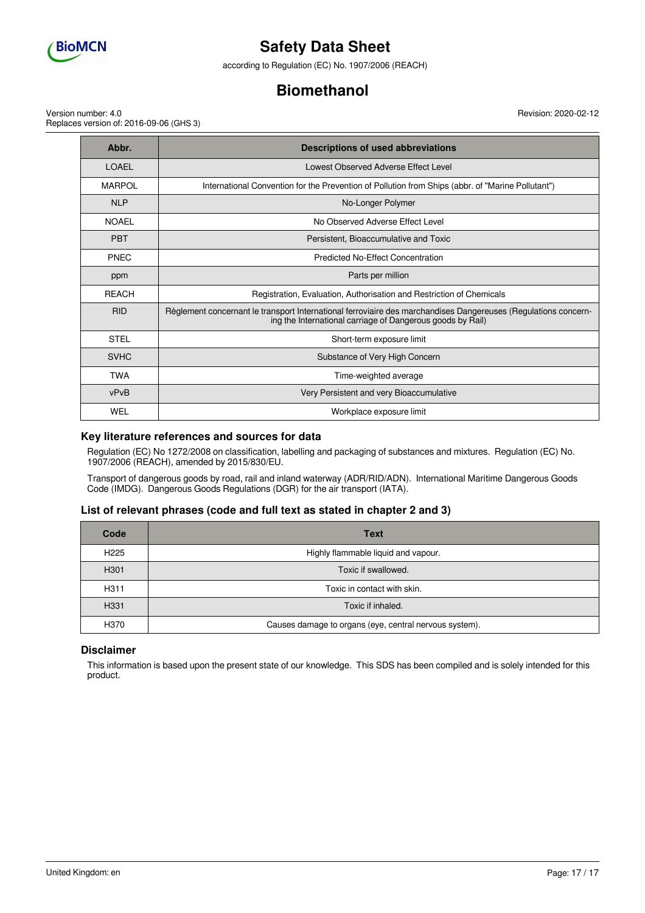

according to Regulation (EC) No. 1907/2006 (REACH)

## **Biomethanol**

Version number: 4.0 Replaces version of: 2016-09-06 (GHS 3)

| Abbr.         | Descriptions of used abbreviations                                                                                                                                           |  |
|---------------|------------------------------------------------------------------------------------------------------------------------------------------------------------------------------|--|
| LOAEL         | Lowest Observed Adverse Effect Level                                                                                                                                         |  |
| <b>MARPOL</b> | International Convention for the Prevention of Pollution from Ships (abbr. of "Marine Pollutant")                                                                            |  |
| <b>NLP</b>    | No-Longer Polymer                                                                                                                                                            |  |
| <b>NOAEL</b>  | No Observed Adverse Effect Level                                                                                                                                             |  |
| <b>PBT</b>    | Persistent. Bioaccumulative and Toxic                                                                                                                                        |  |
| <b>PNEC</b>   | Predicted No-Effect Concentration                                                                                                                                            |  |
| ppm           | Parts per million                                                                                                                                                            |  |
| <b>REACH</b>  | Registration, Evaluation, Authorisation and Restriction of Chemicals                                                                                                         |  |
| <b>RID</b>    | Règlement concernant le transport International ferroviaire des marchandises Dangereuses (Regulations concern-<br>ing the International carriage of Dangerous goods by Rail) |  |
| <b>STEL</b>   | Short-term exposure limit                                                                                                                                                    |  |
| <b>SVHC</b>   | Substance of Very High Concern                                                                                                                                               |  |
| <b>TWA</b>    | Time-weighted average                                                                                                                                                        |  |
| vPvB          | Very Persistent and very Bioaccumulative                                                                                                                                     |  |
| <b>WEL</b>    | Workplace exposure limit                                                                                                                                                     |  |

#### **Key literature references and sources for data**

Regulation (EC) No 1272/2008 on classification, labelling and packaging of substances and mixtures. Regulation (EC) No. 1907/2006 (REACH), amended by 2015/830/EU.

Transport of dangerous goods by road, rail and inland waterway (ADR/RID/ADN). International Maritime Dangerous Goods Code (IMDG). Dangerous Goods Regulations (DGR) for the air transport (IATA).

### **List of relevant phrases (code and full text as stated in chapter 2 and 3)**

| Code              | <b>Text</b>                                            |
|-------------------|--------------------------------------------------------|
| H <sub>225</sub>  | Highly flammable liquid and vapour.                    |
| H <sub>301</sub>  | Toxic if swallowed.                                    |
| H <sub>3</sub> 11 | Toxic in contact with skin.                            |
| H <sub>331</sub>  | Toxic if inhaled.                                      |
| H370              | Causes damage to organs (eye, central nervous system). |

### **Disclaimer**

This information is based upon the present state of our knowledge. This SDS has been compiled and is solely intended for this product.

Revision: 2020-02-12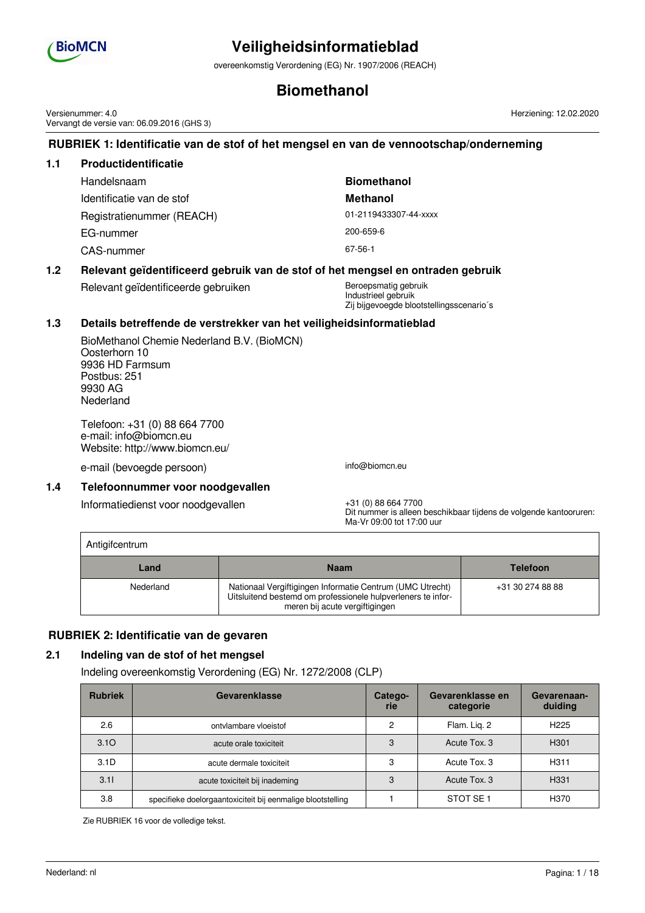

overeenkomstig Verordening (EG) Nr. 1907/2006 (REACH)

## **Biomethanol**

Versienummer: 4.0 Vervangt de versie van: 06.09.2016 (GHS 3)

## **RUBRIEK 1: Identificatie van de stof of het mengsel en van de vennootschap/onderneming**

| 1.1 | <b>Productidentificatie</b> |                       |
|-----|-----------------------------|-----------------------|
|     | Handelsnaam                 | <b>Biomethanol</b>    |
|     | Identificatie van de stof   | <b>Methanol</b>       |
|     | Registratienummer (REACH)   | 01-2119433307-44-xxxx |
|     | EG-nummer                   | 200-659-6             |
|     | CAS-nummer                  | 67-56-1               |
|     |                             |                       |

### **1.2 Relevant geïdentificeerd gebruik van de stof of het mengsel en ontraden gebruik**

Relevant geïdentificeerde gebruiken Beroepsmatig gebruiken

Industrieel gebruik Zij bijgevoegde blootstellingsscenario´s

### **1.3 Details betreffende de verstrekker van het veiligheidsinformatieblad**

BioMethanol Chemie Nederland B.V. (BioMCN) Oosterhorn 10 9936 HD Farmsum Postbus: 251 9930 AG Nederland

Telefoon: +31 (0) 88 664 7700 e-mail: info@biomcn.eu Website: http://www.biomcn.eu/

e-mail (bevoegde persoon) info@biomcn.eu

Antigifcentrum

#### **1.4 Telefoonnummer voor noodgevallen**

Informatiedienst voor noodgevallen +31 (0) 88 664 7700

Dit nummer is alleen beschikbaar tijdens de volgende kantooruren: Ma-Vr 09:00 tot 17:00 uur

Herziening: 12.02.2020

| <b>ATTUSILLE IN UITE</b> |                                                                                                                                                             |                  |
|--------------------------|-------------------------------------------------------------------------------------------------------------------------------------------------------------|------------------|
| Land                     | <b>Naam</b>                                                                                                                                                 | <b>Telefoon</b>  |
| Nederland                | Nationaal Vergiftigingen Informatie Centrum (UMC Utrecht)<br>Uitsluitend bestemd om professionele hulpverleners te infor-<br>meren bij acute vergiftigingen | +31 30 274 88 88 |

### **RUBRIEK 2: Identificatie van de gevaren**

### **2.1 Indeling van de stof of het mengsel**

Indeling overeenkomstig Verordening (EG) Nr. 1272/2008 (CLP)

| <b>Rubriek</b>   | Gevarenklasse                                               | Catego-<br>rie | Gevarenklasse en<br>categorie | Gevarenaan-<br>duiding |
|------------------|-------------------------------------------------------------|----------------|-------------------------------|------------------------|
| 2.6              | ontvlambare vloeistof                                       | 2              | Flam. Lig. 2                  | H <sub>225</sub>       |
| 3.10             | acute orale toxiciteit                                      | 3              | Acute Tox, 3                  | H <sub>301</sub>       |
| 3.1 <sub>D</sub> | acute dermale toxiciteit                                    | 3              | Acute Tox, 3                  | H <sub>311</sub>       |
| 3.11             | acute toxiciteit bij inademing                              | 3              | Acute Tox, 3                  | H <sub>331</sub>       |
| 3.8              | specifieke doelorgaantoxiciteit bij eenmalige blootstelling |                | STOT SE <sub>1</sub>          | H370                   |

Zie RUBRIEK 16 voor de volledige tekst.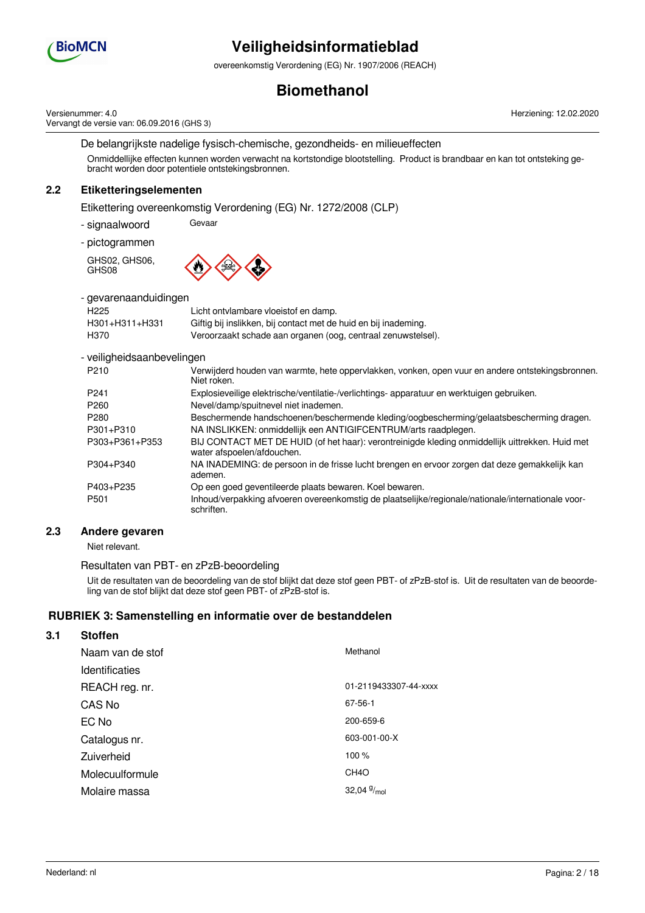

overeenkomstig Verordening (EG) Nr. 1907/2006 (REACH)

## **Biomethanol**

Versienummer: 4.0 Vervangt de versie van: 06.09.2016 (GHS 3) Herziening: 12.02.2020

De belangrijkste nadelige fysisch-chemische, gezondheids- en milieueffecten Onmiddellijke effecten kunnen worden verwacht na kortstondige blootstelling. Product is brandbaar en kan tot ontsteking gebracht worden door potentiele ontstekingsbronnen.

## **2.2 Etiketteringselementen**

Etikettering overeenkomstig Verordening (EG) Nr. 1272/2008 (CLP)

- signaalwoord Gevaar

- pictogrammen

GHS02, GHS06, GHS08



- gevarenaanduidingen

| H225           | Licht ontvlambare vloeistof en damp.                            |
|----------------|-----------------------------------------------------------------|
| H301+H311+H331 | Giftig bij inslikken, bij contact met de huid en bij inademing. |
| H370           | Veroorzaakt schade aan organen (oog, centraal zenuwstelsel).    |

#### - veiligheidsaanbevelingen

| P <sub>210</sub> | Verwijderd houden van warmte, hete oppervlakken, vonken, open vuur en andere ontstekingsbronnen.<br>Niet roken.               |
|------------------|-------------------------------------------------------------------------------------------------------------------------------|
| P <sub>241</sub> | Explosieveilige elektrische/ventilatie-/verlichtings- apparatuur en werktuigen gebruiken.                                     |
| P <sub>260</sub> | Nevel/damp/spuitnevel niet inademen.                                                                                          |
| P <sub>280</sub> | Beschermende handschoenen/beschermende kleding/oogbescherming/gelaatsbescherming dragen.                                      |
| P301+P310        | NA INSLIKKEN: onmiddellijk een ANTIGIFCENTRUM/arts raadplegen.                                                                |
| P303+P361+P353   | BIJ CONTACT MET DE HUID (of het haar): verontreinigde kleding onmiddellijk uittrekken. Huid met<br>water afspoelen/afdouchen. |
| P304+P340        | NA INADEMING: de persoon in de frisse lucht brengen en ervoor zorgen dat deze gemakkelijk kan<br>ademen.                      |
| P403+P235        | Op een goed geventileerde plaats bewaren. Koel bewaren.                                                                       |
| P <sub>501</sub> | Inhoud/verpakking afvoeren overeenkomstig de plaatselijke/regionale/nationale/internationale voor-<br>schriften.              |

### **2.3 Andere gevaren**

Niet relevant.

#### Resultaten van PBT- en zPzB-beoordeling

Uit de resultaten van de beoordeling van de stof blijkt dat deze stof geen PBT- of zPzB-stof is. Uit de resultaten van de beoordeling van de stof blijkt dat deze stof geen PBT- of zPzB-stof is.

### **RUBRIEK 3: Samenstelling en informatie over de bestanddelen**

## **3.1 Stoffen**

| Naam van de stof      | Methanol              |
|-----------------------|-----------------------|
| <b>Identificaties</b> |                       |
| REACH reg. nr.        | 01-2119433307-44-xxxx |
| CAS No                | 67-56-1               |
| EC No                 | 200-659-6             |
| Catalogus nr.         | 603-001-00-X          |
| Zuiverheid            | 100 %                 |
| Molecuulformule       | CH <sub>4</sub> O     |
| Molaire massa         | 32,04 $9/_{mol}$      |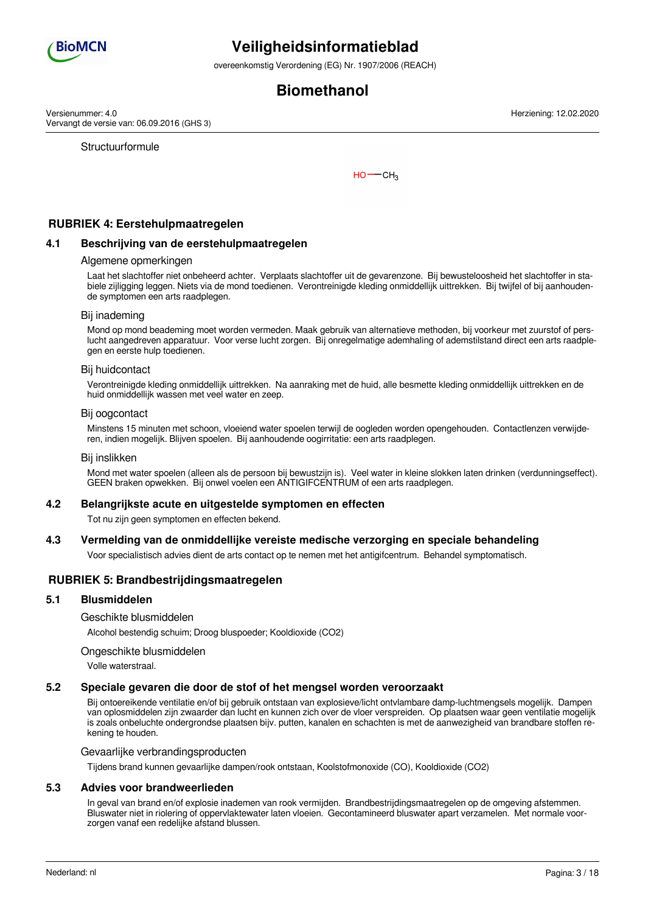

overeenkomstig Verordening (EG) Nr. 1907/2006 (REACH)

## **Biomethanol**

Versienummer: 4.0 Vervangt de versie van: 06.09.2016 (GHS 3)

**Structuurformule** 

 $HO$  -  $CH<sub>3</sub>$ 

### **RUBRIEK 4: Eerstehulpmaatregelen**

#### **4.1 Beschrijving van de eerstehulpmaatregelen**

#### Algemene opmerkingen

Laat het slachtoffer niet onbeheerd achter. Verplaats slachtoffer uit de gevarenzone. Bij bewusteloosheid het slachtoffer in stabiele zijligging leggen. Niets via de mond toedienen. Verontreinigde kleding onmiddellijk uittrekken. Bij twijfel of bij aanhoudende symptomen een arts raadplegen.

#### Bij inademing

Mond op mond beademing moet worden vermeden. Maak gebruik van alternatieve methoden, bij voorkeur met zuurstof of perslucht aangedreven apparatuur. Voor verse lucht zorgen. Bij onregelmatige ademhaling of ademstilstand direct een arts raadplegen en eerste hulp toedienen.

#### Bij huidcontact

Verontreinigde kleding onmiddellijk uittrekken. Na aanraking met de huid, alle besmette kleding onmiddellijk uittrekken en de huid onmiddellijk wassen met veel water en zeep.

#### Bij oogcontact

Minstens 15 minuten met schoon, vloeiend water spoelen terwijl de oogleden worden opengehouden. Contactlenzen verwijderen, indien mogelijk. Blijven spoelen. Bij aanhoudende oogirritatie: een arts raadplegen.

#### Bij inslikken

Mond met water spoelen (alleen als de persoon bij bewustzijn is). Veel water in kleine slokken laten drinken (verdunningseffect). GEEN braken opwekken. Bij onwel voelen een ANTIGIFCENTRUM of een arts raadplegen.

#### **4.2 Belangrijkste acute en uitgestelde symptomen en effecten**

Tot nu zijn geen symptomen en effecten bekend.

### **4.3 Vermelding van de onmiddellijke vereiste medische verzorging en speciale behandeling**

Voor specialistisch advies dient de arts contact op te nemen met het antigifcentrum. Behandel symptomatisch.

#### **RUBRIEK 5: Brandbestrijdingsmaatregelen**

#### **5.1 Blusmiddelen**

Geschikte blusmiddelen

Alcohol bestendig schuim; Droog bluspoeder; Kooldioxide (CO2)

#### Ongeschikte blusmiddelen

Volle waterstraal.

#### **5.2 Speciale gevaren die door de stof of het mengsel worden veroorzaakt**

Bij ontoereikende ventilatie en/of bij gebruik ontstaan van explosieve/licht ontvlambare damp-luchtmengsels mogelijk. Dampen van oplosmiddelen zijn zwaarder dan lucht en kunnen zich over de vloer verspreiden. Op plaatsen waar geen ventilatie mogelijk is zoals onbeluchte ondergrondse plaatsen bijv. putten, kanalen en schachten is met de aanwezigheid van brandbare stoffen rekening te houden.

Gevaarlijke verbrandingsproducten

Tijdens brand kunnen gevaarlijke dampen/rook ontstaan, Koolstofmonoxide (CO), Kooldioxide (CO2)

#### **5.3 Advies voor brandweerlieden**

In geval van brand en/of explosie inademen van rook vermijden. Brandbestrijdingsmaatregelen op de omgeving afstemmen. Bluswater niet in riolering of oppervlaktewater laten vloeien. Gecontamineerd bluswater apart verzamelen. Met normale voorzorgen vanaf een redelijke afstand blussen.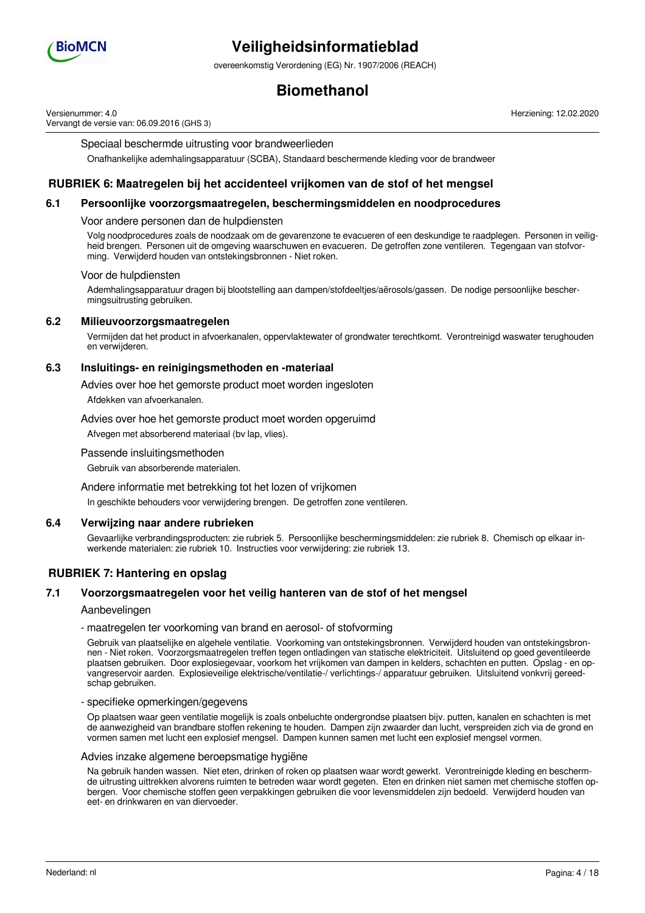

overeenkomstig Verordening (EG) Nr. 1907/2006 (REACH)

## **Biomethanol**

Versienummer: 4.0 Vervangt de versie van: 06.09.2016 (GHS 3) Herziening: 12.02.2020

Speciaal beschermde uitrusting voor brandweerlieden

Onafhankelijke ademhalingsapparatuur (SCBA), Standaard beschermende kleding voor de brandweer

### **RUBRIEK 6: Maatregelen bij het accidenteel vrijkomen van de stof of het mengsel**

#### **6.1 Persoonlijke voorzorgsmaatregelen, beschermingsmiddelen en noodprocedures**

#### Voor andere personen dan de hulpdiensten

Volg noodprocedures zoals de noodzaak om de gevarenzone te evacueren of een deskundige te raadplegen. Personen in veiligheid brengen. Personen uit de omgeving waarschuwen en evacueren. De getroffen zone ventileren. Tegengaan van stofvorming. Verwijderd houden van ontstekingsbronnen - Niet roken.

#### Voor de hulpdiensten

Ademhalingsapparatuur dragen bij blootstelling aan dampen/stofdeeltjes/aërosols/gassen. De nodige persoonlijke beschermingsuitrusting gebruiken.

#### **6.2 Milieuvoorzorgsmaatregelen**

Vermijden dat het product in afvoerkanalen, oppervlaktewater of grondwater terechtkomt. Verontreinigd waswater terughouden en verwijderen.

#### **6.3 Insluitings- en reinigingsmethoden en -materiaal**

Advies over hoe het gemorste product moet worden ingesloten

Afdekken van afvoerkanalen.

Advies over hoe het gemorste product moet worden opgeruimd

Afvegen met absorberend materiaal (bv lap, vlies).

Passende insluitingsmethoden

Gebruik van absorberende materialen.

Andere informatie met betrekking tot het lozen of vrijkomen

In geschikte behouders voor verwijdering brengen. De getroffen zone ventileren.

#### **6.4 Verwijzing naar andere rubrieken**

Gevaarlijke verbrandingsproducten: zie rubriek 5. Persoonlijke beschermingsmiddelen: zie rubriek 8. Chemisch op elkaar inwerkende materialen: zie rubriek 10. Instructies voor verwijdering: zie rubriek 13.

### **RUBRIEK 7: Hantering en opslag**

#### **7.1 Voorzorgsmaatregelen voor het veilig hanteren van de stof of het mengsel**

#### Aanbevelingen

#### - maatregelen ter voorkoming van brand en aerosol- of stofvorming

Gebruik van plaatselijke en algehele ventilatie. Voorkoming van ontstekingsbronnen. Verwijderd houden van ontstekingsbronnen - Niet roken. Voorzorgsmaatregelen treffen tegen ontladingen van statische elektriciteit. Uitsluitend op goed geventileerde plaatsen gebruiken. Door explosiegevaar, voorkom het vrijkomen van dampen in kelders, schachten en putten. Opslag - en opvangreservoir aarden. Explosieveilige elektrische/ventilatie-/ verlichtings-/ apparatuur gebruiken. Uitsluitend vonkvrij gereedschap gebruiken.

#### - specifieke opmerkingen/gegevens

Op plaatsen waar geen ventilatie mogelijk is zoals onbeluchte ondergrondse plaatsen bijv. putten, kanalen en schachten is met de aanwezigheid van brandbare stoffen rekening te houden. Dampen zijn zwaarder dan lucht, verspreiden zich via de grond en vormen samen met lucht een explosief mengsel. Dampen kunnen samen met lucht een explosief mengsel vormen.

#### Advies inzake algemene beroepsmatige hygiëne

Na gebruik handen wassen. Niet eten, drinken of roken op plaatsen waar wordt gewerkt. Verontreinigde kleding en beschermde uitrusting uittrekken alvorens ruimten te betreden waar wordt gegeten. Eten en drinken niet samen met chemische stoffen opbergen. Voor chemische stoffen geen verpakkingen gebruiken die voor levensmiddelen zijn bedoeld. Verwijderd houden van eet- en drinkwaren en van diervoeder.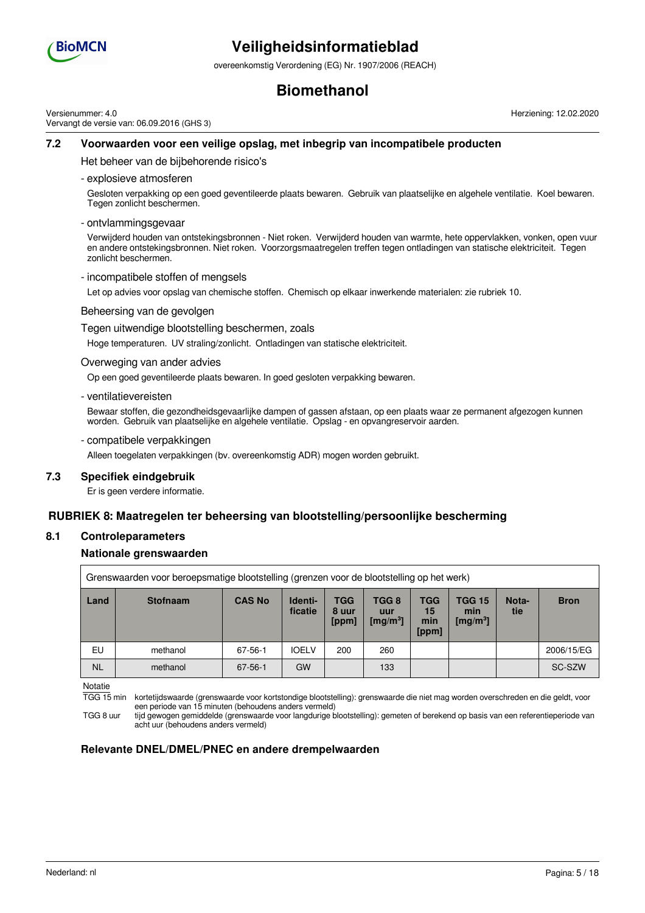

overeenkomstig Verordening (EG) Nr. 1907/2006 (REACH)

## **Biomethanol**

Versienummer: 4.0 Vervangt de versie van: 06.09.2016 (GHS 3) Herziening: 12.02.2020

### **7.2 Voorwaarden voor een veilige opslag, met inbegrip van incompatibele producten**

Het beheer van de bijbehorende risico's

- explosieve atmosferen

Gesloten verpakking op een goed geventileerde plaats bewaren. Gebruik van plaatselijke en algehele ventilatie. Koel bewaren. Tegen zonlicht beschermen.

- ontvlammingsgevaar

Verwijderd houden van ontstekingsbronnen - Niet roken. Verwijderd houden van warmte, hete oppervlakken, vonken, open vuur en andere ontstekingsbronnen. Niet roken. Voorzorgsmaatregelen treffen tegen ontladingen van statische elektriciteit. Tegen zonlicht beschermen.

- incompatibele stoffen of mengsels

Let op advies voor opslag van chemische stoffen. Chemisch op elkaar inwerkende materialen: zie rubriek 10.

Beheersing van de gevolgen

Tegen uitwendige blootstelling beschermen, zoals

Hoge temperaturen. UV straling/zonlicht. Ontladingen van statische elektriciteit.

#### Overweging van ander advies

Op een goed geventileerde plaats bewaren. In goed gesloten verpakking bewaren.

- ventilatievereisten

Bewaar stoffen, die gezondheidsgevaarlijke dampen of gassen afstaan, op een plaats waar ze permanent afgezogen kunnen worden. Gebruik van plaatselijke en algehele ventilatie. Opslag - en opvangreservoir aarden.

- compatibele verpakkingen

Alleen toegelaten verpakkingen (bv. overeenkomstig ADR) mogen worden gebruikt.

#### **7.3 Specifiek eindgebruik**

Er is geen verdere informatie.

### **RUBRIEK 8: Maatregelen ter beheersing van blootstelling/persoonlijke bescherming**

#### **8.1 Controleparameters**

#### **Nationale grenswaarden**

| Grenswaarden voor beroepsmatige blootstelling (grenzen voor de blootstelling op het werk) |                 |               |                    |                       |                                      |                                  |                                              |              |             |
|-------------------------------------------------------------------------------------------|-----------------|---------------|--------------------|-----------------------|--------------------------------------|----------------------------------|----------------------------------------------|--------------|-------------|
| Land                                                                                      | <b>Stofnaam</b> | <b>CAS No</b> | Identi-<br>ficatie | TGG<br>8 uur<br>[ppm] | TGG 8<br>uur<br>[mg/m <sup>3</sup> ] | <b>TGG</b><br>15<br>min<br>[ppm] | <b>TGG 15</b><br>min<br>[mg/m <sup>3</sup> ] | Nota-<br>tie | <b>Bron</b> |
| EU                                                                                        | methanol        | 67-56-1       | <b>IOELV</b>       | 200                   | 260                                  |                                  |                                              |              | 2006/15/EG  |
| <b>NL</b>                                                                                 | methanol        | $67 - 56 - 1$ | <b>GW</b>          |                       | 133                                  |                                  |                                              |              | SC-SZW      |

Notatie

TGG 15 min kortetijdswaarde (grenswaarde voor kortstondige blootstelling): grenswaarde die niet mag worden overschreden en die geldt, voor een periode van 15 minuten (behoudens anders vermeld)

TGG 8 uur tijd gewogen gemiddelde (grenswaarde voor langdurige blootstelling): gemeten of berekend op basis van een referentieperiode van acht uur (behoudens anders vermeld)

### **Relevante DNEL/DMEL/PNEC en andere drempelwaarden**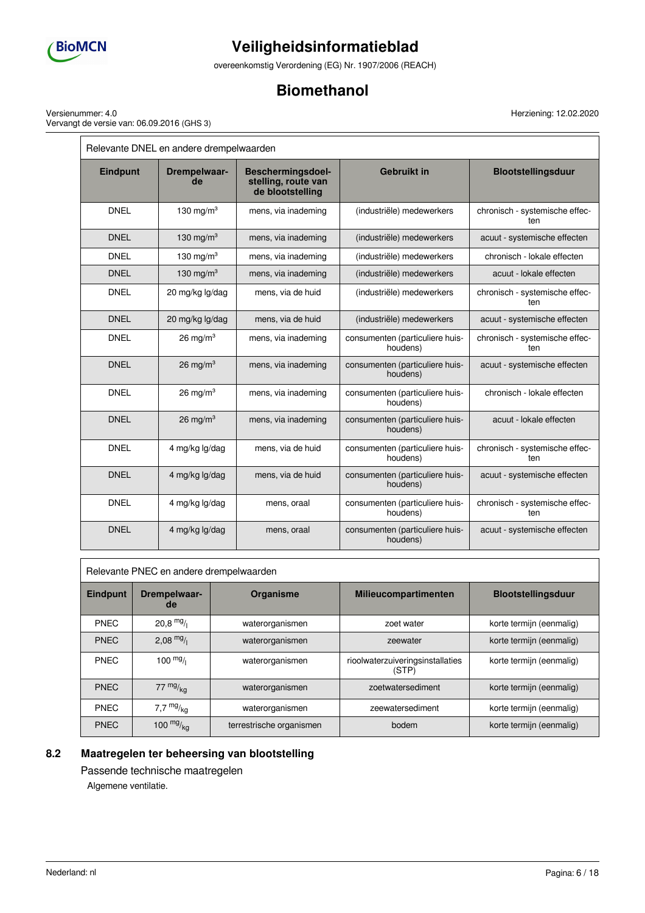

 $\overline{\Gamma}$ 

# **Veiligheidsinformatieblad**

overeenkomstig Verordening (EG) Nr. 1907/2006 (REACH)

## **Biomethanol**

Versienummer: 4.0 Vervangt de versie van: 06.09.2016 (GHS 3)

| Relevante DNEL en andere drempelwaarden |                      |                                                                     |                                             |                                       |  |
|-----------------------------------------|----------------------|---------------------------------------------------------------------|---------------------------------------------|---------------------------------------|--|
| <b>Eindpunt</b>                         | Drempelwaar-<br>de   | <b>Beschermingsdoel-</b><br>stelling, route van<br>de blootstelling | <b>Gebruikt in</b>                          | <b>Blootstellingsduur</b>             |  |
| <b>DNEL</b>                             | 130 mg/m $3$         | mens, via inademing                                                 | (industriële) medewerkers                   | chronisch - systemische effec-<br>ten |  |
| <b>DNEL</b>                             | 130 mg/m $3$         | mens, via inademing                                                 | (industriële) medewerkers                   | acuut - systemische effecten          |  |
| <b>DNEL</b>                             | 130 mg/m $3$         | mens, via inademing                                                 | (industriële) medewerkers                   | chronisch - lokale effecten           |  |
| <b>DNEL</b>                             | 130 mg/m $3$         | mens, via inademing                                                 | (industriële) medewerkers                   | acuut - lokale effecten               |  |
| <b>DNEL</b>                             | 20 mg/kg lg/dag      | mens, via de huid                                                   | (industriële) medewerkers                   | chronisch - systemische effec-<br>ten |  |
| <b>DNEL</b>                             | 20 mg/kg lg/dag      | mens, via de huid                                                   | (industriële) medewerkers                   | acuut - systemische effecten          |  |
| <b>DNEL</b>                             | $26 \text{ mg/m}^3$  | mens, via inademing                                                 | consumenten (particuliere huis-<br>houdens) | chronisch - systemische effec-<br>ten |  |
| <b>DNEL</b>                             | 26 mg/m <sup>3</sup> | mens, via inademing                                                 | consumenten (particuliere huis-<br>houdens) | acuut - systemische effecten          |  |
| <b>DNEL</b>                             | 26 mg/m $3$          | mens, via inademing                                                 | consumenten (particuliere huis-<br>houdens) | chronisch - lokale effecten           |  |
| <b>DNEL</b>                             | 26 mg/m <sup>3</sup> | mens, via inademing                                                 | consumenten (particuliere huis-<br>houdens) | acuut - lokale effecten               |  |
| <b>DNEL</b>                             | 4 mg/kg lg/dag       | mens, via de huid                                                   | consumenten (particuliere huis-<br>houdens) | chronisch - systemische effec-<br>ten |  |
| <b>DNEL</b>                             | 4 mg/kg lg/dag       | mens, via de huid                                                   | consumenten (particuliere huis-<br>houdens) | acuut - systemische effecten          |  |
| <b>DNEL</b>                             | 4 mg/kg lg/dag       | mens, oraal                                                         | consumenten (particuliere huis-<br>houdens) | chronisch - systemische effec-<br>ten |  |
| <b>DNEL</b>                             | 4 mg/kg lg/dag       | mens, oraal                                                         | consumenten (particuliere huis-<br>houdens) | acuut - systemische effecten          |  |

| Relevante PNEC en andere drempelwaarden |  |
|-----------------------------------------|--|
|-----------------------------------------|--|

| <b>Eindpunt</b> | Drempelwaar-<br>de | Organisme                | <b>Milieucompartimenten</b>               | <b>Blootstellingsduur</b> |
|-----------------|--------------------|--------------------------|-------------------------------------------|---------------------------|
| <b>PNEC</b>     | $20,8$ mg/         | waterorganismen          | zoet water                                | korte termijn (eenmalig)  |
| <b>PNEC</b>     | 2,08 $mg/1$        | waterorganismen          | zeewater                                  | korte termijn (eenmalig)  |
| <b>PNEC</b>     | 100 $mg/$          | waterorganismen          | rioolwaterzuiveringsinstallaties<br>(STP) | korte termijn (eenmalig)  |
| <b>PNEC</b>     | $77 \frac{mg}{kg}$ | waterorganismen          | zoetwatersediment                         | korte termijn (eenmalig)  |
| <b>PNEC</b>     | 7,7 $mg/kg$        | waterorganismen          | zeewatersediment                          | korte termijn (eenmalig)  |
| <b>PNEC</b>     | 100 $mg/kq$        | terrestrische organismen | bodem                                     | korte termijn (eenmalig)  |

## **8.2 Maatregelen ter beheersing van blootstelling**

Passende technische maatregelen Algemene ventilatie.

Г

Herziening: 12.02.2020

Ē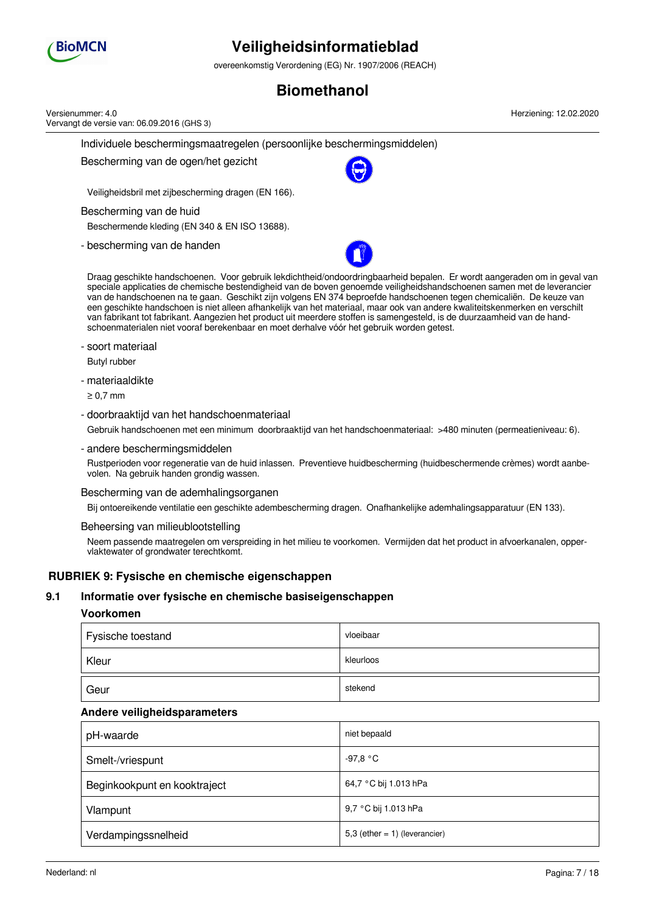

overeenkomstig Verordening (EG) Nr. 1907/2006 (REACH)

## **Biomethanol**

|     | Versienummer: 4.0<br>Vervangt de versie van: 06.09.2016 (GHS 3)                           | Herziening: 12.02.2020                                                                                                                                                                                                                                                                                                                                                                                                                                                                                                                                                                                                               |  |  |  |  |
|-----|-------------------------------------------------------------------------------------------|--------------------------------------------------------------------------------------------------------------------------------------------------------------------------------------------------------------------------------------------------------------------------------------------------------------------------------------------------------------------------------------------------------------------------------------------------------------------------------------------------------------------------------------------------------------------------------------------------------------------------------------|--|--|--|--|
|     | Individuele beschermingsmaatregelen (persoonlijke beschermingsmiddelen)                   |                                                                                                                                                                                                                                                                                                                                                                                                                                                                                                                                                                                                                                      |  |  |  |  |
|     | Bescherming van de ogen/het gezicht                                                       |                                                                                                                                                                                                                                                                                                                                                                                                                                                                                                                                                                                                                                      |  |  |  |  |
|     | Veiligheidsbril met zijbescherming dragen (EN 166).                                       |                                                                                                                                                                                                                                                                                                                                                                                                                                                                                                                                                                                                                                      |  |  |  |  |
|     | Bescherming van de huid                                                                   |                                                                                                                                                                                                                                                                                                                                                                                                                                                                                                                                                                                                                                      |  |  |  |  |
|     | Beschermende kleding (EN 340 & EN ISO 13688).                                             |                                                                                                                                                                                                                                                                                                                                                                                                                                                                                                                                                                                                                                      |  |  |  |  |
|     | - bescherming van de handen                                                               |                                                                                                                                                                                                                                                                                                                                                                                                                                                                                                                                                                                                                                      |  |  |  |  |
|     | schoenmaterialen niet vooraf berekenbaar en moet derhalve vóór het gebruik worden getest. | Draag geschikte handschoenen. Voor gebruik lekdichtheid/ondoordringbaarheid bepalen. Er wordt aangeraden om in geval van<br>speciale applicaties de chemische bestendigheid van de boven genoemde veiligheidshandschoenen samen met de leverancier<br>van de handschoenen na te gaan. Geschikt zijn volgens EN 374 beproefde handschoenen tegen chemicaliën. De keuze van<br>een geschikte handschoen is niet alleen afhankelijk van het materiaal, maar ook van andere kwaliteitskenmerken en verschilt<br>van fabrikant tot fabrikant. Aangezien het product uit meerdere stoffen is samengesteld, is de duurzaamheid van de hand- |  |  |  |  |
|     | - soort materiaal                                                                         |                                                                                                                                                                                                                                                                                                                                                                                                                                                                                                                                                                                                                                      |  |  |  |  |
|     | Butyl rubber                                                                              |                                                                                                                                                                                                                                                                                                                                                                                                                                                                                                                                                                                                                                      |  |  |  |  |
|     | - materiaaldikte                                                                          |                                                                                                                                                                                                                                                                                                                                                                                                                                                                                                                                                                                                                                      |  |  |  |  |
|     | $\geq 0.7$ mm                                                                             |                                                                                                                                                                                                                                                                                                                                                                                                                                                                                                                                                                                                                                      |  |  |  |  |
|     | - doorbraaktijd van het handschoenmateriaal                                               |                                                                                                                                                                                                                                                                                                                                                                                                                                                                                                                                                                                                                                      |  |  |  |  |
|     |                                                                                           | Gebruik handschoenen met een minimum doorbraaktijd van het handschoenmateriaal: >480 minuten (permeatieniveau: 6).                                                                                                                                                                                                                                                                                                                                                                                                                                                                                                                   |  |  |  |  |
|     | - andere beschermingsmiddelen                                                             |                                                                                                                                                                                                                                                                                                                                                                                                                                                                                                                                                                                                                                      |  |  |  |  |
|     | volen. Na gebruik handen grondig wassen.                                                  | Rustperioden voor regeneratie van de huid inlassen. Preventieve huidbescherming (huidbeschermende crèmes) wordt aanbe-                                                                                                                                                                                                                                                                                                                                                                                                                                                                                                               |  |  |  |  |
|     | Bescherming van de ademhalingsorganen                                                     |                                                                                                                                                                                                                                                                                                                                                                                                                                                                                                                                                                                                                                      |  |  |  |  |
|     |                                                                                           | Bij ontoereikende ventilatie een geschikte adembescherming dragen. Onafhankelijke ademhalingsapparatuur (EN 133).                                                                                                                                                                                                                                                                                                                                                                                                                                                                                                                    |  |  |  |  |
|     | Beheersing van milieublootstelling                                                        |                                                                                                                                                                                                                                                                                                                                                                                                                                                                                                                                                                                                                                      |  |  |  |  |
|     | vlaktewater of grondwater terechtkomt.                                                    | Neem passende maatregelen om verspreiding in het milieu te voorkomen. Vermijden dat het product in afvoerkanalen, opper-                                                                                                                                                                                                                                                                                                                                                                                                                                                                                                             |  |  |  |  |
|     | RUBRIEK 9: Fysische en chemische eigenschappen                                            |                                                                                                                                                                                                                                                                                                                                                                                                                                                                                                                                                                                                                                      |  |  |  |  |
| 9.1 | Informatie over fysische en chemische basiseigenschappen                                  |                                                                                                                                                                                                                                                                                                                                                                                                                                                                                                                                                                                                                                      |  |  |  |  |
|     | Voorkomen                                                                                 |                                                                                                                                                                                                                                                                                                                                                                                                                                                                                                                                                                                                                                      |  |  |  |  |
|     | Fysische toestand                                                                         | vloeibaar                                                                                                                                                                                                                                                                                                                                                                                                                                                                                                                                                                                                                            |  |  |  |  |
|     | Kleur                                                                                     | kleurloos                                                                                                                                                                                                                                                                                                                                                                                                                                                                                                                                                                                                                            |  |  |  |  |
|     | Geur                                                                                      | stekend                                                                                                                                                                                                                                                                                                                                                                                                                                                                                                                                                                                                                              |  |  |  |  |
|     | Andere veiligheidsparameters                                                              |                                                                                                                                                                                                                                                                                                                                                                                                                                                                                                                                                                                                                                      |  |  |  |  |
|     |                                                                                           |                                                                                                                                                                                                                                                                                                                                                                                                                                                                                                                                                                                                                                      |  |  |  |  |

| pH-waarde                    | niet bepaald                     |
|------------------------------|----------------------------------|
| Smelt-/vriespunt             | -97,8 °C                         |
| Beginkookpunt en kooktraject | 64,7 °C bij 1.013 hPa            |
| Vlampunt                     | 9,7 °C bij 1.013 hPa             |
| Verdampingssnelheid          | 5,3 (ether = $1$ ) (leverancier) |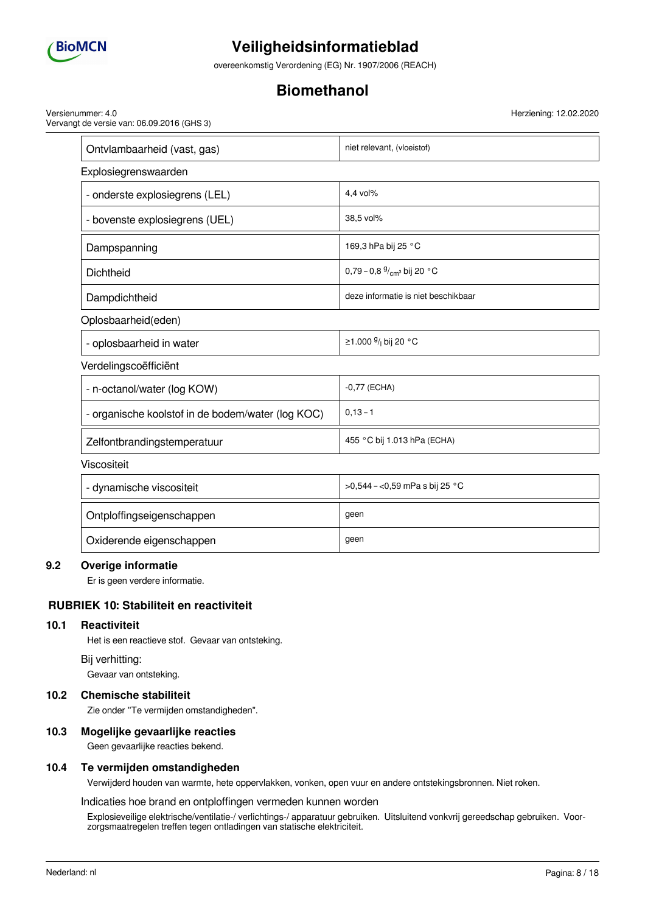

overeenkomstig Verordening (EG) Nr. 1907/2006 (REACH)

## **Biomethanol**

Versienummer: 4.0 Vervangt de versie van: 06.09.2016 (GHS 3) Herziening: 12.02.2020

| Ontvlambaarheid (vast, gas)                       | niet relevant, (vloeistof)                   |
|---------------------------------------------------|----------------------------------------------|
| Explosiegrenswaarden                              |                                              |
| - onderste explosiegrens (LEL)                    | 4,4 vol%                                     |
| - bovenste explosiegrens (UEL)                    | 38,5 vol%                                    |
| Dampspanning                                      | 169,3 hPa bij 25 °C                          |
| Dichtheid                                         | 0,79 - 0,8 $\frac{9}{cm}$ bij 20 °C          |
| Dampdichtheid                                     | deze informatie is niet beschikbaar          |
| Oplosbaarheid(eden)                               |                                              |
| - oplosbaarheid in water                          | ≥1.000 <sup>g</sup> / <sub>l</sub> bij 20 °C |
| Verdelingscoëfficiënt                             |                                              |
| - n-octanol/water (log KOW)                       | $-0,77$ (ECHA)                               |
| - organische koolstof in de bodem/water (log KOC) | $0, 13 - 1$                                  |
| Zelfontbrandingstemperatuur                       | 455 °C bij 1.013 hPa (ECHA)                  |
| Viscositeit                                       |                                              |
| - dynamische viscositeit                          | >0,544 - <0,59 mPa s bij 25 °C               |
| Ontploffingseigenschappen                         | geen                                         |

## Oxiderende eigenschappen geen geen

### **9.2 Overige informatie**

Er is geen verdere informatie.

### **RUBRIEK 10: Stabiliteit en reactiviteit**

#### **10.1 Reactiviteit**

Het is een reactieve stof. Gevaar van ontsteking.

#### Bij verhitting:

Gevaar van ontsteking.

### **10.2 Chemische stabiliteit**

Zie onder ''Te vermijden omstandigheden".

#### **10.3 Mogelijke gevaarlijke reacties**

Geen gevaarlijke reacties bekend.

### **10.4 Te vermijden omstandigheden**

Verwijderd houden van warmte, hete oppervlakken, vonken, open vuur en andere ontstekingsbronnen. Niet roken.

#### Indicaties hoe brand en ontploffingen vermeden kunnen worden

Explosieveilige elektrische/ventilatie-/ verlichtings-/ apparatuur gebruiken. Uitsluitend vonkvrij gereedschap gebruiken. Voorzorgsmaatregelen treffen tegen ontladingen van statische elektriciteit.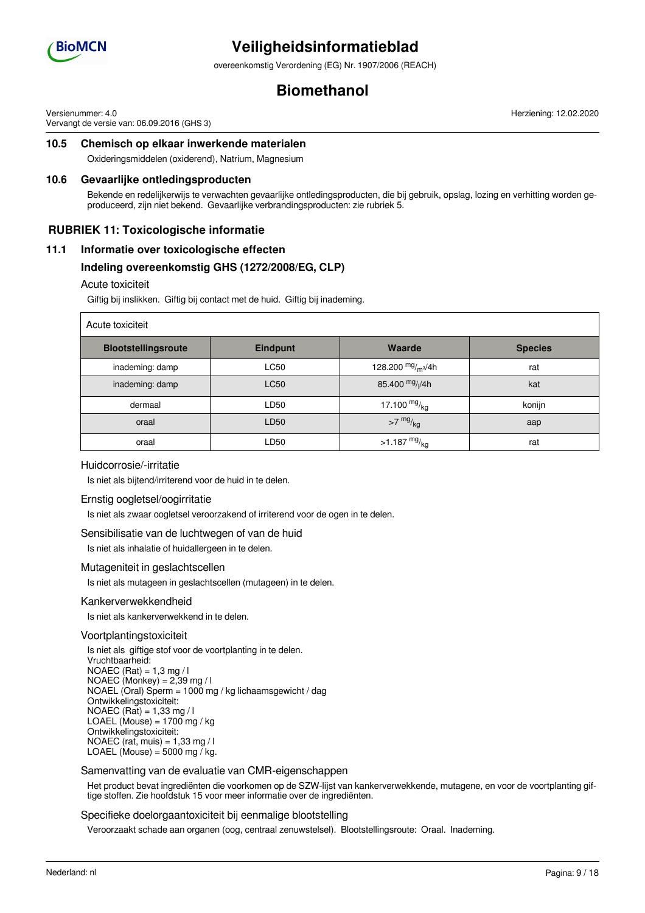

overeenkomstig Verordening (EG) Nr. 1907/2006 (REACH)

## **Biomethanol**

Versienummer: 4.0 Vervangt de versie van: 06.09.2016 (GHS 3) Herziening: 12.02.2020

## **10.5 Chemisch op elkaar inwerkende materialen**

Oxideringsmiddelen (oxiderend), Natrium, Magnesium

#### **10.6 Gevaarlijke ontledingsproducten**

Bekende en redelijkerwijs te verwachten gevaarlijke ontledingsproducten, die bij gebruik, opslag, lozing en verhitting worden geproduceerd, zijn niet bekend. Gevaarlijke verbrandingsproducten: zie rubriek 5.

### **RUBRIEK 11: Toxicologische informatie**

### **11.1 Informatie over toxicologische effecten**

### **Indeling overeenkomstig GHS (1272/2008/EG, CLP)**

#### Acute toxiciteit

Giftig bij inslikken. Giftig bij contact met de huid. Giftig bij inademing.

| Acute toxiciteit           |                 |                         |                |  |  |
|----------------------------|-----------------|-------------------------|----------------|--|--|
| <b>Blootstellingsroute</b> | <b>Eindpunt</b> | Waarde                  | <b>Species</b> |  |  |
| inademing: damp            | <b>LC50</b>     | 128.200 $mg/m^3/4h$     | rat            |  |  |
| inademing: damp            | <b>LC50</b>     | 85.400 $mg/1/4h$        | kat            |  |  |
| dermaal                    | LD50            | 17.100 $mg/ka$          | konijn         |  |  |
| oraal                      | LD50            | $>7$ mg/ $_{\text{kg}}$ | aap            |  |  |
| oraal                      | LD50            | $>1.187 \frac{mg}{kg}$  | rat            |  |  |

#### Huidcorrosie/-irritatie

Is niet als bijtend/irriterend voor de huid in te delen.

#### Ernstig oogletsel/oogirritatie

Is niet als zwaar oogletsel veroorzakend of irriterend voor de ogen in te delen.

#### Sensibilisatie van de luchtwegen of van de huid

Is niet als inhalatie of huidallergeen in te delen.

#### Mutageniteit in geslachtscellen

Is niet als mutageen in geslachtscellen (mutageen) in te delen.

#### Kankerverwekkendheid

Is niet als kankerverwekkend in te delen.

#### Voortplantingstoxiciteit

Is niet als giftige stof voor de voortplanting in te delen. Vruchtbaarheid:  $NOAEC (Rat) = 1,3 mg / I$ NOAEC (Monkey) = 2,39 mg / l NOAEL (Oral) Sperm = 1000 mg / kg lichaamsgewicht / dag Ontwikkelingstoxiciteit: NOAEC (Rat) =  $1,33$  mg / l LOAEL (Mouse) =  $1700$  mg / kg Ontwikkelingstoxiciteit: NOAEC (rat, muis) =  $1,33$  mg / l LOAEL (Mouse) =  $5000$  mg / kg.

#### Samenvatting van de evaluatie van CMR-eigenschappen

Het product bevat ingrediënten die voorkomen op de SZW-lijst van kankerverwekkende, mutagene, en voor de voortplanting giftige stoffen. Zie hoofdstuk 15 voor meer informatie over de ingrediënten.

#### Specifieke doelorgaantoxiciteit bij eenmalige blootstelling

Veroorzaakt schade aan organen (oog, centraal zenuwstelsel). Blootstellingsroute: Oraal. Inademing.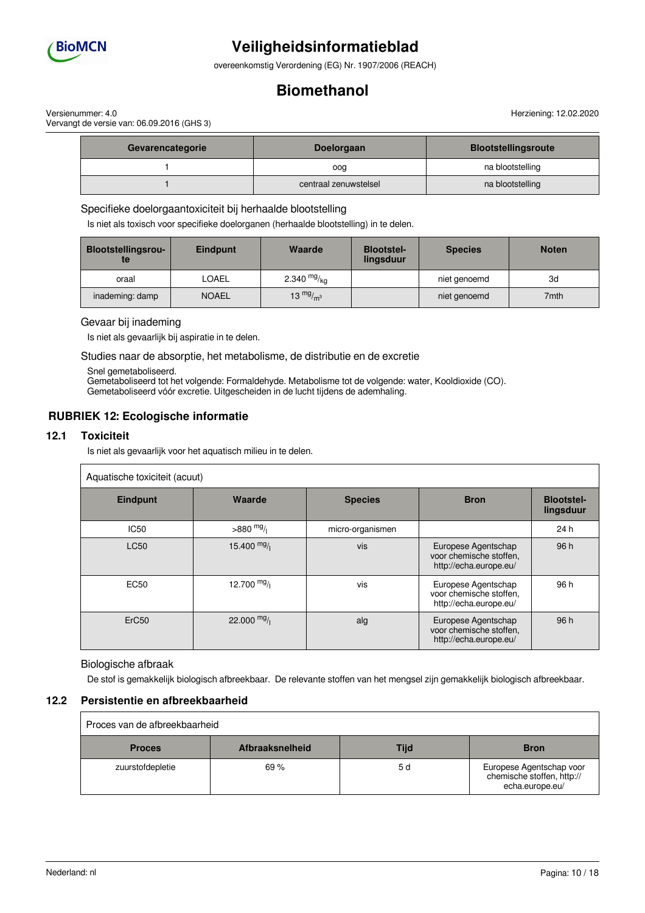

overeenkomstig Verordening (EG) Nr. 1907/2006 (REACH)

## **Biomethanol**

Versienummer: 4.0 Vervangt de versie van: 06.09.2016 (GHS 3)

| Gevarencategorie | <b>Doelorgaan</b>     | <b>Blootstellingsroute</b> |
|------------------|-----------------------|----------------------------|
|                  | oog                   | na blootstelling           |
|                  | centraal zenuwstelsel | na blootstelling           |

Specifieke doelorgaantoxiciteit bij herhaalde blootstelling

Is niet als toxisch voor specifieke doelorganen (herhaalde blootstelling) in te delen.

| <b>Blootstellingsrou-</b><br>te | <b>Eindpunt</b> | Waarde        | <b>Blootstel-</b><br>lingsduur | <b>Species</b> | <b>Noten</b> |
|---------------------------------|-----------------|---------------|--------------------------------|----------------|--------------|
| oraal                           | LOAEL           | 2.340 $mg/kq$ |                                | niet genoemd   | 3d           |
| inademing: damp                 | <b>NOAEL</b>    | 13 $mg/m3$    |                                | niet genoemd   | 7mth         |

#### Gevaar bij inademing

Is niet als gevaarlijk bij aspiratie in te delen.

Studies naar de absorptie, het metabolisme, de distributie en de excretie

Snel gemetaboliseerd.

Gemetaboliseerd tot het volgende: Formaldehyde. Metabolisme tot de volgende: water, Kooldioxide (CO). Gemetaboliseerd vóór excretie. Uitgescheiden in de lucht tijdens de ademhaling.

## **RUBRIEK 12: Ecologische informatie**

#### **12.1 Toxiciteit**

Is niet als gevaarlijk voor het aquatisch milieu in te delen.

| Aquatische toxiciteit (acuut) |               |                  |                                                                          |                                |
|-------------------------------|---------------|------------------|--------------------------------------------------------------------------|--------------------------------|
| Eindpunt                      | Waarde        | <b>Species</b>   | <b>Bron</b>                                                              | <b>Blootstel-</b><br>lingsduur |
| <b>IC50</b>                   | $>880$ mg/    | micro-organismen |                                                                          | 24 h                           |
| <b>LC50</b>                   | 15.400 $mg/$  | vis              | Europese Agentschap<br>voor chemische stoffen.<br>http://echa.europe.eu/ | 96 h                           |
| <b>EC50</b>                   | 12.700 $mg/$  | vis              | Europese Agentschap<br>voor chemische stoffen.<br>http://echa.europe.eu/ | 96 h                           |
| ErC <sub>50</sub>             | 22.000 $mg/1$ | alg              | Europese Agentschap<br>voor chemische stoffen,<br>http://echa.europe.eu/ | 96 h                           |

#### Biologische afbraak

De stof is gemakkelijk biologisch afbreekbaar. De relevante stoffen van het mengsel zijn gemakkelijk biologisch afbreekbaar.

### **12.2 Persistentie en afbreekbaarheid**

| Proces van de afbreekbaarheid |                        |      |                                                                           |  |
|-------------------------------|------------------------|------|---------------------------------------------------------------------------|--|
| <b>Proces</b>                 | <b>Afbraaksnelheid</b> | Tijd | <b>Bron</b>                                                               |  |
| zuurstofdepletie              | 69%                    | 5 d  | Europese Agentschap voor<br>chemische stoffen, http://<br>echa.europe.eu/ |  |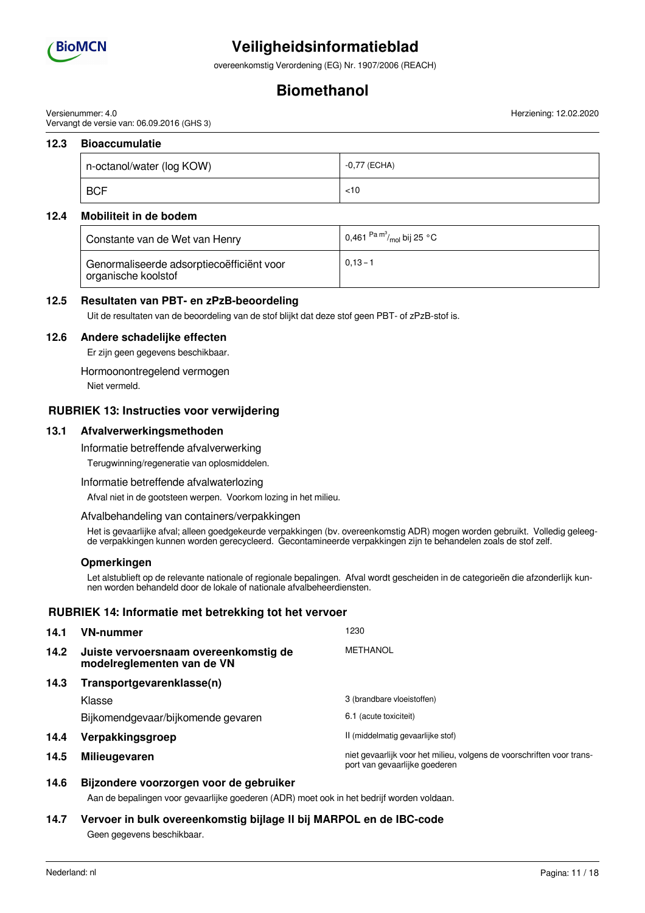

overeenkomstig Verordening (EG) Nr. 1907/2006 (REACH)

## **Biomethanol**

Versienummer: 4.0 Vervangt de versie van: 06.09.2016 (GHS 3)

### **12.3 Bioaccumulatie**

| n-octanol/water (log KOW) | -0,77 (ECHA) |
|---------------------------|--------------|
| <b>BCF</b>                | < 10         |

### **12.4 Mobiliteit in de bodem**

| Constante van de Wet van Henry                                   | 0,461 $\mathrm{^{Pa}}$ $\mathrm{^{m^3}\!}/_{\mathrm{mol}}$ bij 25 $\mathrm{^{\circ}C}$ |
|------------------------------------------------------------------|----------------------------------------------------------------------------------------|
| Genormaliseerde adsorptiecoëfficiënt voor<br>organische koolstof | $0.13 - 1$                                                                             |

### **12.5 Resultaten van PBT- en zPzB-beoordeling**

Uit de resultaten van de beoordeling van de stof blijkt dat deze stof geen PBT- of zPzB-stof is.

### **12.6 Andere schadelijke effecten**

Er zijn geen gegevens beschikbaar.

Hormoonontregelend vermogen

Niet vermeld.

### **RUBRIEK 13: Instructies voor verwijdering**

#### **13.1 Afvalverwerkingsmethoden**

Informatie betreffende afvalverwerking

Terugwinning/regeneratie van oplosmiddelen.

#### Informatie betreffende afvalwaterlozing

Afval niet in de gootsteen werpen. Voorkom lozing in het milieu.

#### Afvalbehandeling van containers/verpakkingen

Het is gevaarlijke afval; alleen goedgekeurde verpakkingen (bv. overeenkomstig ADR) mogen worden gebruikt. Volledig geleegde verpakkingen kunnen worden gerecycleerd. Gecontamineerde verpakkingen zijn te behandelen zoals de stof zelf.

#### **Opmerkingen**

Let alstublieft op de relevante nationale of regionale bepalingen. Afval wordt gescheiden in de categorieën die afzonderlijk kunnen worden behandeld door de lokale of nationale afvalbeheerdiensten.

### **RUBRIEK 14: Informatie met betrekking tot het vervoer**

| 14.1 | <b>VN-nummer</b>                                                    | 1230                                                                                                   |
|------|---------------------------------------------------------------------|--------------------------------------------------------------------------------------------------------|
| 14.2 | Juiste vervoersnaam overeenkomstig de<br>modelreglementen van de VN | METHANOL                                                                                               |
| 14.3 | Transportgevarenklasse(n)                                           |                                                                                                        |
|      | Klasse                                                              | 3 (brandbare vloeistoffen)                                                                             |
|      | Bijkomendgevaar/bijkomende gevaren                                  | 6.1 (acute toxiciteit)                                                                                 |
| 14.4 | Verpakkingsgroep                                                    | II (middelmatig gevaarlijke stof)                                                                      |
| 14.5 | <b>Milieugevaren</b>                                                | niet gevaarlijk voor het milieu, volgens de voorschriften voor trans-<br>port van gevaarlijke goederen |

### **14.6 Bijzondere voorzorgen voor de gebruiker**

Aan de bepalingen voor gevaarlijke goederen (ADR) moet ook in het bedrijf worden voldaan.

### **14.7 Vervoer in bulk overeenkomstig bijlage II bij MARPOL en de IBC-code** Geen gegevens beschikbaar.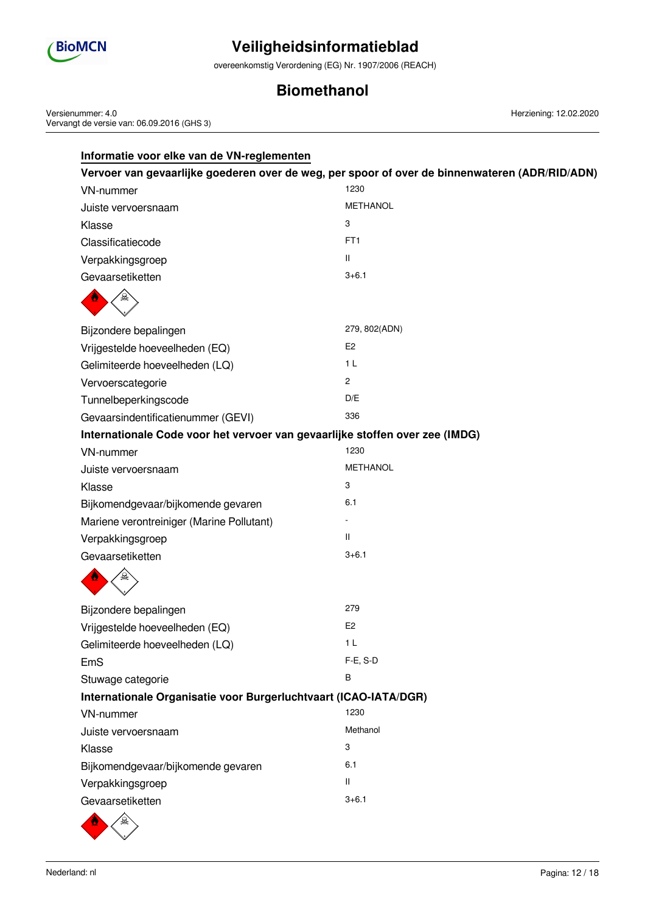

overeenkomstig Verordening (EG) Nr. 1907/2006 (REACH)

## **Biomethanol**

Versienummer: 4.0 Vervangt de versie van: 06.09.2016 (GHS 3)

| Informatie voor elke van de VN-reglementen                                                     |                 |  |  |  |
|------------------------------------------------------------------------------------------------|-----------------|--|--|--|
| Vervoer van gevaarlijke goederen over de weg, per spoor of over de binnenwateren (ADR/RID/ADN) |                 |  |  |  |
| <b>VN-nummer</b>                                                                               | 1230            |  |  |  |
| Juiste vervoersnaam                                                                            | <b>METHANOL</b> |  |  |  |
| Klasse                                                                                         | 3               |  |  |  |
| Classificatiecode                                                                              | FT <sub>1</sub> |  |  |  |
| Verpakkingsgroep                                                                               | $\mathbf{H}$    |  |  |  |
| Gevaarsetiketten                                                                               | $3 + 6.1$       |  |  |  |
|                                                                                                |                 |  |  |  |
| Bijzondere bepalingen                                                                          | 279, 802(ADN)   |  |  |  |
| Vrijgestelde hoeveelheden (EQ)                                                                 | E <sub>2</sub>  |  |  |  |
| Gelimiteerde hoeveelheden (LQ)                                                                 | 1 <sub>L</sub>  |  |  |  |
| Vervoerscategorie                                                                              | $\mathbf{2}$    |  |  |  |
| Tunnelbeperkingscode                                                                           | D/E             |  |  |  |
| Gevaarsindentificatienummer (GEVI)                                                             | 336             |  |  |  |
| Internationale Code voor het vervoer van gevaarlijke stoffen over zee (IMDG)                   |                 |  |  |  |
| <b>VN-nummer</b>                                                                               | 1230            |  |  |  |
| Juiste vervoersnaam                                                                            | <b>METHANOL</b> |  |  |  |
| Klasse                                                                                         | 3               |  |  |  |
| Bijkomendgevaar/bijkomende gevaren                                                             | 6.1             |  |  |  |
| Mariene verontreiniger (Marine Pollutant)                                                      |                 |  |  |  |
| Verpakkingsgroep                                                                               | $\mathbf{H}$    |  |  |  |
| Gevaarsetiketten                                                                               | $3 + 6.1$       |  |  |  |
|                                                                                                |                 |  |  |  |
| Bijzondere bepalingen                                                                          | 279             |  |  |  |
| Vrijgestelde hoeveelheden (EQ)                                                                 | E <sub>2</sub>  |  |  |  |
| Gelimiteerde hoeveelheden (LQ)                                                                 | 1 <sub>L</sub>  |  |  |  |
| EmS                                                                                            | F-E, S-D        |  |  |  |
| Stuwage categorie                                                                              | B               |  |  |  |
| Internationale Organisatie voor Burgerluchtvaart (ICAO-IATA/DGR)                               |                 |  |  |  |
| <b>VN-nummer</b>                                                                               | 1230            |  |  |  |
| Juiste vervoersnaam                                                                            | Methanol        |  |  |  |
| Klasse                                                                                         | 3               |  |  |  |
| Bijkomendgevaar/bijkomende gevaren                                                             | 6.1             |  |  |  |
| Verpakkingsgroep                                                                               | Ш               |  |  |  |
| Gevaarsetiketten                                                                               | $3 + 6.1$       |  |  |  |
|                                                                                                |                 |  |  |  |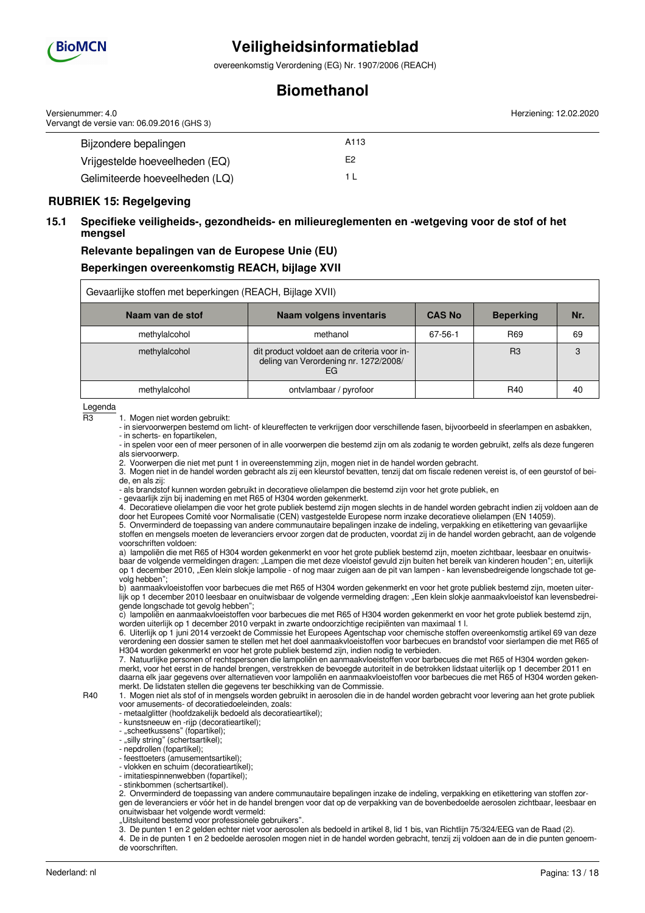

overeenkomstig Verordening (EG) Nr. 1907/2006 (REACH)

## **Biomethanol**

| Versienummer: 4.0<br>Vervangt de versie van: 06.09.2016 (GHS 3) |      | Herziening: 12.02.2020 |
|-----------------------------------------------------------------|------|------------------------|
| Bijzondere bepalingen                                           | A113 |                        |
| Vrijgestelde hoeveelheden (EQ)                                  | E2   |                        |
| Gelimiteerde hoeveelheden (LQ)                                  |      |                        |

### **RUBRIEK 15: Regelgeving**

### **15.1 Specifieke veiligheids-, gezondheids- en milieureglementen en -wetgeving voor de stof of het mengsel**

## **Relevante bepalingen van de Europese Unie (EU) Beperkingen overeenkomstig REACH, bijlage XVII**

| Gevaarlijke stoffen met beperkingen (REACH, Bijlage XVII) |                                                                                             |               |                  |     |
|-----------------------------------------------------------|---------------------------------------------------------------------------------------------|---------------|------------------|-----|
| Naam van de stof                                          | <b>Naam volgens inventaris</b>                                                              | <b>CAS No</b> | <b>Beperking</b> | Nr. |
| methylalcohol                                             | methanol                                                                                    | 67-56-1       | R69              | 69  |
| methylalcohol                                             | dit product voldoet aan de criteria voor in-<br>deling van Verordening nr. 1272/2008/<br>EG |               | R3               | 3   |
| methylalcohol                                             | ontvlambaar / pyrofoor                                                                      |               | R40              | 40  |

Legenda

R3 1. Mogen niet worden gebruikt:

- in siervoorwerpen bestemd om licht- of kleureffecten te verkrijgen door verschillende fasen, bijvoorbeeld in sfeerlampen en asbakken, - in scherts- en fopartikelen,

- in spelen voor een of meer personen of in alle voorwerpen die bestemd zijn om als zodanig te worden gebruikt, zelfs als deze fungeren als siervoorwerp.

2. Voorwerpen die niet met punt 1 in overeenstemming zijn, mogen niet in de handel worden gebracht.

3. Mogen niet in de handel worden gebracht als zij een kleurstof bevatten, tenzij dat om fiscale redenen vereist is, of een geurstof of beide, en als zij:

- als brandstof kunnen worden gebruikt in decoratieve olielampen die bestemd zijn voor het grote publiek, en

- gevaarlijk zijn bij inademing en met R65 of H304 worden gekenmerkt.

4. Decoratieve olielampen die voor het grote publiek bestemd zijn mogen slechts in de handel worden gebracht indien zij voldoen aan de door het Europees Comité voor Normalisatie (CEN) vastgestelde Europese norm inzake decoratieve olielampen (EN 14059).

5. Onverminderd de toepassing van andere communautaire bepalingen inzake de indeling, verpakking en etikettering van gevaarlijke stoffen en mengsels moeten de leveranciers ervoor zorgen dat de producten, voordat zij in de handel worden gebracht, aan de volgende voorschriften voldoen:

a) lampoliën die met R65 of H304 worden gekenmerkt en voor het grote publiek bestemd zijn, moeten zichtbaar, leesbaar en onuitwisbaar de volgende vermeldingen dragen: "Lampen die met deze vloeistof gevuld zijn buiten het bereik van kinderen houden"; en, uiterlijk op 1 december 2010, "Een klein slokje lampolie - of nog maar zuigen aan de pit van lampen - kan levensbedreigende longschade tot gevolg hebben"

b) aanmaakvloeistoffen voor barbecues die met R65 of H304 worden gekenmerkt en voor het grote publiek bestemd zijn, moeten uiterlijk op 1 december 2010 leesbaar en onuitwisbaar de volgende vermelding dragen: "Een klein slokje aanmaakvloeistof kan levensbedreigende longschade tot gevolg hebben";

c) lampoliën en aanmaakvloeistoffen voor barbecues die met R65 of H304 worden gekenmerkt en voor het grote publiek bestemd zijn, worden uiterlijk op 1 december 2010 verpakt in zwarte ondoorzichtige recipiënten van maximaal 1 l.

6. Uiterlijk op 1 juni 2014 verzoekt de Commissie het Europees Agentschap voor chemische stoffen overeenkomstig artikel 69 van deze verordening een dossier samen te stellen met het doel aanmaakvloeistoffen voor barbecues en brandstof voor sierlampen die met R65 of H304 worden gekenmerkt en voor het grote publiek bestemd zijn, indien nodig te verbieden.

7. Natuurlijke personen of rechtspersonen die lampoliën en aanmaakvloeistoffen voor barbecues die met R65 of H304 worden gekenmerkt, voor het eerst in de handel brengen, verstrekken de bevoegde autoriteit in de betrokken lidstaat uiterlijk op 1 december 2011 en daarna elk jaar gegevens over alternatieven voor lampoliën en aanmaakvloeistoffen voor barbecues die met R65 of H304 worden gekenmerkt. De lidstaten stellen die gegevens ter beschikking van de Commissie.

R40 1. Mogen niet als stof of in mengsels worden gebruikt in aerosolen die in de handel worden gebracht voor levering aan het grote publiek voor amusements- of decoratiedoeleinden, zoals:

- metaalglitter (hoofdzakelijk bedoeld als decoratieartikel);

- kunstsneeuw en -rijp (decoratieartikel);

- "scheetkussens" (fopartikel);

- "silly string" (schertsartikel);

- nepdrollen (fopartikel);

- feesttoeters (amusementsartikel);

- vlokken en schuim (decoratieartikel); - imitatiespinnenwebben (fopartikel);

- stinkbommen (schertsartikel).

2. Onverminderd de toepassing van andere communautaire bepalingen inzake de indeling, verpakking en etikettering van stoffen zorgen de leveranciers er vóór het in de handel brengen voor dat op de verpakking van de bovenbedoelde aerosolen zichtbaar, leesbaar en onuitwisbaar het volgende wordt vermeld:

"Uitsluitend bestemd voor professionele gebruikers".

3. De punten 1 en 2 gelden echter niet voor aerosolen als bedoeld in artikel 8, lid 1 bis, van Richtlijn 75/324/EEG van de Raad (2).

4. De in de punten 1 en 2 bedoelde aerosolen mogen niet in de handel worden gebracht, tenzij zij voldoen aan de in die punten genoemde voorschriften.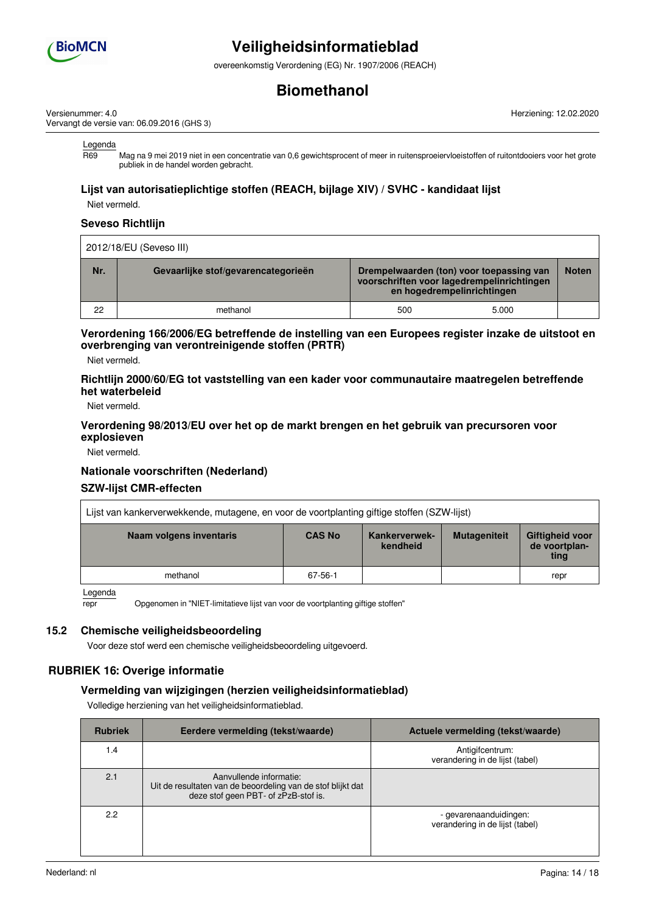

overeenkomstig Verordening (EG) Nr. 1907/2006 (REACH)

## **Biomethanol**

Versienummer: 4.0 Vervangt de versie van: 06.09.2016 (GHS 3) Herziening: 12.02.2020

Legenda

R69 Mag na 9 mei 2019 niet in een concentratie van 0,6 gewichtsprocent of meer in ruitensproeiervloeistoffen of ruitontdooiers voor het grote publiek in de handel worden gebracht.

### **Lijst van autorisatieplichtige stoffen (REACH, bijlage XIV) / SVHC - kandidaat lijst**

Niet vermeld.

#### **Seveso Richtlijn**

|     | 2012/18/EU (Seveso III)             |                                                                                                                      |       |              |  |
|-----|-------------------------------------|----------------------------------------------------------------------------------------------------------------------|-------|--------------|--|
| Nr. | Gevaarlijke stof/gevarencategorieën | Drempelwaarden (ton) voor toepassing van<br>voorschriften voor lagedrempelinrichtingen<br>en hogedrempelinrichtingen |       | <b>Noten</b> |  |
| 22  | methanol                            | 500                                                                                                                  | 5.000 |              |  |

### **Verordening 166/2006/EG betreffende de instelling van een Europees register inzake de uitstoot en overbrenging van verontreinigende stoffen (PRTR)**

Niet vermeld.

#### **Richtlijn 2000/60/EG tot vaststelling van een kader voor communautaire maatregelen betreffende het waterbeleid**

Niet vermeld.

#### **Verordening 98/2013/EU over het op de markt brengen en het gebruik van precursoren voor explosieven**

Niet vermeld.

#### **Nationale voorschriften (Nederland)**

#### **SZW-lijst CMR-effecten**

| Lijst van kankerverwekkende, mutagene, en voor de voortplanting giftige stoffen (SZW-lijst) |               |                                  |                     |                                                 |
|---------------------------------------------------------------------------------------------|---------------|----------------------------------|---------------------|-------------------------------------------------|
| Naam volgens inventaris                                                                     | <b>CAS No</b> | <b>Kankerverwek-</b><br>kendheid | <b>Mutageniteit</b> | <b>Giftigheid voor</b><br>de voortplan-<br>ting |
| methanol<br>67-56-1<br>repr                                                                 |               |                                  |                     |                                                 |

Legenda

repr Opgenomen in "NIET-limitatieve lijst van voor de voortplanting giftige stoffen"

#### **15.2 Chemische veiligheidsbeoordeling**

Voor deze stof werd een chemische veiligheidsbeoordeling uitgevoerd.

### **RUBRIEK 16: Overige informatie**

### **Vermelding van wijzigingen (herzien veiligheidsinformatieblad)**

Volledige herziening van het veiligheidsinformatieblad.

| <b>Rubriek</b> | Eerdere vermelding (tekst/waarde)                                                                                              | Actuele vermelding (tekst/waarde)                         |
|----------------|--------------------------------------------------------------------------------------------------------------------------------|-----------------------------------------------------------|
| 1.4            |                                                                                                                                | Antigifcentrum:<br>verandering in de lijst (tabel)        |
| 2.1            | Aanvullende informatie:<br>Uit de resultaten van de beoordeling van de stof blijkt dat<br>deze stof geen PBT- of zPzB-stof is. |                                                           |
| 2.2            |                                                                                                                                | - gevarenaanduidingen:<br>verandering in de lijst (tabel) |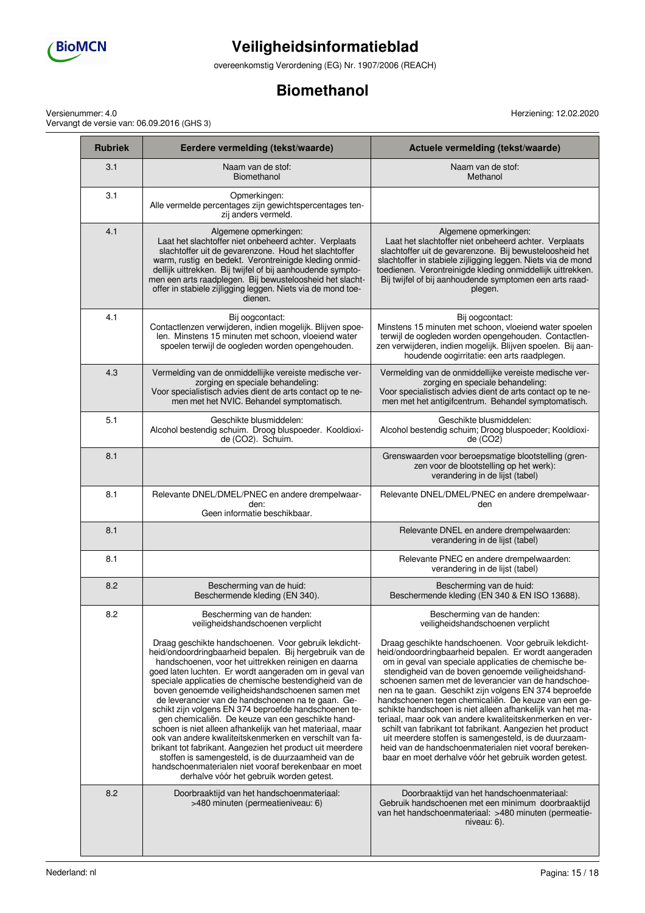

overeenkomstig Verordening (EG) Nr. 1907/2006 (REACH)

## **Biomethanol**

Versienummer: 4.0 Vervangt de versie van: 06.09.2016 (GHS 3)

T

**The Common** 

| <b>Rubriek</b> | Eerdere vermelding (tekst/waarde)                                                                                                                                                                                                                                                                                                                                                                                                                                                                                                                                                                                                                                                                                                                                                                                                                                   | Actuele vermelding (tekst/waarde)                                                                                                                                                                                                                                                                                                                                                                                                                                                                                                                                                                                                                                                                                                                                      |
|----------------|---------------------------------------------------------------------------------------------------------------------------------------------------------------------------------------------------------------------------------------------------------------------------------------------------------------------------------------------------------------------------------------------------------------------------------------------------------------------------------------------------------------------------------------------------------------------------------------------------------------------------------------------------------------------------------------------------------------------------------------------------------------------------------------------------------------------------------------------------------------------|------------------------------------------------------------------------------------------------------------------------------------------------------------------------------------------------------------------------------------------------------------------------------------------------------------------------------------------------------------------------------------------------------------------------------------------------------------------------------------------------------------------------------------------------------------------------------------------------------------------------------------------------------------------------------------------------------------------------------------------------------------------------|
| 3.1            | Naam van de stof:<br>Biomethanol                                                                                                                                                                                                                                                                                                                                                                                                                                                                                                                                                                                                                                                                                                                                                                                                                                    | Naam van de stof:<br>Methanol                                                                                                                                                                                                                                                                                                                                                                                                                                                                                                                                                                                                                                                                                                                                          |
| 3.1            | Opmerkingen:<br>Alle vermelde percentages zijn gewichtspercentages ten-<br>zij anders vermeld.                                                                                                                                                                                                                                                                                                                                                                                                                                                                                                                                                                                                                                                                                                                                                                      |                                                                                                                                                                                                                                                                                                                                                                                                                                                                                                                                                                                                                                                                                                                                                                        |
| 4.1            | Algemene opmerkingen:<br>Laat het slachtoffer niet onbeheerd achter. Verplaats<br>slachtoffer uit de gevarenzone. Houd het slachtoffer<br>warm, rustig en bedekt. Verontreinigde kleding onmid-<br>dellijk uittrekken. Bij twijfel of bij aanhoudende sympto-<br>men een arts raadplegen. Bij bewusteloosheid het slacht-<br>offer in stabiele zijligging leggen. Niets via de mond toe-<br>dienen.                                                                                                                                                                                                                                                                                                                                                                                                                                                                 | Algemene opmerkingen:<br>Laat het slachtoffer niet onbeheerd achter. Verplaats<br>slachtoffer uit de gevarenzone. Bij bewusteloosheid het<br>slachtoffer in stabiele zijligging leggen. Niets via de mond<br>toedienen. Verontreinigde kleding onmiddellijk uittrekken.<br>Bij twijfel of bij aanhoudende symptomen een arts raad-<br>plegen.                                                                                                                                                                                                                                                                                                                                                                                                                          |
| 4.1            | Bij oogcontact:<br>Contactlenzen verwijderen, indien mogelijk. Blijven spoe-<br>len. Minstens 15 minuten met schoon, vloeiend water<br>spoelen terwijl de oogleden worden opengehouden.                                                                                                                                                                                                                                                                                                                                                                                                                                                                                                                                                                                                                                                                             | Bij oogcontact:<br>Minstens 15 minuten met schoon, vloeiend water spoelen<br>terwijl de oogleden worden opengehouden. Contactlen-<br>zen verwijderen, indien mogelijk. Blijven spoelen. Bij aan-<br>houdende oogirritatie: een arts raadplegen.                                                                                                                                                                                                                                                                                                                                                                                                                                                                                                                        |
| 4.3            | Vermelding van de onmiddellijke vereiste medische ver-<br>zorging en speciale behandeling:<br>Voor specialistisch advies dient de arts contact op te ne-<br>men met het NVIC. Behandel symptomatisch.                                                                                                                                                                                                                                                                                                                                                                                                                                                                                                                                                                                                                                                               | Vermelding van de onmiddellijke vereiste medische ver-<br>zorging en speciale behandeling:<br>Voor specialistisch advies dient de arts contact op te ne-<br>men met het antigifcentrum. Behandel symptomatisch.                                                                                                                                                                                                                                                                                                                                                                                                                                                                                                                                                        |
| 5.1            | Geschikte blusmiddelen:<br>Alcohol bestendig schuim. Droog bluspoeder. Kooldioxi-<br>de (CO2). Schuim.                                                                                                                                                                                                                                                                                                                                                                                                                                                                                                                                                                                                                                                                                                                                                              | Geschikte blusmiddelen:<br>Alcohol bestendig schuim; Droog bluspoeder; Kooldioxi-<br>de (CO2)                                                                                                                                                                                                                                                                                                                                                                                                                                                                                                                                                                                                                                                                          |
| 8.1            |                                                                                                                                                                                                                                                                                                                                                                                                                                                                                                                                                                                                                                                                                                                                                                                                                                                                     | Grenswaarden voor beroepsmatige blootstelling (gren-<br>zen voor de blootstelling op het werk):<br>verandering in de lijst (tabel)                                                                                                                                                                                                                                                                                                                                                                                                                                                                                                                                                                                                                                     |
| 8.1            | Relevante DNEL/DMEL/PNEC en andere drempelwaar-<br>den:<br>Geen informatie beschikbaar.                                                                                                                                                                                                                                                                                                                                                                                                                                                                                                                                                                                                                                                                                                                                                                             | Relevante DNEL/DMEL/PNEC en andere drempelwaar-<br>den                                                                                                                                                                                                                                                                                                                                                                                                                                                                                                                                                                                                                                                                                                                 |
| 8.1            |                                                                                                                                                                                                                                                                                                                                                                                                                                                                                                                                                                                                                                                                                                                                                                                                                                                                     | Relevante DNEL en andere drempelwaarden:<br>verandering in de lijst (tabel)                                                                                                                                                                                                                                                                                                                                                                                                                                                                                                                                                                                                                                                                                            |
| 8.1            |                                                                                                                                                                                                                                                                                                                                                                                                                                                                                                                                                                                                                                                                                                                                                                                                                                                                     | Relevante PNEC en andere drempelwaarden:<br>verandering in de lijst (tabel)                                                                                                                                                                                                                                                                                                                                                                                                                                                                                                                                                                                                                                                                                            |
| 8.2            | Bescherming van de huid:<br>Beschermende kleding (EN 340).                                                                                                                                                                                                                                                                                                                                                                                                                                                                                                                                                                                                                                                                                                                                                                                                          | Bescherming van de huid:<br>Beschermende kleding (EN 340 & EN ISO 13688).                                                                                                                                                                                                                                                                                                                                                                                                                                                                                                                                                                                                                                                                                              |
| 8.2            | Bescherming van de handen:<br>veiligheidshandschoenen verplicht                                                                                                                                                                                                                                                                                                                                                                                                                                                                                                                                                                                                                                                                                                                                                                                                     | Bescherming van de handen:<br>veiligheidshandschoenen verplicht                                                                                                                                                                                                                                                                                                                                                                                                                                                                                                                                                                                                                                                                                                        |
|                | Draag geschikte handschoenen. Voor gebruik lekdicht-<br>heid/ondoordringbaarheid bepalen. Bij hergebruik van de<br>handschoenen, voor het uittrekken reinigen en daarna<br>goed laten luchten. Er wordt aangeraden om in geval van<br>speciale applicaties de chemische bestendigheid van de<br>boven genoemde veiligheidshandschoenen samen met<br>de leverancier van de handschoenen na te gaan. Ge-<br>schikt zijn volgens EN 374 beproefde handschoenen te-<br>gen chemicaliën. De keuze van een geschikte hand-<br>schoen is niet alleen afhankelijk van het materiaal, maar<br>ook van andere kwaliteitskenmerken en verschilt van fa-<br>brikant tot fabrikant. Aangezien het product uit meerdere<br>stoffen is samengesteld, is de duurzaamheid van de<br>handschoenmaterialen niet vooraf berekenbaar en moet<br>derhalve vóór het gebruik worden getest. | Draag geschikte handschoenen. Voor gebruik lekdicht-<br>heid/ondoordringbaarheid bepalen. Er wordt aangeraden<br>om in geval van speciale applicaties de chemische be-<br>stendigheid van de boven genoemde veiligheidshand-<br>schoenen samen met de leverancier van de handschoe-<br>nen na te gaan. Geschikt zijn volgens EN 374 beproefde<br>handschoenen tegen chemicaliën. De keuze van een ge-<br>schikte handschoen is niet alleen afhankelijk van het ma-<br>teriaal, maar ook van andere kwaliteitskenmerken en ver-<br>schilt van fabrikant tot fabrikant. Aangezien het product<br>uit meerdere stoffen is samengesteld, is de duurzaam-<br>heid van de handschoenmaterialen niet vooraf bereken-<br>baar en moet derhalve vóór het gebruik worden getest. |
| 8.2            | Doorbraaktijd van het handschoenmateriaal:<br>>480 minuten (permeatieniveau: 6)                                                                                                                                                                                                                                                                                                                                                                                                                                                                                                                                                                                                                                                                                                                                                                                     | Doorbraaktijd van het handschoenmateriaal:<br>Gebruik handschoenen met een minimum doorbraaktijd<br>van het handschoenmateriaal: >480 minuten (permeatie-<br>niveau: 6).                                                                                                                                                                                                                                                                                                                                                                                                                                                                                                                                                                                               |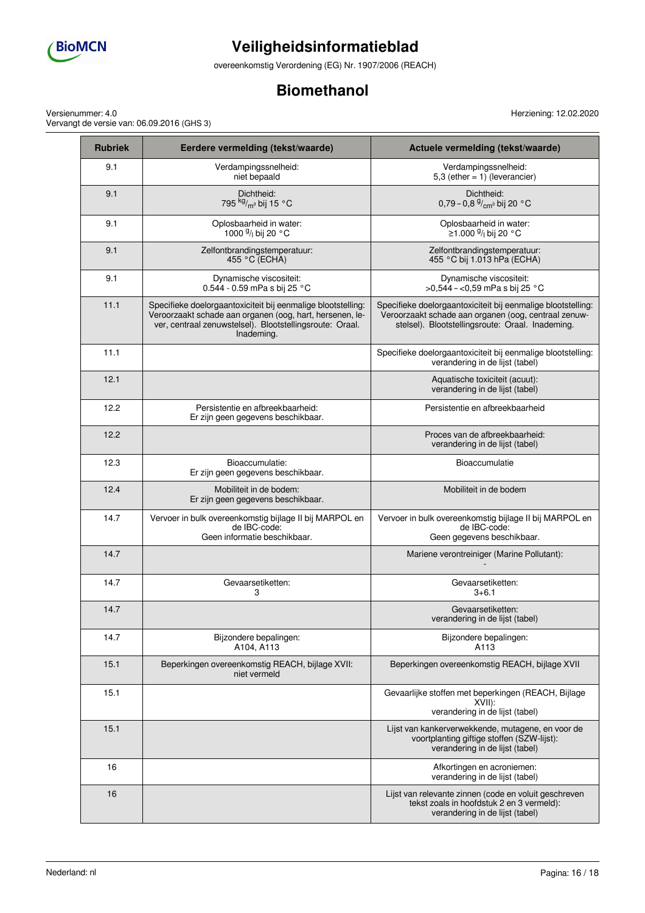

overeenkomstig Verordening (EG) Nr. 1907/2006 (REACH)

## **Biomethanol**

Herziening: 12.02.2020

Versienummer: 4.0 Vervangt de versie van: 06.09.2016 (GHS 3)

| <b>Rubriek</b> | Eerdere vermelding (tekst/waarde)                                                                                                                                                                  | Actuele vermelding (tekst/waarde)                                                                                                                                        |  |
|----------------|----------------------------------------------------------------------------------------------------------------------------------------------------------------------------------------------------|--------------------------------------------------------------------------------------------------------------------------------------------------------------------------|--|
| 9.1            | Verdampingssnelheid:<br>niet bepaald                                                                                                                                                               | Verdampingssnelheid:<br>5,3 (ether $= 1$ ) (leverancier)                                                                                                                 |  |
| 9.1            | Dichtheid:<br>795 kg/ <sub>m<sup>3</sup></sub> bij 15 °C                                                                                                                                           | Dichtheid:<br>0,79 – 0,8 $\frac{9}{cm}$ °C bij 20 °C                                                                                                                     |  |
| 9.1            | Oplosbaarheid in water:<br>1000 <sup>g</sup> / <sub>i</sub> bij 20 °C                                                                                                                              | Oplosbaarheid in water:<br><sup>.</sup> ≥1.000 <sup>g</sup> /⊢bij 20 °C                                                                                                  |  |
| 9.1            | Zelfontbrandingstemperatuur:<br>455 °C (ECHA)                                                                                                                                                      | Zelfontbrandingstemperatuur:<br>455 °C bij 1.013 hPa (ECHA)                                                                                                              |  |
| 9.1            | Dynamische viscositeit:<br>0.544 - 0.59 mPa s bij 25 °C                                                                                                                                            | Dynamische viscositeit:<br>>0,544 - <0,59 mPa s bij 25 °C                                                                                                                |  |
| 11.1           | Specifieke doelorgaantoxiciteit bij eenmalige blootstelling:<br>Veroorzaakt schade aan organen (oog, hart, hersenen, le-<br>ver, centraal zenuwstelsel). Blootstellingsroute: Oraal.<br>Inademing. | Specifieke doelorgaantoxiciteit bij eenmalige blootstelling:<br>Veroorzaakt schade aan organen (oog, centraal zenuw-<br>stelsel). Blootstellingsroute: Oraal. Inademing. |  |
| 11.1           |                                                                                                                                                                                                    | Specifieke doelorgaantoxiciteit bij eenmalige blootstelling:<br>verandering in de lijst (tabel)                                                                          |  |
| 12.1           |                                                                                                                                                                                                    | Aquatische toxiciteit (acuut):<br>verandering in de lijst (tabel)                                                                                                        |  |
| 12.2           | Persistentie en afbreekbaarheid:<br>Er zijn geen gegevens beschikbaar.                                                                                                                             | Persistentie en afbreekbaarheid                                                                                                                                          |  |
| 12.2           |                                                                                                                                                                                                    | Proces van de afbreekbaarheid:<br>verandering in de lijst (tabel)                                                                                                        |  |
| 12.3           | Bioaccumulatie:<br>Er zijn geen gegevens beschikbaar.                                                                                                                                              | Bioaccumulatie                                                                                                                                                           |  |
| 12.4           | Mobiliteit in de bodem:<br>Er zijn geen gegevens beschikbaar.                                                                                                                                      | Mobiliteit in de bodem                                                                                                                                                   |  |
| 14.7           | Vervoer in bulk overeenkomstig bijlage II bij MARPOL en<br>de IBC-code:<br>Geen informatie beschikbaar.                                                                                            | Vervoer in bulk overeenkomstig bijlage II bij MARPOL en<br>de IBC-code:<br>Geen gegevens beschikbaar.                                                                    |  |
| 14.7           |                                                                                                                                                                                                    | Mariene verontreiniger (Marine Pollutant):                                                                                                                               |  |
| 14.7           | Gevaarsetiketten:<br>3                                                                                                                                                                             | Gevaarsetiketten:<br>$3 + 6.1$                                                                                                                                           |  |
| 14.7           |                                                                                                                                                                                                    | Gevaarsetiketten:<br>verandering in de lijst (tabel)                                                                                                                     |  |
| 14.7           | Bijzondere bepalingen:<br>A104, A113                                                                                                                                                               | Bijzondere bepalingen:<br>A113                                                                                                                                           |  |
| 15.1           | Beperkingen overeenkomstig REACH, bijlage XVII:<br>niet vermeld                                                                                                                                    | Beperkingen overeenkomstig REACH, bijlage XVII                                                                                                                           |  |
| 15.1           |                                                                                                                                                                                                    | Gevaarlijke stoffen met beperkingen (REACH, Bijlage<br>XVIII:<br>verandering in de lijst (tabel)                                                                         |  |
| 15.1           |                                                                                                                                                                                                    | Lijst van kankerverwekkende, mutagene, en voor de<br>voortplanting giftige stoffen (SZW-lijst):<br>verandering in de lijst (tabel)                                       |  |
| 16             |                                                                                                                                                                                                    | Afkortingen en acroniemen:<br>verandering in de lijst (tabel)                                                                                                            |  |
| 16             |                                                                                                                                                                                                    | Lijst van relevante zinnen (code en voluit geschreven<br>tekst zoals in hoofdstuk 2 en 3 vermeld):<br>verandering in de lijst (tabel)                                    |  |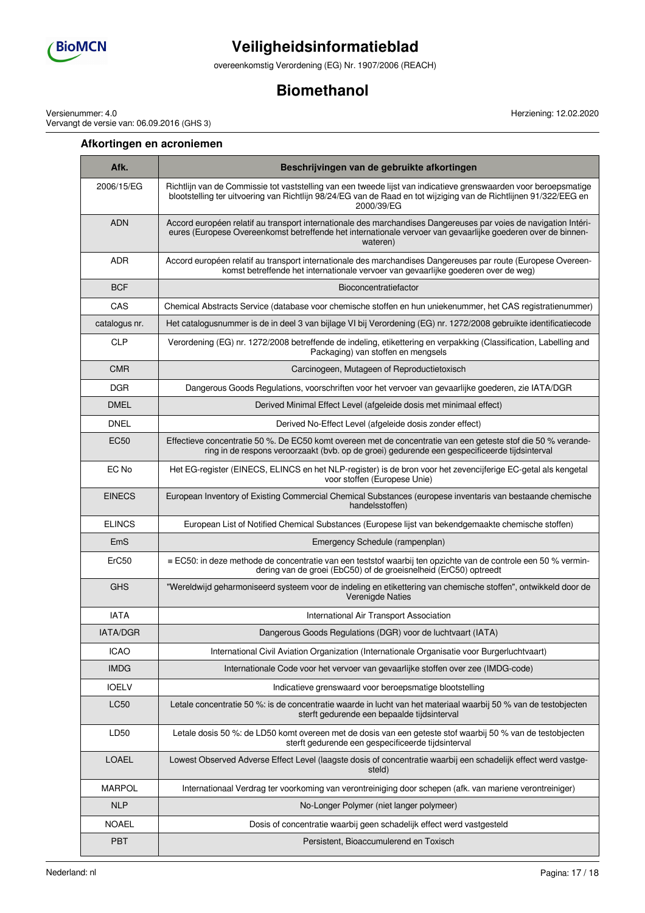

overeenkomstig Verordening (EG) Nr. 1907/2006 (REACH)

## **Biomethanol**

Versienummer: 4.0 Vervangt de versie van: 06.09.2016 (GHS 3)

### **Afkortingen en acroniemen**

**Afk. Beschrijvingen van de gebruikte afkortingen** 2006/15/EG Richtlijn van de Commissie tot vaststelling van een tweede lijst van indicatieve grenswaarden voor beroepsmatige blootstelling ter uitvoering van Richtlijn 98/24/EG van de Raad en tot wijziging van de Richtlijnen 91/322/EEG en 2000/39/EG ADN Accord européen relatif au transport internationale des marchandises Dangereuses par voies de navigation Intérieures (Europese Overeenkomst betreffende het internationale vervoer van gevaarlijke goederen over de binnenwateren) ADR Accord européen relatif au transport internationale des marchandises Dangereuses par route (Europese Overeenkomst betreffende het internationale vervoer van gevaarlijke goederen over de weg) BCF BCF Bioconcentratiefactor CAS Chemical Abstracts Service (database voor chemische stoffen en hun uniekenummer, het CAS registratienummer) catalogus nr. Het catalogusnummer is de in deel 3 van bijlage VI bij Verordening (EG) nr. 1272/2008 gebruikte identificatiecode CLP Verordening (EG) nr. 1272/2008 betreffende de indeling, etikettering en verpakking (Classification, Labelling and Packaging) van stoffen en mengsels CMR CMR CARCINO CONSULTER CARCINOGREGAL CONSULTER CONSULTER CONSULTER CONSULTER CONSULTER CONSULTER CONSULTER CONSULTER CONSULTER CONSULTER CONSULTER CONSULTER CONSULTER CONSULTER CONSULTER CONSULTER CONSULTER CONSULTER CO DGR Dangerous Goods Regulations, voorschriften voor het vervoer van gevaarlijke goederen, zie IATA/DGR DMEL **Derived Minimal Effect Level (afgeleide dosis met minimaal effect)** DNEL **DIREL** Derived No-Effect Level (afgeleide dosis zonder effect) EC50 Effectieve concentratie 50 %. De EC50 komt overeen met de concentratie van een geteste stof die 50 % verandering in de respons veroorzaakt (bvb. op de groei) gedurende een gespecificeerde tijdsinterval EC No Het EG-register (EINECS, ELINCS en het NLP-register) is de bron voor het zevencijferige EC-getal als kengetal voor stoffen (Europese Unie) EINECS European Inventory of Existing Commercial Chemical Substances (europese inventaris van bestaande chemische handelsstoffen) ELINCS European List of Notified Chemical Substances (Europese lijst van bekendgemaakte chemische stoffen) EmS Emergency Schedule (rampenplan) ErC50 ≡ EC50: in deze methode de concentratie van een teststof waarbij ten opzichte van de controle een 50 % vermindering van de groei (EbC50) of de groeisnelheid (ErC50) optreedt GHS "Wereldwijd geharmoniseerd systeem voor de indeling en etikettering van chemische stoffen", ontwikkeld door de Verenigde Naties IATA International Air Transport Association IATA/DGR DANGREE DANGER DANGEROUS Goods Regulations (DGR) voor de luchtvaart (IATA) ICAO International Civil Aviation Organization (Internationale Organisatie voor Burgerluchtvaart) IMDG Internationale Code voor het vervoer van gevaarlijke stoffen over zee (IMDG-code) IOELV Indicatieve grenswaard voor beroepsmatige blootstelling LC50 Letale concentratie 50 %: is de concentratie waarde in lucht van het materiaal waarbij 50 % van de testobjecten sterft gedurende een bepaalde tijdsinterval LD50 Letale dosis 50 %: de LD50 komt overeen met de dosis van een geteste stof waarbij 50 % van de testobjecten sterft gedurende een gespecificeerde tijdsinterval LOAEL Lowest Observed Adverse Effect Level (laagste dosis of concentratie waarbij een schadelijk effect werd vastgesteld) MARPOL | Internationaal Verdrag ter voorkoming van verontreiniging door schepen (afk. van mariene verontreiniger) NLP No-Longer Polymer (niet langer polymeer) NOAEL | Dosis of concentratie waarbij geen schadelijk effect werd vastgesteld PBT Persistent, Bioaccumulerend en Toxisch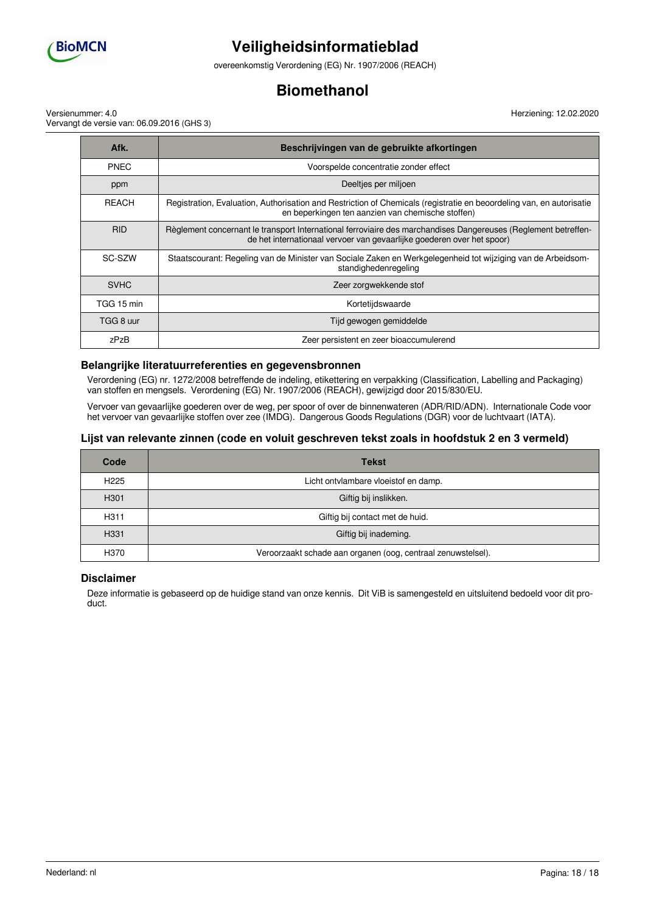

overeenkomstig Verordening (EG) Nr. 1907/2006 (REACH)

## **Biomethanol**

Versienummer: 4.0 Vervangt de versie van: 06.09.2016 (GHS 3) Herziening: 12.02.2020

| Afk.         | Beschrijvingen van de gebruikte afkortingen                                                                                                                                              |  |
|--------------|------------------------------------------------------------------------------------------------------------------------------------------------------------------------------------------|--|
| <b>PNEC</b>  | Voorspelde concentratie zonder effect                                                                                                                                                    |  |
| ppm          | Deeltjes per miljoen                                                                                                                                                                     |  |
| <b>REACH</b> | Registration, Evaluation, Authorisation and Restriction of Chemicals (registratie en beoordeling van, en autorisatie<br>en beperkingen ten aanzien van chemische stoffen)                |  |
| <b>RID</b>   | Règlement concernant le transport International ferroviaire des marchandises Dangereuses (Reglement betreffen-<br>de het internationaal vervoer van gevaarlijke goederen over het spoor) |  |
| SC-SZW       | Staatscourant: Regeling van de Minister van Sociale Zaken en Werkgelegenheid tot wijziging van de Arbeidsom-<br>standighedenregeling                                                     |  |
| <b>SVHC</b>  | Zeer zorgwekkende stof                                                                                                                                                                   |  |
| TGG 15 min   | Kortetijdswaarde                                                                                                                                                                         |  |
| TGG 8 uur    | Tijd gewogen gemiddelde                                                                                                                                                                  |  |
| zPzB         | Zeer persistent en zeer bioaccumulerend                                                                                                                                                  |  |

#### **Belangrijke literatuurreferenties en gegevensbronnen**

Verordening (EG) nr. 1272/2008 betreffende de indeling, etikettering en verpakking (Classification, Labelling and Packaging) van stoffen en mengsels. Verordening (EG) Nr. 1907/2006 (REACH), gewijzigd door 2015/830/EU.

Vervoer van gevaarlijke goederen over de weg, per spoor of over de binnenwateren (ADR/RID/ADN). Internationale Code voor het vervoer van gevaarlijke stoffen over zee (IMDG). Dangerous Goods Regulations (DGR) voor de luchtvaart (IATA).

#### **Lijst van relevante zinnen (code en voluit geschreven tekst zoals in hoofdstuk 2 en 3 vermeld)**

| Code             | <b>Tekst</b>                                                 |  |
|------------------|--------------------------------------------------------------|--|
| H <sub>225</sub> | Licht ontvlambare vloeistof en damp.                         |  |
| H <sub>301</sub> | Giftig bij inslikken.                                        |  |
| H311             | Giftig bij contact met de huid.                              |  |
| H331             | Giftig bij inademing.                                        |  |
| H370             | Veroorzaakt schade aan organen (oog, centraal zenuwstelsel). |  |

#### **Disclaimer**

Deze informatie is gebaseerd op de huidige stand van onze kennis. Dit ViB is samengesteld en uitsluitend bedoeld voor dit product.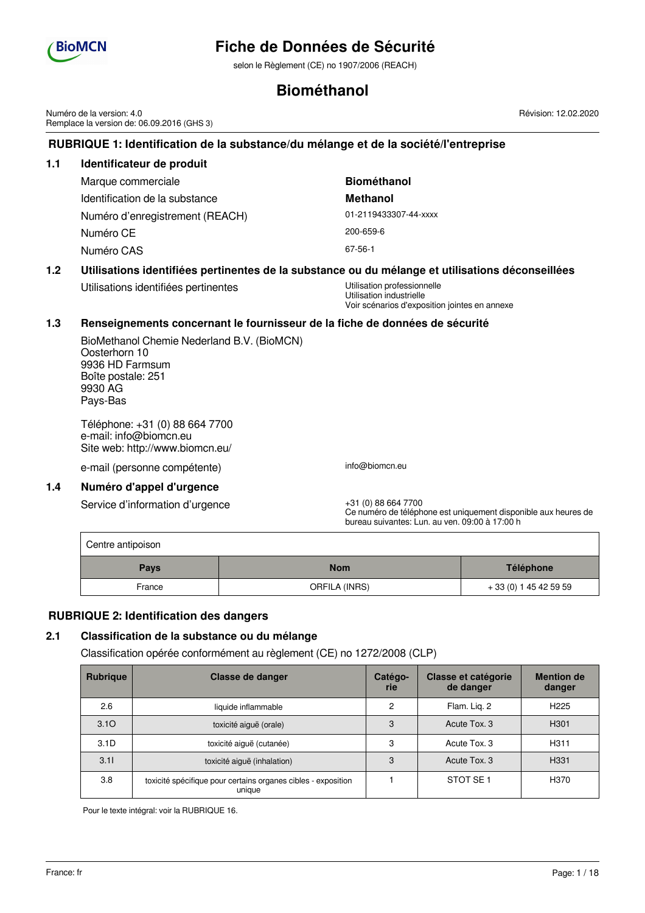

## **Fiche de Données de Sécurité**

selon le Règlement (CE) no 1907/2006 (REACH)

## **Biométhanol**

Numéro de la version: 4.0 Remplace la version de: 06.09.2016 (GHS 3)

## **RUBRIQUE 1: Identification de la substance/du mélange et de la société/l'entreprise**

## **1.1 Identificateur de produit** Marque commerciale **Biométhanol** Identification de la substance **Methanol** Numéro d'enregistrement (REACH) 01-2119433307-44-xxxx Numéro CE 200-659-6 Numéro CAS 67-56-1

## **1.2 Utilisations identifiées pertinentes de la substance ou du mélange et utilisations déconseillées**

Utilisations identifiées pertinentes 
Utilisation professionnelle

Utilisation industrielle Voir scénarios d'exposition jointes en annexe

### **1.3 Renseignements concernant le fournisseur de la fiche de données de sécurité**

BioMethanol Chemie Nederland B.V. (BioMCN) Oosterhorn 10 9936 HD Farmsum Boîte postale: 251 9930 AG Pays-Bas

Téléphone: +31 (0) 88 664 7700 e-mail: info@biomcn.eu Site web: http://www.biomcn.eu/

e-mail (personne compétente) info@biomcn.eu

#### **1.4 Numéro d'appel d'urgence**

Service d'information d'urgence  $+31$  (0) 88 664 7700

Ce numéro de téléphone est uniquement disponible aux heures de bureau suivantes: Lun. au ven. 09:00 à 17:00 h

| Centre antipoison         |               |                        |  |  |  |  |
|---------------------------|---------------|------------------------|--|--|--|--|
| <b>Nom</b><br><b>Pays</b> |               | Téléphone              |  |  |  |  |
| France                    | ORFILA (INRS) | + 33 (0) 1 45 42 59 59 |  |  |  |  |

### **RUBRIQUE 2: Identification des dangers**

## **2.1 Classification de la substance ou du mélange**

Classification opérée conformément au règlement (CE) no 1272/2008 (CLP)

| <b>Rubrigue</b>  | Classe de danger                                                        | Catégo-<br>rie | <b>Classe et catégorie</b><br>de danger | <b>Mention de</b><br>danger |
|------------------|-------------------------------------------------------------------------|----------------|-----------------------------------------|-----------------------------|
| 2.6              | liquide inflammable                                                     | 2              | Flam. Lig. 2                            | H <sub>225</sub>            |
| 3.10             | toxicité aiguë (orale)                                                  | 3              | Acute Tox, 3                            | H <sub>301</sub>            |
| 3.1 <sub>D</sub> | toxicité aiguë (cutanée)                                                | 3              | Acute Tox, 3                            | H <sub>311</sub>            |
| 3.11             | toxicité aiguë (inhalation)                                             | 3              | Acute Tox, 3                            | H <sub>331</sub>            |
| 3.8              | toxicité spécifique pour certains organes cibles - exposition<br>unique |                | STOT SE <sub>1</sub>                    | H370                        |

Pour le texte intégral: voir la RUBRIQUE 16.

Révision: 12.02.2020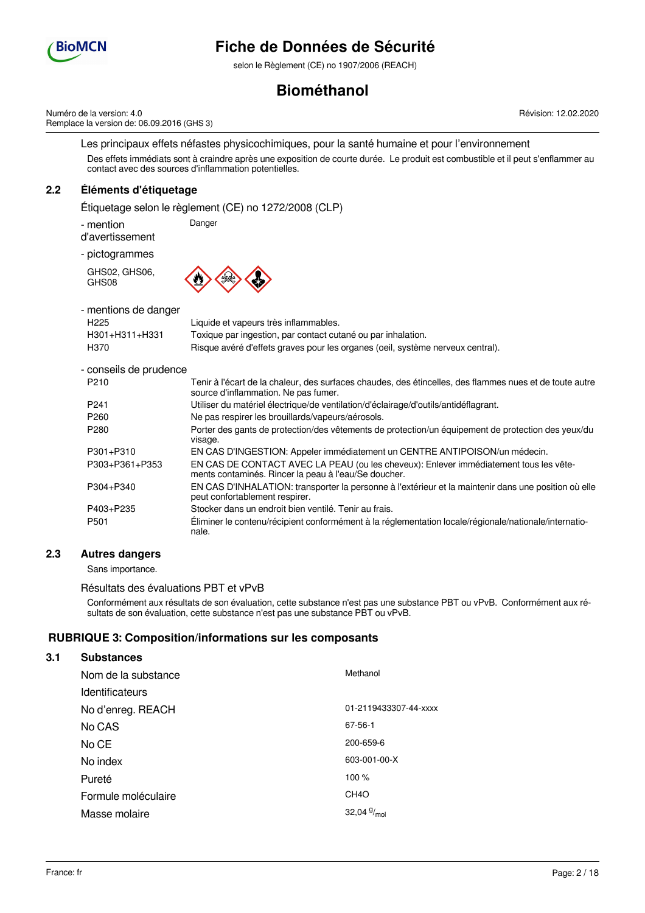

selon le Règlement (CE) no 1907/2006 (REACH)

# **Biométhanol**

Numéro de la version: 4.0 Remplace la version de: 06.09.2016 (GHS 3) Révision: 12.02.2020

Les principaux effets néfastes physicochimiques, pour la santé humaine et pour l'environnement Des effets immédiats sont à craindre après une exposition de courte durée. Le produit est combustible et il peut s'enflammer au contact avec des sources d'inflammation potentielles.

# **2.2 Éléments d'étiquetage**

Étiquetage selon le règlement (CE) no 1272/2008 (CLP)

Danger

- mention

d'avertissement

- pictogrammes

GHS02, GHS06, GHS08



- mentions de danger H225 Liquide et vapeurs très inflammables. H301+H311+H331 Toxique par ingestion, par contact cutané ou par inhalation. H370 Risque avéré d'effets graves pour les organes (oeil, système nerveux central).

## - conseils de prudence

| P <sub>210</sub> | Tenir à l'écart de la chaleur, des surfaces chaudes, des étincelles, des flammes nues et de toute autre<br>source d'inflammation. Ne pas fumer. |
|------------------|-------------------------------------------------------------------------------------------------------------------------------------------------|
| P <sub>241</sub> | Utiliser du matériel électrique/de ventilation/d'éclairage/d'outils/antidéflagrant.                                                             |
| P <sub>260</sub> | Ne pas respirer les brouillards/vapeurs/aérosols.                                                                                               |
| P <sub>280</sub> | Porter des gants de protection/des vêtements de protection/un équipement de protection des yeux/du<br>visage.                                   |
| P301+P310        | EN CAS D'INGESTION: Appeler immédiatement un CENTRE ANTIPOISON/un médecin.                                                                      |
| P303+P361+P353   | EN CAS DE CONTACT AVEC LA PEAU (ou les cheveux): Enlever immédiatement tous les vête-<br>ments contaminés. Rincer la peau à l'eau/Se doucher.   |
| P304+P340        | EN CAS D'INHALATION: transporter la personne à l'extérieur et la maintenir dans une position où elle<br>peut confortablement respirer.          |
| P403+P235        | Stocker dans un endroit bien ventilé. Tenir au frais.                                                                                           |
| P <sub>501</sub> | Éliminer le contenu/récipient conformément à la réglementation locale/régionale/nationale/internatio-<br>nale.                                  |

# **2.3 Autres dangers**

Sans importance.

## Résultats des évaluations PBT et vPvB

Conformément aux résultats de son évaluation, cette substance n'est pas une substance PBT ou vPvB. Conformément aux résultats de son évaluation, cette substance n'est pas une substance PBT ou vPvB.

# **RUBRIQUE 3: Composition/informations sur les composants**

# **3.1 Substances**

| Nom de la substance | Methanol              |
|---------------------|-----------------------|
| Identificateurs     |                       |
| No d'enreg. REACH   | 01-2119433307-44-xxxx |
| No CAS              | 67-56-1               |
| No CE               | 200-659-6             |
| No index            | 603-001-00-X          |
| Pureté              | 100%                  |
| Formule moléculaire | CH <sub>4</sub> O     |
| Masse molaire       | 32,04 $\frac{9}{mol}$ |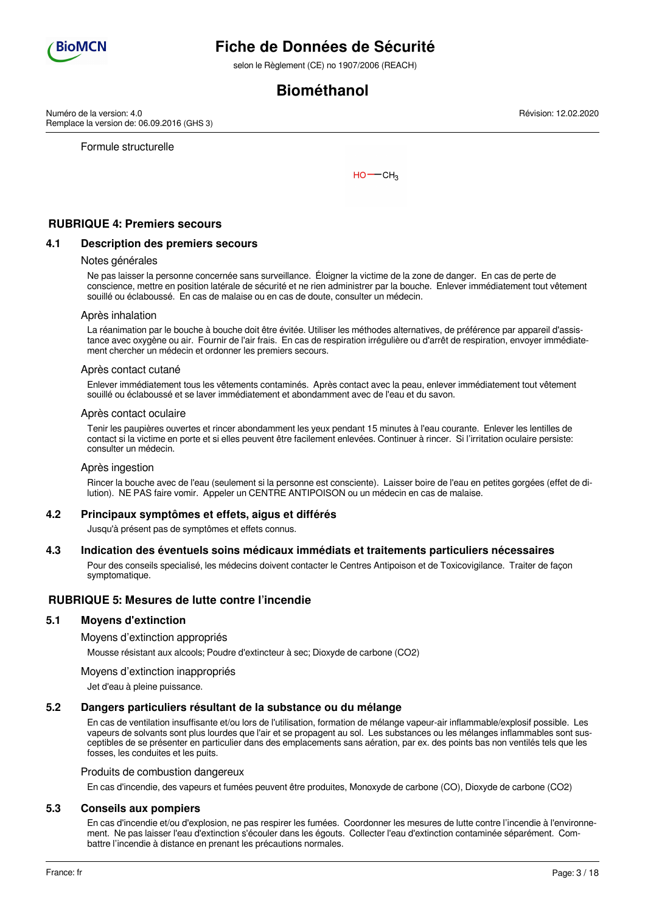

selon le Règlement (CE) no 1907/2006 (REACH)

# **Biométhanol**

Numéro de la version: 4.0 Remplace la version de: 06.09.2016 (GHS 3)

Formule structurelle

 $HO$  -  $CH<sub>3</sub>$ 

## **RUBRIQUE 4: Premiers secours**

### **4.1 Description des premiers secours**

#### Notes générales

Ne pas laisser la personne concernée sans surveillance. Éloigner la victime de la zone de danger. En cas de perte de conscience, mettre en position latérale de sécurité et ne rien administrer par la bouche. Enlever immédiatement tout vêtement souillé ou éclaboussé. En cas de malaise ou en cas de doute, consulter un médecin.

#### Après inhalation

La réanimation par le bouche à bouche doit être évitée. Utiliser les méthodes alternatives, de préférence par appareil d'assistance avec oxygène ou air. Fournir de l'air frais. En cas de respiration irrégulière ou d'arrêt de respiration, envoyer immédiatement chercher un médecin et ordonner les premiers secours.

#### Après contact cutané

Enlever immédiatement tous les vêtements contaminés. Après contact avec la peau, enlever immédiatement tout vêtement souillé ou éclaboussé et se laver immédiatement et abondamment avec de l'eau et du savon.

#### Après contact oculaire

Tenir les paupières ouvertes et rincer abondamment les yeux pendant 15 minutes à l'eau courante. Enlever les lentilles de contact si la victime en porte et si elles peuvent être facilement enlevées. Continuer à rincer. Si l'irritation oculaire persiste: consulter un médecin.

#### Après ingestion

Rincer la bouche avec de l'eau (seulement si la personne est consciente). Laisser boire de l'eau en petites gorgées (effet de dilution). NE PAS faire vomir. Appeler un CENTRE ANTIPOISON ou un médecin en cas de malaise.

#### **4.2 Principaux symptômes et effets, aigus et différés**

Jusqu'à présent pas de symptômes et effets connus.

### **4.3 Indication des éventuels soins médicaux immédiats et traitements particuliers nécessaires**

Pour des conseils specialisé, les médecins doivent contacter le Centres Antipoison et de Toxicovigilance. Traiter de façon symptomatique.

### **RUBRIQUE 5: Mesures de lutte contre l'incendie**

#### **5.1 Moyens d'extinction**

Moyens d'extinction appropriés

Mousse résistant aux alcools; Poudre d'extincteur à sec; Dioxyde de carbone (CO2)

Moyens d'extinction inappropriés

Jet d'eau à pleine puissance.

## **5.2 Dangers particuliers résultant de la substance ou du mélange**

En cas de ventilation insuffisante et/ou lors de l'utilisation, formation de mélange vapeur-air inflammable/explosif possible. Les vapeurs de solvants sont plus lourdes que l'air et se propagent au sol. Les substances ou les mélanges inflammables sont susceptibles de se présenter en particulier dans des emplacements sans aération, par ex. des points bas non ventilés tels que les fosses, les conduites et les puits.

#### Produits de combustion dangereux

En cas d'incendie, des vapeurs et fumées peuvent être produites, Monoxyde de carbone (CO), Dioxyde de carbone (CO2)

#### **5.3 Conseils aux pompiers**

En cas d'incendie et/ou d'explosion, ne pas respirer les fumées. Coordonner les mesures de lutte contre l'incendie à l'environnement. Ne pas laisser l'eau d'extinction s'écouler dans les égouts. Collecter l'eau d'extinction contaminée séparément. Combattre l'incendie à distance en prenant les précautions normales.

Révision: 12.02.2020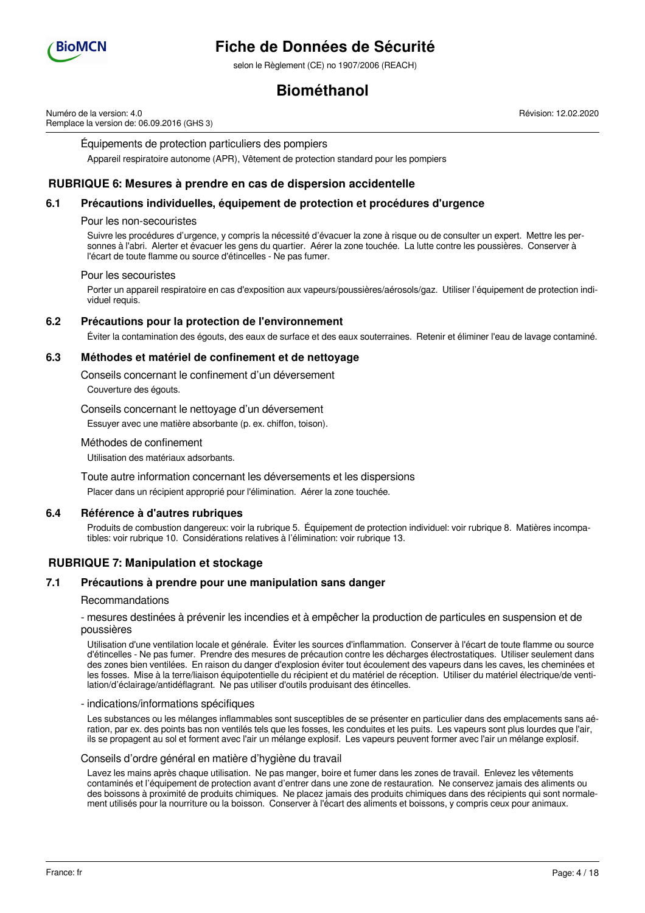

selon le Règlement (CE) no 1907/2006 (REACH)

# **Biométhanol**

Numéro de la version: 4.0 Remplace la version de: 06.09.2016 (GHS 3) Révision: 12.02.2020

Équipements de protection particuliers des pompiers

Appareil respiratoire autonome (APR), Vêtement de protection standard pour les pompiers

## **RUBRIQUE 6: Mesures à prendre en cas de dispersion accidentelle**

## **6.1 Précautions individuelles, équipement de protection et procédures d'urgence**

#### Pour les non-secouristes

Suivre les procédures d'urgence, y compris la nécessité d'évacuer la zone à risque ou de consulter un expert. Mettre les personnes à l'abri. Alerter et évacuer les gens du quartier. Aérer la zone touchée. La lutte contre les poussières. Conserver à l'écart de toute flamme ou source d'étincelles - Ne pas fumer.

#### Pour les secouristes

Porter un appareil respiratoire en cas d'exposition aux vapeurs/poussières/aérosols/gaz. Utiliser l'équipement de protection individuel requis.

### **6.2 Précautions pour la protection de l'environnement**

Éviter la contamination des égouts, des eaux de surface et des eaux souterraines. Retenir et éliminer l'eau de lavage contaminé.

### **6.3 Méthodes et matériel de confinement et de nettoyage**

Conseils concernant le confinement d'un déversement

Couverture des égouts.

Conseils concernant le nettoyage d'un déversement

Essuyer avec une matière absorbante (p. ex. chiffon, toison).

#### Méthodes de confinement

Utilisation des matériaux adsorbants.

Toute autre information concernant les déversements et les dispersions

Placer dans un récipient approprié pour l'élimination. Aérer la zone touchée.

### **6.4 Référence à d'autres rubriques**

Produits de combustion dangereux: voir la rubrique 5. Équipement de protection individuel: voir rubrique 8. Matières incompatibles: voir rubrique 10. Considérations relatives à l'élimination: voir rubrique 13.

### **RUBRIQUE 7: Manipulation et stockage**

### **7.1 Précautions à prendre pour une manipulation sans danger**

### Recommandations

- mesures destinées à prévenir les incendies et à empêcher la production de particules en suspension et de poussières

Utilisation d'une ventilation locale et générale. Éviter les sources d'inflammation. Conserver à l'écart de toute flamme ou source d'étincelles - Ne pas fumer. Prendre des mesures de précaution contre les décharges électrostatiques. Utiliser seulement dans des zones bien ventilées. En raison du danger d'explosion éviter tout écoulement des vapeurs dans les caves, les cheminées et les fosses. Mise à la terre/liaison équipotentielle du récipient et du matériel de réception. Utiliser du matériel électrique/de ventilation/d'éclairage/antidéflagrant. Ne pas utiliser d'outils produisant des étincelles.

#### - indications/informations spécifiques

Les substances ou les mélanges inflammables sont susceptibles de se présenter en particulier dans des emplacements sans aération, par ex. des points bas non ventilés tels que les fosses, les conduites et les puits. Les vapeurs sont plus lourdes que l'air, ils se propagent au sol et forment avec l'air un mélange explosif. Les vapeurs peuvent former avec l'air un mélange explosif.

#### Conseils d'ordre général en matière d'hygiène du travail

Lavez les mains après chaque utilisation. Ne pas manger, boire et fumer dans les zones de travail. Enlevez les vêtements contaminés et l'équipement de protection avant d'entrer dans une zone de restauration. Ne conservez jamais des aliments ou des boissons à proximité de produits chimiques. Ne placez jamais des produits chimiques dans des récipients qui sont normalement utilisés pour la nourriture ou la boisson. Conserver à l'écart des aliments et boissons, y compris ceux pour animaux.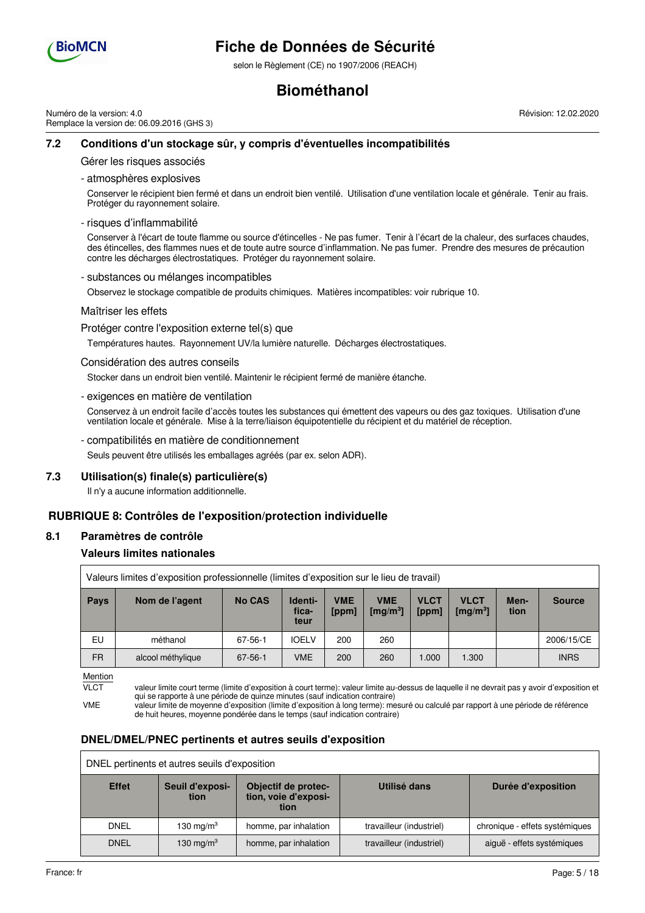

selon le Règlement (CE) no 1907/2006 (REACH)

# **Biométhanol**

Numéro de la version: 4.0 Remplace la version de: 06.09.2016 (GHS 3) Révision: 12.02.2020

## **7.2 Conditions d'un stockage sûr, y compris d'éventuelles incompatibilités**

Gérer les risques associés

- atmosphères explosives

Conserver le récipient bien fermé et dans un endroit bien ventilé. Utilisation d'une ventilation locale et générale. Tenir au frais. Protéger du rayonnement solaire.

#### - risques d'inflammabilité

Conserver à l'écart de toute flamme ou source d'étincelles - Ne pas fumer. Tenir à l'écart de la chaleur, des surfaces chaudes, des étincelles, des flammes nues et de toute autre source d'inflammation. Ne pas fumer. Prendre des mesures de précaution contre les décharges électrostatiques. Protéger du rayonnement solaire.

#### - substances ou mélanges incompatibles

Observez le stockage compatible de produits chimiques. Matières incompatibles: voir rubrique 10.

#### Maîtriser les effets

Protéger contre l'exposition externe tel(s) que

Températures hautes. Rayonnement UV/la lumière naturelle. Décharges électrostatiques.

#### Considération des autres conseils

Stocker dans un endroit bien ventilé. Maintenir le récipient fermé de manière étanche.

- exigences en matière de ventilation

Conservez à un endroit facile d'accès toutes les substances qui émettent des vapeurs ou des gaz toxiques. Utilisation d'une ventilation locale et générale. Mise à la terre/liaison équipotentielle du récipient et du matériel de réception.

#### - compatibilités en matière de conditionnement

Seuls peuvent être utilisés les emballages agréés (par ex. selon ADR).

### **7.3 Utilisation(s) finale(s) particulière(s)**

Il n'y a aucune information additionnelle.

### **RUBRIQUE 8: Contrôles de l'exposition/protection individuelle**

#### **8.1 Paramètres de contrôle**

### **Valeurs limites nationales**

|             | Valeurs limites d'exposition professionnelle (limites d'exposition sur le lieu de travail) |               |                          |                     |                                            |                      |                             |              |               |
|-------------|--------------------------------------------------------------------------------------------|---------------|--------------------------|---------------------|--------------------------------------------|----------------------|-----------------------------|--------------|---------------|
| <b>Pays</b> | Nom de l'agent                                                                             | <b>No CAS</b> | Identi-<br>fica-<br>teur | <b>VME</b><br>[ppm] | <b>VME</b><br>$\left[\text{mg/m}^3\right]$ | <b>VLCT</b><br>[ppm] | <b>VLCT</b><br>[mg/m $^3$ ] | Men-<br>tion | <b>Source</b> |
| EU          | méthanol                                                                                   | 67-56-1       | <b>IOELV</b>             | 200                 | 260                                        |                      |                             |              | 2006/15/CE    |
| <b>FR</b>   | alcool méthylique                                                                          | $67 - 56 - 1$ | <b>VME</b>               | 200                 | 260                                        | 1.000                | 1.300                       |              | <b>INRS</b>   |

Mention

VLCT valeur limite court terme (limite d'exposition à court terme): valeur limite au-dessus de laquelle il ne devrait pas y avoir d'exposition et qui se rapporte à une période de quinze minutes (sauf indication contraire)

VME valeur limite de moyenne d'exposition (limite d'exposition à long terme): mesuré ou calculé par rapport à une période de référence de huit heures, moyenne pondérée dans le temps (sauf indication contraire)

### **DNEL/DMEL/PNEC pertinents et autres seuils d'exposition**

| DNEL pertinents et autres seuils d'exposition |                         |                                                     |                          |                                |  |
|-----------------------------------------------|-------------------------|-----------------------------------------------------|--------------------------|--------------------------------|--|
| <b>Effet</b>                                  | Seuil d'exposi-<br>tion | Objectif de protec-<br>tion, voie d'exposi-<br>tion | Utilisé dans             | Durée d'exposition             |  |
| <b>DNEL</b>                                   | 130 mg/m $3$            | homme, par inhalation                               | travailleur (industriel) | chronique - effets systémiques |  |
| <b>DNEL</b>                                   | 130 mg/m $3$            | homme, par inhalation                               | travailleur (industriel) | aiguë - effets systémiques     |  |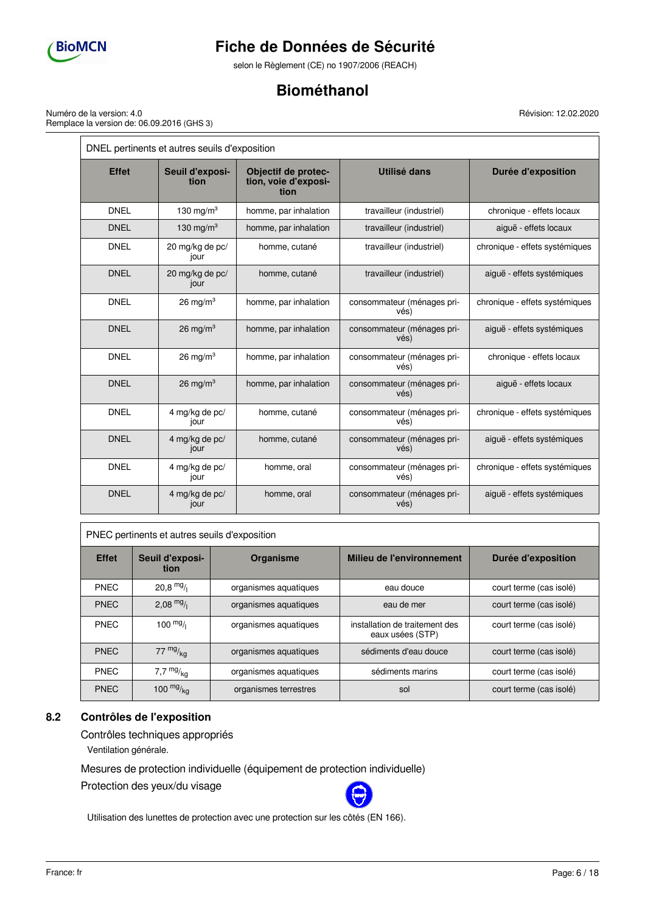

selon le Règlement (CE) no 1907/2006 (REACH)

# **Biométhanol**

Numéro de la version: 4.0 Remplace la version de: 06.09.2016 (GHS 3)

**tion**

DNEL pertinents et autres seuils d'exposition **Effet Seuil d'exposi-Objectif de protection, voie d'exposition Utilisé dans Durée d'exposition** DNEL 130 mg/m<sup>3</sup> homme, par inhalation travailleur (industriel) chronique - effets locaux homme, cutané de travailleur (industriel) de la chronique - effets systémiques homme, cutané die travailleur (industriel) diguë - effets systémiques

Révision: 12.02.2020

|             |                         | $\sim$                | max                                | sillonique encle lecquit       |
|-------------|-------------------------|-----------------------|------------------------------------|--------------------------------|
| <b>DNEL</b> | 130 mg/m <sup>3</sup>   | homme, par inhalation | travailleur (industriel)           |                                |
| <b>DNEL</b> | 20 mg/kg de pc/<br>jour | homme, cutané         | travailleur (industriel)           | chronique - effets systémiques |
| <b>DNEL</b> | 20 mg/kg de pc/<br>jour | homme, cutané         | travailleur (industriel)           | aiguë - effets systémiques     |
| <b>DNEL</b> | $26 \text{ mg/m}^3$     | homme, par inhalation | consommateur (ménages pri-<br>vés) | chronique - effets systémiques |
| <b>DNEL</b> | 26 mg/m <sup>3</sup>    | homme, par inhalation | consommateur (ménages pri-<br>vés) | aiguë - effets systémiques     |
| <b>DNEL</b> | $26 \text{ mg/m}^3$     | homme, par inhalation | consommateur (ménages pri-<br>vés) | chronique - effets locaux      |
| <b>DNEL</b> | 26 mg/m <sup>3</sup>    | homme, par inhalation | consommateur (ménages pri-<br>vés) | aiguë - effets locaux          |
| <b>DNEL</b> | 4 mg/kg de pc/<br>jour  | homme, cutané         | consommateur (ménages pri-<br>vés) | chronique - effets systémiques |
| <b>DNEL</b> | 4 mg/kg de pc/<br>jour  | homme, cutané         | consommateur (ménages pri-<br>vés) | aiguë - effets systémiques     |
| <b>DNEL</b> | 4 mg/kg de pc/<br>jour  | homme, oral           | consommateur (ménages pri-<br>vés) | chronique - effets systémiques |
| <b>DNEL</b> | 4 mg/kg de pc/<br>jour  | homme, oral           | consommateur (ménages pri-<br>vés) | aiguë - effets systémiques     |

### PNEC pertinents et autres seuils d'exposition

| <b>Effet</b> | Seuil d'exposi-<br>tion | Organisme             | Milieu de l'environnement                          | Durée d'exposition      |
|--------------|-------------------------|-----------------------|----------------------------------------------------|-------------------------|
| <b>PNEC</b>  | $20,8$ mg/              | organismes aquatiques | eau douce                                          | court terme (cas isolé) |
| <b>PNEC</b>  | $2.08 \frac{mg}{l}$     | organismes aquatiques | eau de mer                                         | court terme (cas isolé) |
| PNEC         | $100 \frac{mg}{l}$      | organismes aquatiques | installation de traitement des<br>eaux usées (STP) | court terme (cas isolé) |
| <b>PNEC</b>  | $77 \frac{mg}{ka}$      | organismes aquatiques | sédiments d'eau douce                              | court terme (cas isolé) |
| <b>PNEC</b>  | 7,7 $mg/kq$             | organismes aquatiques | sédiments marins                                   | court terme (cas isolé) |
| <b>PNEC</b>  | 100 $mg/kq$             | organismes terrestres | sol                                                | court terme (cas isolé) |

# **8.2 Contrôles de l'exposition**

Contrôles techniques appropriés

Ventilation générale.

Mesures de protection individuelle (équipement de protection individuelle)

Protection des yeux/du visage



Utilisation des lunettes de protection avec une protection sur les côtés (EN 166).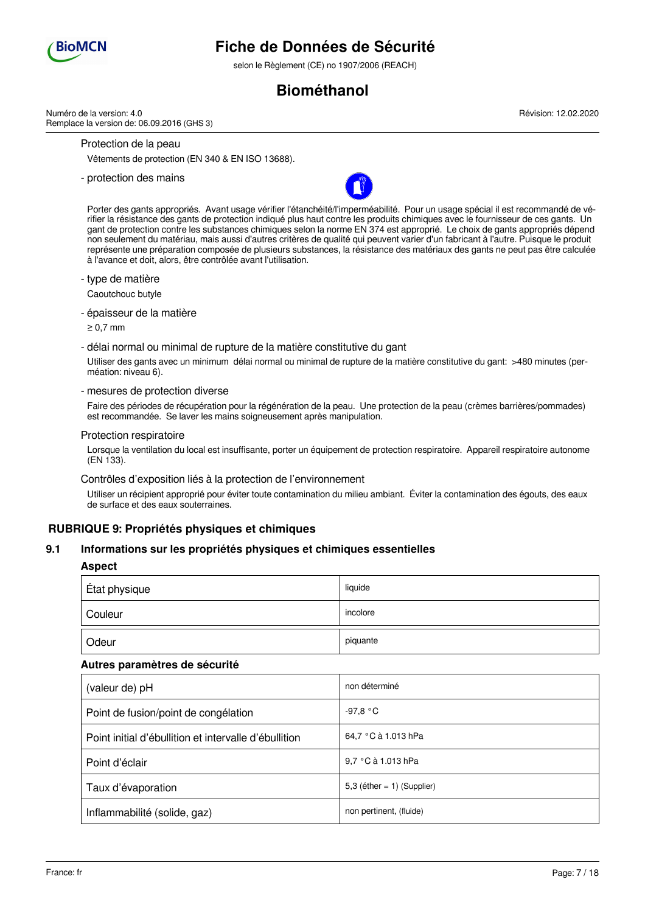

selon le Règlement (CE) no 1907/2006 (REACH)

# **Biométhanol**

Numéro de la version: 4.0 Remplace la version de: 06.09.2016 (GHS 3)

Protection de la peau

Vêtements de protection (EN 340 & EN ISO 13688).

- protection des mains



Porter des gants appropriés. Avant usage vérifier l'étanchéité/l'imperméabilité. Pour un usage spécial il est recommandé de vérifier la résistance des gants de protection indiqué plus haut contre les produits chimiques avec le fournisseur de ces gants. Un gant de protection contre les substances chimiques selon la norme EN 374 est approprié. Le choix de gants appropriés dépend non seulement du matériau, mais aussi d'autres critères de qualité qui peuvent varier d'un fabricant à l'autre. Puisque le produit représente une préparation composée de plusieurs substances, la résistance des matériaux des gants ne peut pas être calculée à l'avance et doit, alors, être contrôlée avant l'utilisation.

### - type de matière

Caoutchouc butyle

- épaisseur de la matière

≥ 0,7 mm

- délai normal ou minimal de rupture de la matière constitutive du gant

Utiliser des gants avec un minimum délai normal ou minimal de rupture de la matière constitutive du gant: >480 minutes (perméation: niveau 6).

- mesures de protection diverse

Faire des périodes de récupération pour la régénération de la peau. Une protection de la peau (crèmes barrières/pommades) est recommandée. Se laver les mains soigneusement après manipulation.

#### Protection respiratoire

Lorsque la ventilation du local est insuffisante, porter un équipement de protection respiratoire. Appareil respiratoire autonome (EN 133).

Contrôles d'exposition liés à la protection de l'environnement

Utiliser un récipient approprié pour éviter toute contamination du milieu ambiant. Éviter la contamination des égouts, des eaux de surface et des eaux souterraines.

# **RUBRIQUE 9: Propriétés physiques et chimiques**

### **9.1 Informations sur les propriétés physiques et chimiques essentielles**

#### **Aspect**

| État physique | liquide  |
|---------------|----------|
| Couleur       | incolore |
| Odeur         | piquante |

### **Autres paramètres de sécurité**

| (valeur de) pH                                        | non déterminé                 |
|-------------------------------------------------------|-------------------------------|
| Point de fusion/point de congélation                  | $-97.8 °C$                    |
| Point initial d'ébullition et intervalle d'ébullition | 64,7 °C à 1.013 hPa           |
| Point d'éclair                                        | 9,7 °C à 1.013 hPa            |
| Taux d'évaporation                                    | 5,3 (éther = $1$ ) (Supplier) |
| Inflammabilité (solide, gaz)                          | non pertinent, (fluide)       |

Révision: 12.02.2020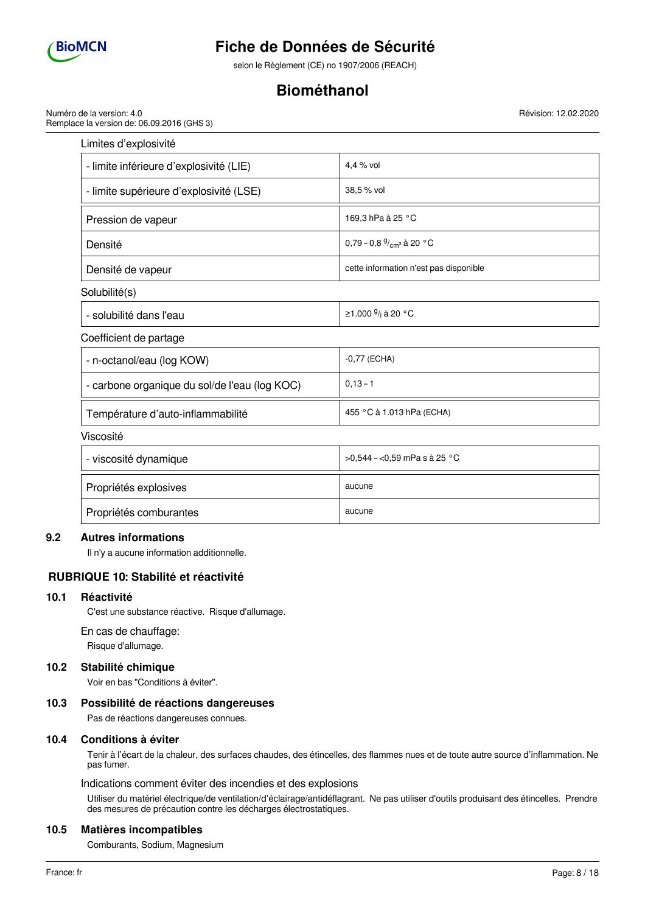

selon le Règlement (CE) no 1907/2006 (REACH)

# **Biométhanol**

Numéro de la version: 4.0 Remplace la version de: 06.09.2016 (GHS 3) Révision: 12.02.2020

| Limites d'explosivité                         |                                            |
|-----------------------------------------------|--------------------------------------------|
| - limite inférieure d'explosivité (LIE)       | 4,4 % vol                                  |
| - limite supérieure d'explosivité (LSE)       | 38,5 % vol                                 |
| Pression de vapeur                            | 169,3 hPa à 25 °C                          |
| Densité                                       | 0,79 – 0,8 $\frac{9}{cm^3}$ à 20 °C        |
| Densité de vapeur                             | cette information n'est pas disponible     |
| Solubilité(s)                                 |                                            |
| - solubilité dans l'eau                       | ≥1.000 <sup>9</sup> / <sub>1</sub> à 20 °C |
| Coefficient de partage                        |                                            |
| - n-octanol/eau (log KOW)                     | $-0,77$ (ECHA)                             |
| - carbone organique du sol/de l'eau (log KOC) | $0,13 - 1$                                 |
| Température d'auto-inflammabilité             | 455 °C à 1.013 hPa (ECHA)                  |
| Viscosité                                     |                                            |
| - viscosité dynamique                         | >0,544 - < 0,59 mPa s à 25 °C              |
| Propriétés explosives                         | aucune                                     |
| Propriétés comburantes                        | aucune                                     |

# **9.2 Autres informations**

Il n'y a aucune information additionnelle.

# **RUBRIQUE 10: Stabilité et réactivité**

### **10.1 Réactivité**

C'est une substance réactive. Risque d'allumage.

En cas de chauffage:

Risque d'allumage.

### **10.2 Stabilité chimique**

Voir en bas "Conditions à éviter".

### **10.3 Possibilité de réactions dangereuses**

Pas de réactions dangereuses connues.

### **10.4 Conditions à éviter**

Tenir à l'écart de la chaleur, des surfaces chaudes, des étincelles, des flammes nues et de toute autre source d'inflammation. Ne pas fumer.

Indications comment éviter des incendies et des explosions

Utiliser du matériel électrique/de ventilation/d'éclairage/antidéflagrant. Ne pas utiliser d'outils produisant des étincelles. Prendre des mesures de précaution contre les décharges électrostatiques.

#### **10.5 Matières incompatibles**

Comburants, Sodium, Magnesium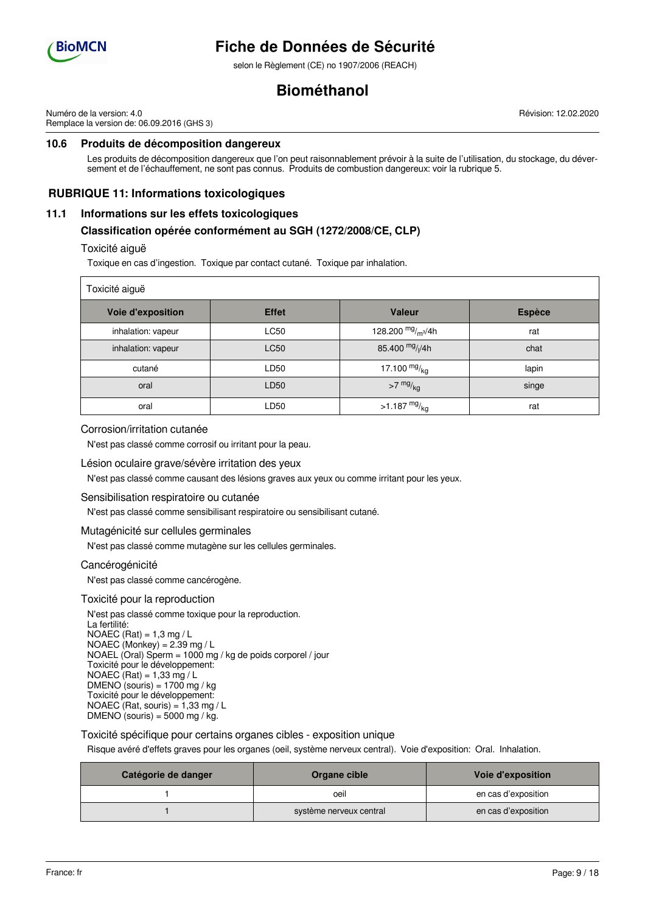

selon le Règlement (CE) no 1907/2006 (REACH)

# **Biométhanol**

Numéro de la version: 4.0 Remplace la version de: 06.09.2016 (GHS 3) Révision: 12.02.2020

# **10.6 Produits de décomposition dangereux**

Les produits de décomposition dangereux que l'on peut raisonnablement prévoir à la suite de l'utilisation, du stockage, du déversement et de l'échauffement, ne sont pas connus. Produits de combustion dangereux: voir la rubrique 5.

## **RUBRIQUE 11: Informations toxicologiques**

### **11.1 Informations sur les effets toxicologiques**

### **Classification opérée conformément au SGH (1272/2008/CE, CLP)**

#### Toxicité aiguë

Toxique en cas d'ingestion. Toxique par contact cutané. Toxique par inhalation.

| Toxicité aiguë           |              |                             |               |  |  |
|--------------------------|--------------|-----------------------------|---------------|--|--|
| <b>Voie d'exposition</b> | <b>Effet</b> | <b>Valeur</b>               | <b>Espèce</b> |  |  |
| inhalation: vapeur       | <b>LC50</b>  | 128.200 $mg/m^3/4h$         | rat           |  |  |
| inhalation: vapeur       | <b>LC50</b>  | 85.400 mg/ <sub>l</sub> /4h | chat          |  |  |
| cutané                   | LD50         | 17.100 $mg/kq$              | lapin         |  |  |
| oral                     | LD50         | $>7$ mg/ $_{\text{kg}}$     | singe         |  |  |
| oral                     | LD50         | >1.187 $mg/kq$              | rat           |  |  |

#### Corrosion/irritation cutanée

N'est pas classé comme corrosif ou irritant pour la peau.

#### Lésion oculaire grave/sévère irritation des yeux

N'est pas classé comme causant des lésions graves aux yeux ou comme irritant pour les yeux.

### Sensibilisation respiratoire ou cutanée

N'est pas classé comme sensibilisant respiratoire ou sensibilisant cutané.

#### Mutagénicité sur cellules germinales

N'est pas classé comme mutagène sur les cellules germinales.

#### Cancérogénicité

N'est pas classé comme cancérogène.

#### Toxicité pour la reproduction

N'est pas classé comme toxique pour la reproduction. La fertilité: NOAEC  $(Rat) = 1,3$  mg / L NOAEC (Monkey) =  $2.39$  mg / L NOAEL (Oral) Sperm =  $1000$  mg / kg de poids corporel / jour Toxicité pour le développement: NOAEC (Rat) = 1,33 mg / L  $DMENO$  (souris) = 1700 mg / kg Toxicité pour le développement: NOAEC (Rat, souris) =  $1,33$  mg / L DMENO (souris) =  $5000$  mg / kg.

### Toxicité spécifique pour certains organes cibles - exposition unique

Risque avéré d'effets graves pour les organes (oeil, système nerveux central). Voie d'exposition: Oral. Inhalation.

| Catégorie de danger | Organe cible            | Voie d'exposition   |
|---------------------|-------------------------|---------------------|
|                     | oeil                    | en cas d'exposition |
|                     | système nerveux central | en cas d'exposition |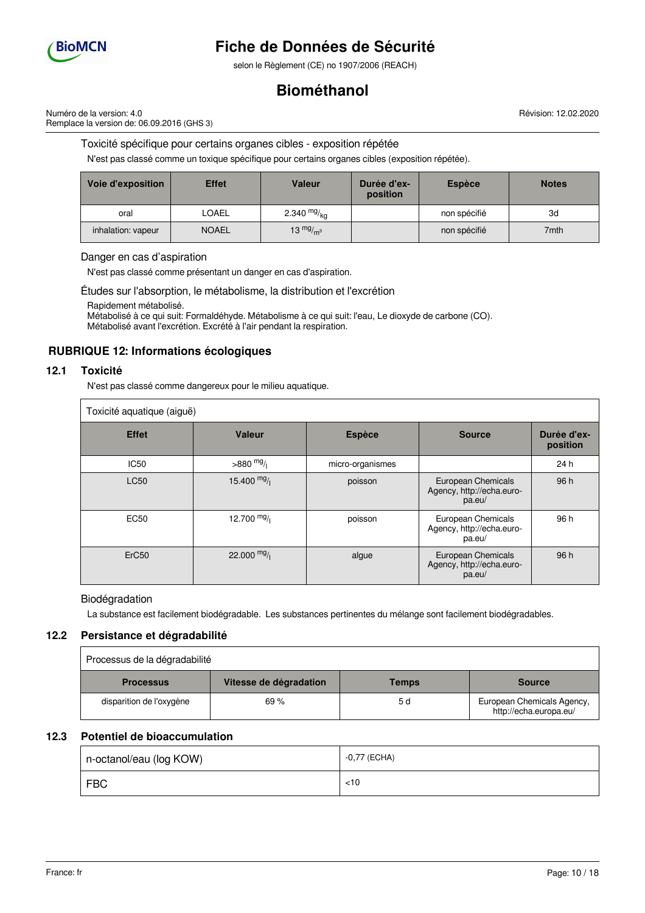

selon le Règlement (CE) no 1907/2006 (REACH)

# **Biométhanol**

Révision: 12.02.2020

Numéro de la version: 4.0 Remplace la version de: 06.09.2016 (GHS 3)

Toxicité spécifique pour certains organes cibles - exposition répétée

N'est pas classé comme un toxique spécifique pour certains organes cibles (exposition répétée).

| Voie d'exposition  | <b>Effet</b> | Valeur        | Durée d'ex-<br>position | <b>Espèce</b> | <b>Notes</b> |
|--------------------|--------------|---------------|-------------------------|---------------|--------------|
| oral               | LOAEL        | 2.340 $mg/kq$ |                         | non spécifié  | 3d           |
| inhalation: vapeur | <b>NOAEL</b> | 13 $mg/m3$    |                         | non spécifié  | 7mth         |

Danger en cas d'aspiration

N'est pas classé comme présentant un danger en cas d'aspiration.

Études sur l'absorption, le métabolisme, la distribution et l'excrétion

Rapidement métabolisé.

Métabolisé à ce qui suit: Formaldéhyde. Métabolisme à ce qui suit: l'eau, Le dioxyde de carbone (CO). Métabolisé avant l'excrétion. Excrété à l'air pendant la respiration.

# **RUBRIQUE 12: Informations écologiques**

## **12.1 Toxicité**

N'est pas classé comme dangereux pour le milieu aquatique.

| Toxicité aquatique (aiguë) |               |                  |                                                           |                         |
|----------------------------|---------------|------------------|-----------------------------------------------------------|-------------------------|
| <b>Effet</b>               | <b>Valeur</b> | <b>Espèce</b>    | <b>Source</b>                                             | Durée d'ex-<br>position |
| <b>IC50</b>                | $>880$ mg/    | micro-organismes |                                                           | 24 h                    |
| <b>LC50</b>                | 15.400 $mg/$  | poisson          | European Chemicals<br>Agency, http://echa.euro-<br>pa.eu/ | 96 h                    |
| <b>EC50</b>                | 12.700 $mg/$  | poisson          | European Chemicals<br>Agency, http://echa.euro-<br>pa.eu/ | 96 h                    |
| ErC <sub>50</sub>          | 22.000 $mg/$  | algue            | European Chemicals<br>Agency, http://echa.euro-<br>pa.eu/ | 96 h                    |

Biodégradation

La substance est facilement biodégradable. Les substances pertinentes du mélange sont facilement biodégradables.

# **12.2 Persistance et dégradabilité**

| Processus de la dégradabilité |                        |       |                                                      |
|-------------------------------|------------------------|-------|------------------------------------------------------|
| <b>Processus</b>              | Vitesse de dégradation | Temps | <b>Source</b>                                        |
| disparition de l'oxygène      | 69%                    | 5 d   | European Chemicals Agency,<br>http://echa.europa.eu/ |

# **12.3 Potentiel de bioaccumulation**

| n-octanol/eau (log KOW) | -0,77 (ECHA) |
|-------------------------|--------------|
| <b>FBC</b>              | $<$ 10       |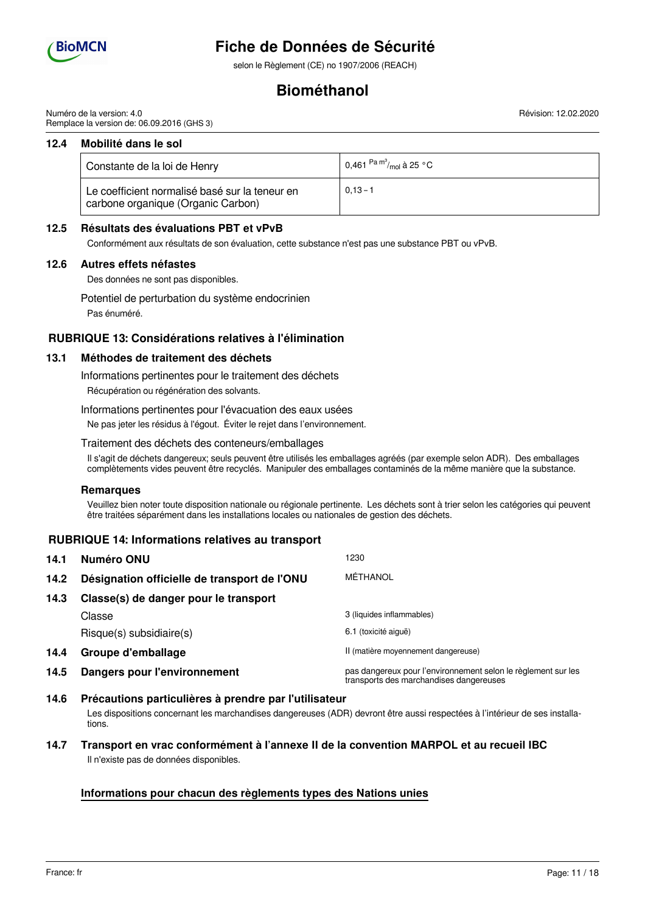

selon le Règlement (CE) no 1907/2006 (REACH)

# **Biométhanol**

Numéro de la version: 4.0 Remplace la version de: 06.09.2016 (GHS 3)

### **12.4 Mobilité dans le sol**

| Constante de la loi de Henry                                                         | 0,461 $\mathrm{^{Pa}}$ $\mathrm{^{m^3}_{\prime mol}}$ à 25 $\mathrm{^{\circ}C}$ |
|--------------------------------------------------------------------------------------|---------------------------------------------------------------------------------|
| Le coefficient normalisé basé sur la teneur en<br>carbone organique (Organic Carbon) | $0.13 - 1$                                                                      |

## **12.5 Résultats des évaluations PBT et vPvB**

Conformément aux résultats de son évaluation, cette substance n'est pas une substance PBT ou vPvB.

### **12.6 Autres effets néfastes**

Des données ne sont pas disponibles.

Potentiel de perturbation du système endocrinien

Pas énuméré.

# **RUBRIQUE 13: Considérations relatives à l'élimination**

## **13.1 Méthodes de traitement des déchets**

Informations pertinentes pour le traitement des déchets

Récupération ou régénération des solvants.

Informations pertinentes pour l'évacuation des eaux usées

Ne pas jeter les résidus à l'égout. Éviter le rejet dans l'environnement.

### Traitement des déchets des conteneurs/emballages

Il s'agit de déchets dangereux; seuls peuvent être utilisés les emballages agréés (par exemple selon ADR). Des emballages complètements vides peuvent être recyclés. Manipuler des emballages contaminés de la même manière que la substance.

#### **Remarques**

Veuillez bien noter toute disposition nationale ou régionale pertinente. Les déchets sont à trier selon les catégories qui peuvent être traitées séparément dans les installations locales ou nationales de gestion des déchets.

# **RUBRIQUE 14: Informations relatives au transport**

| 14.1 | Numéro ONU                                   | 1230                                                                                                     |
|------|----------------------------------------------|----------------------------------------------------------------------------------------------------------|
| 14.2 | Désignation officielle de transport de l'ONU | MÉTHANOL                                                                                                 |
| 14.3 | Classe(s) de danger pour le transport        |                                                                                                          |
|      | Classe                                       | 3 (liquides inflammables)                                                                                |
|      | $Risque(s)$ subsidiaire $(s)$                | 6.1 (toxicité aiguë)                                                                                     |
| 14.4 | Groupe d'emballage                           | II (matière moyennement dangereuse)                                                                      |
| 14.5 | <b>Dangers pour l'environnement</b>          | pas dangereux pour l'environnement selon le règlement sur les<br>transports des marchandises dangereuses |

## **14.6 Précautions particulières à prendre par l'utilisateur** Les dispositions concernant les marchandises dangereuses (ADR) devront être aussi respectées à l'intérieur de ses installations.

# **14.7 Transport en vrac conformément à l'annexe II de la convention MARPOL et au recueil IBC** Il n'existe pas de données disponibles.

# **Informations pour chacun des règlements types des Nations unies**

Révision: 12.02.2020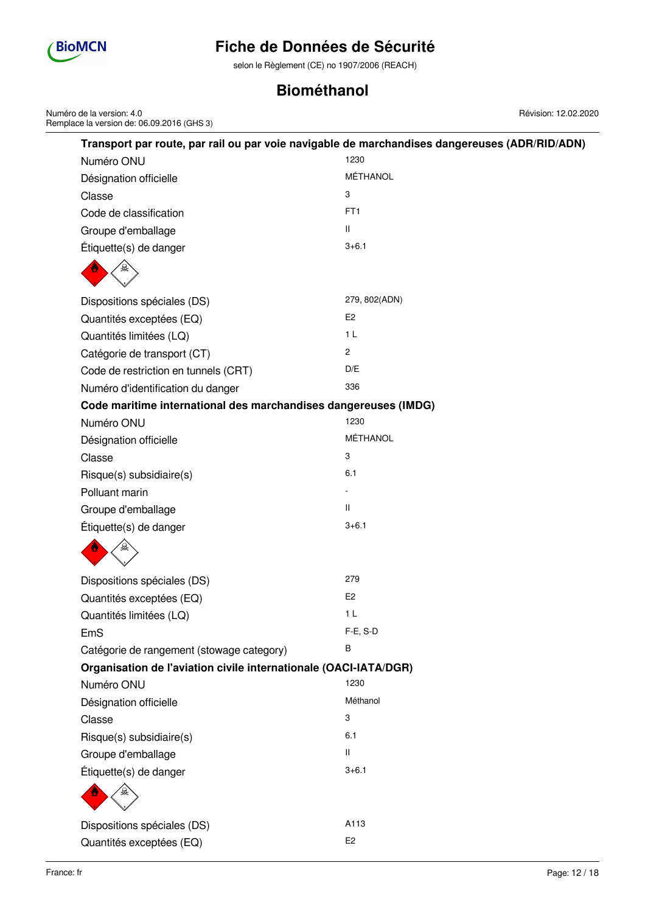

Numéro de la version: 4.0

Remplace la version de: 06.09.2016 (GHS 3)

# **Fiche de Données de Sécurité**

selon le Règlement (CE) no 1907/2006 (REACH)

# **Biométhanol**

|                                                                  | Transport par route, par rail ou par voie navigable de marchandises dangereuses (ADR/RID/ADN) |
|------------------------------------------------------------------|-----------------------------------------------------------------------------------------------|
| Numéro ONU                                                       | 1230                                                                                          |
| Désignation officielle                                           | MÉTHANOL                                                                                      |
| Classe                                                           | 3                                                                                             |
| Code de classification                                           | FT <sub>1</sub>                                                                               |
| Groupe d'emballage                                               | Ш                                                                                             |
| Étiquette(s) de danger                                           | $3 + 6.1$                                                                                     |
|                                                                  |                                                                                               |
| Dispositions spéciales (DS)                                      | 279, 802(ADN)                                                                                 |
| Quantités exceptées (EQ)                                         | E <sub>2</sub>                                                                                |
| Quantités limitées (LQ)                                          | 1 <sub>L</sub>                                                                                |
| Catégorie de transport (CT)                                      | $\mathbf{2}$                                                                                  |
| Code de restriction en tunnels (CRT)                             | D/E                                                                                           |
| Numéro d'identification du danger                                | 336                                                                                           |
| Code maritime international des marchandises dangereuses (IMDG)  |                                                                                               |
| Numéro ONU                                                       | 1230                                                                                          |
| Désignation officielle                                           | MÉTHANOL                                                                                      |
| Classe                                                           | 3                                                                                             |
| Risque(s) subsidiaire(s)                                         | 6.1                                                                                           |
| Polluant marin                                                   |                                                                                               |
| Groupe d'emballage                                               | $\mathbf{H}$                                                                                  |
| Étiquette(s) de danger                                           | $3 + 6.1$                                                                                     |
|                                                                  |                                                                                               |
| Dispositions spéciales (DS)                                      | 279                                                                                           |
| Quantités exceptées (EQ)                                         | E <sub>2</sub>                                                                                |
| Quantités limitées (LQ)                                          | 1 <sub>L</sub>                                                                                |
| EmS                                                              | F-E, S-D                                                                                      |
| Catégorie de rangement (stowage category)                        | B                                                                                             |
| Organisation de l'aviation civile internationale (OACI-IATA/DGR) |                                                                                               |
| Numéro ONU                                                       | 1230                                                                                          |
| Désignation officielle                                           | Méthanol                                                                                      |
| Classe                                                           | 3                                                                                             |
| Risque(s) subsidiaire(s)                                         | 6.1                                                                                           |
| Groupe d'emballage                                               | $\mathbf{H}$                                                                                  |
| Étiquette(s) de danger                                           | $3 + 6.1$                                                                                     |
|                                                                  |                                                                                               |
| Dispositions spéciales (DS)                                      | A113                                                                                          |
| Quantités exceptées (EQ)                                         | E <sub>2</sub>                                                                                |

Révision: 12.02.2020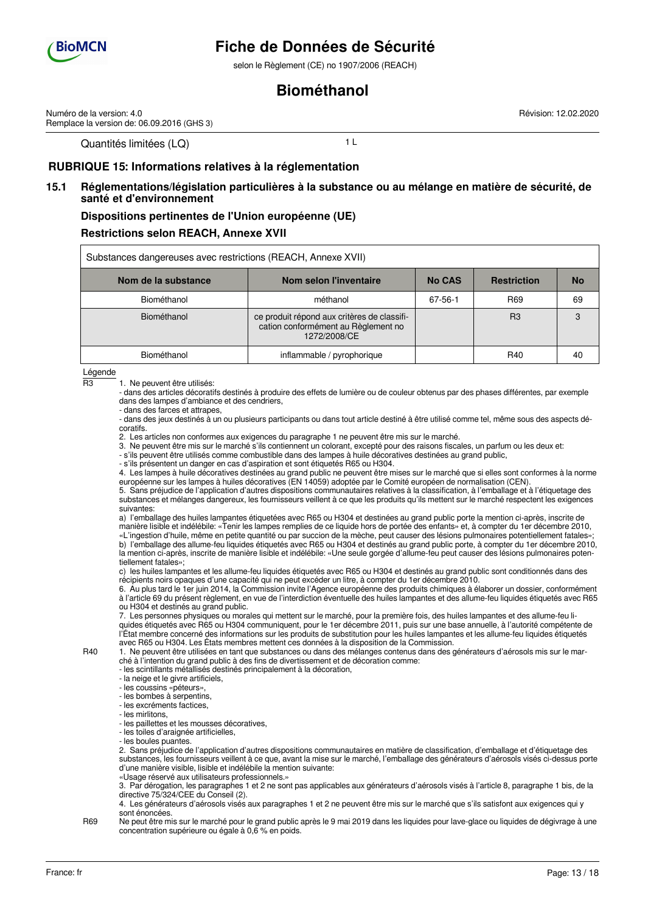

Numéro de la version: 4.0

# **Fiche de Données de Sécurité**

selon le Règlement (CE) no 1907/2006 (REACH)

# **Biométhanol**

Révision: 12.02.2020

Quantités limitées (LQ) 1 L

Remplace la version de: 06.09.2016 (GHS 3)

# **RUBRIQUE 15: Informations relatives à la réglementation**

# **15.1 Réglementations/législation particulières à la substance ou au mélange en matière de sécurité, de santé et d'environnement**

### **Dispositions pertinentes de l'Union européenne (UE)**

## **Restrictions selon REACH, Annexe XVII**

| Substances dangereuses avec restrictions (REACH, Annexe XVII) |                                                                                                    |               |                    |           |
|---------------------------------------------------------------|----------------------------------------------------------------------------------------------------|---------------|--------------------|-----------|
| Nom de la substance                                           | Nom selon l'inventaire                                                                             | <b>No CAS</b> | <b>Restriction</b> | <b>No</b> |
| Biométhanol                                                   | méthanol                                                                                           | 67-56-1       | R <sub>69</sub>    | 69        |
| Biométhanol                                                   | ce produit répond aux critères de classifi-<br>cation conformément au Règlement no<br>1272/2008/CE |               | R <sub>3</sub>     |           |
| Biométhanol                                                   | inflammable / pyrophorique                                                                         |               | <b>R40</b>         | 40        |

Légende

R3 1. Ne peuvent être utilisés:

- dans des articles décoratifs destinés à produire des effets de lumière ou de couleur obtenus par des phases différentes, par exemple dans des lampes d'ambiance et des cendriers,

- dans des farces et attrapes,

- dans des jeux destinés à un ou plusieurs participants ou dans tout article destiné à être utilisé comme tel, même sous des aspects décoratifs.

2. Les articles non conformes aux exigences du paragraphe 1 ne peuvent être mis sur le marché.

3. Ne peuvent être mis sur le marché s'ils contiennent un colorant, excepté pour des raisons fiscales, un parfum ou les deux et:

- s'ils peuvent être utilisés comme combustible dans des lampes à huile décoratives destinées au grand public,

- s'ils présentent un danger en cas d'aspiration et sont étiquetés R65 ou H304.

4. Les lampes à huile décoratives destinées au grand public ne peuvent être mises sur le marché que si elles sont conformes à la norme européenne sur les lampes à huiles décoratives (EN 14059) adoptée par le Comité européen de normalisation (CEN).

5. Sans préjudice de l'application d'autres dispositions communautaires relatives à la classification, à l'emballage et à l'étiquetage des substances et mélanges dangereux, les fournisseurs veillent à ce que les produits qu'ils mettent sur le marché respectent les exigences suivantes:

a) l'emballage des huiles lampantes étiquetées avec R65 ou H304 et destinées au grand public porte la mention ci-après, inscrite de manière lisible et indélébile: «Tenir les lampes remplies de ce liquide hors de portée des enfants» et, à compter du 1er décembre 2010,

«L'ingestion d'huile, même en petite quantité ou par succion de la mèche, peut causer des lésions pulmonaires potentiellement fatales»; b) l'emballage des allume-feu liquides étiquetés avec R65 ou H304 et destinés au grand public porte, à compter du 1er décembre 2010, la mention ci-après, inscrite de manière lisible et indélébile: «Une seule gorgée d'allume-feu peut causer des lésions pulmonaires potentiellement fatales»;

c) les huiles lampantes et les allume-feu liquides étiquetés avec R65 ou H304 et destinés au grand public sont conditionnés dans des récipients noirs opaques d'une capacité qui ne peut excéder un litre, à compter du 1er décembre 2010.

6. Au plus tard le 1er juin 2014, la Commission invite l'Agence européenne des produits chimiques à élaborer un dossier, conformément à l'article 69 du présent règlement, en vue de l'interdiction éventuelle des huiles lampantes et des allume-feu liquides étiquetés avec R65 ou H304 et destinés au grand public.

7. Les personnes physiques ou morales qui mettent sur le marché, pour la première fois, des huiles lampantes et des allume-feu liquides étiquetés avec R65 ou H304 communiquent, pour le 1er décembre 2011, puis sur une base annuelle, à l'autorité compétente de l'État membre concerné des informations sur les produits de substitution pour les huiles lampantes et les allume-feu liquides étiquetés avec R65 ou H304. Les États membres mettent ces données à la disposition de la Commission.

R40 1. Ne peuvent être utilisées en tant que substances ou dans des mélanges contenus dans des générateurs d'aérosols mis sur le marché à l'intention du grand public à des fins de divertissement et de décoration comme:

- les scintillants métallisés destinés principalement à la décoration,

- la neige et le givre artificiels,

- les coussins «péteurs»,

- les bombes à serpentins,

- les excréments factices,

- les mirlitons,

- les paillettes et les mousses décoratives,

- les toiles d'araignée artificielles,

- les boules puantes.

2. Sans préjudice de l'application d'autres dispositions communautaires en matière de classification, d'emballage et d'étiquetage des substances, les fournisseurs veillent à ce que, avant la mise sur le marché, l'emballage des générateurs d'aérosols visés ci-dessus porte d'une manière visible, lisible et indélébile la mention suivante:

«Usage réservé aux utilisateurs professionnels.»

3. Par dérogation, les paragraphes 1 et 2 ne sont pas applicables aux générateurs d'aérosols visés à l'article 8, paragraphe 1 bis, de la directive 75/324/CEE du Conseil (2).

4. Les générateurs d'aérosols visés aux paragraphes 1 et 2 ne peuvent être mis sur le marché que s'ils satisfont aux exigences qui y sont énoncées.

R69 Ne peut être mis sur le marché pour le grand public après le 9 mai 2019 dans les liquides pour lave-glace ou liquides de dégivrage à une concentration supérieure ou égale à 0,6 % en poids.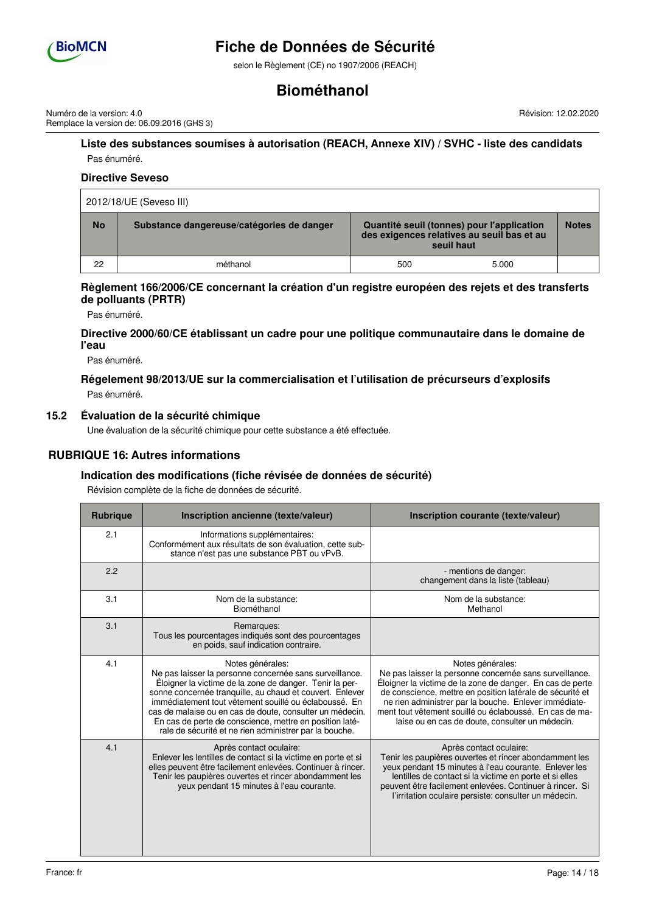

selon le Règlement (CE) no 1907/2006 (REACH)

# **Biométhanol**

Numéro de la version: 4.0 Remplace la version de: 06.09.2016 (GHS 3) Révision: 12.02.2020

## **Liste des substances soumises à autorisation (REACH, Annexe XIV) / SVHC - liste des candidats** Pas énuméré.

## **Directive Seveso**

| 2012/18/UE (Seveso III) |                                           |     |                                                                                                        |              |
|-------------------------|-------------------------------------------|-----|--------------------------------------------------------------------------------------------------------|--------------|
| <b>No</b>               | Substance dangereuse/catégories de danger |     | Quantité seuil (tonnes) pour l'application<br>des exigences relatives au seuil bas et au<br>seuil haut | <b>Notes</b> |
| 22                      | méthanol                                  | 500 | 5.000                                                                                                  |              |

### **Règlement 166/2006/CE concernant la création d'un registre européen des rejets et des transferts de polluants (PRTR)**

Pas énuméré.

## **Directive 2000/60/CE établissant un cadre pour une politique communautaire dans le domaine de l'eau**

Pas énuméré.

# **Régelement 98/2013/UE sur la commercialisation et l'utilisation de précurseurs d'explosifs** Pas énuméré.

**15.2 Évaluation de la sécurité chimique**

Une évaluation de la sécurité chimique pour cette substance a été effectuée.

# **RUBRIQUE 16: Autres informations**

# **Indication des modifications (fiche révisée de données de sécurité)**

Révision complète de la fiche de données de sécurité.

| <b>Rubrique</b> | Inscription ancienne (texte/valeur)                                                                                                                                                                                                                                                                                                                                                                                                          | Inscription courante (texte/valeur)                                                                                                                                                                                                                                                                                                                                          |
|-----------------|----------------------------------------------------------------------------------------------------------------------------------------------------------------------------------------------------------------------------------------------------------------------------------------------------------------------------------------------------------------------------------------------------------------------------------------------|------------------------------------------------------------------------------------------------------------------------------------------------------------------------------------------------------------------------------------------------------------------------------------------------------------------------------------------------------------------------------|
| 2.1             | Informations supplémentaires:<br>Conformément aux résultats de son évaluation, cette sub-<br>stance n'est pas une substance PBT ou vPvB.                                                                                                                                                                                                                                                                                                     |                                                                                                                                                                                                                                                                                                                                                                              |
| 2.2             |                                                                                                                                                                                                                                                                                                                                                                                                                                              | - mentions de danger:<br>changement dans la liste (tableau)                                                                                                                                                                                                                                                                                                                  |
| 3.1             | Nom de la substance:<br>Biométhanol                                                                                                                                                                                                                                                                                                                                                                                                          | Nom de la substance:<br>Methanol                                                                                                                                                                                                                                                                                                                                             |
| 3.1             | Remarques:<br>Tous les pourcentages indiqués sont des pourcentages<br>en poids, sauf indication contraire.                                                                                                                                                                                                                                                                                                                                   |                                                                                                                                                                                                                                                                                                                                                                              |
| 4.1             | Notes générales:<br>Ne pas laisser la personne concernée sans surveillance.<br>Éloigner la victime de la zone de danger. Tenir la per-<br>sonne concernée tranquille, au chaud et couvert. Enlever<br>immédiatement tout vêtement souillé ou éclaboussé. En<br>cas de malaise ou en cas de doute, consulter un médecin.<br>En cas de perte de conscience, mettre en position laté-<br>rale de sécurité et ne rien administrer par la bouche. | Notes générales:<br>Ne pas laisser la personne concernée sans surveillance.<br>Éloigner la victime de la zone de danger. En cas de perte<br>de conscience, mettre en position latérale de sécurité et<br>ne rien administrer par la bouche. Enlever immédiate-<br>ment tout vêtement souillé ou éclaboussé. En cas de ma-<br>laise ou en cas de doute, consulter un médecin. |
| 4.1             | Après contact oculaire:<br>Enlever les lentilles de contact si la victime en porte et si<br>elles peuvent être facilement enlevées. Continuer à rincer.<br>Tenir les paupières ouvertes et rincer abondamment les<br>yeux pendant 15 minutes à l'eau courante.                                                                                                                                                                               | Après contact oculaire:<br>Tenir les paupières ouvertes et rincer abondamment les<br>yeux pendant 15 minutes à l'eau courante. Enlever les<br>lentilles de contact si la victime en porte et si elles<br>peuvent être facilement enlevées. Continuer à rincer. Si<br>l'irritation oculaire persiste: consulter un médecin.                                                   |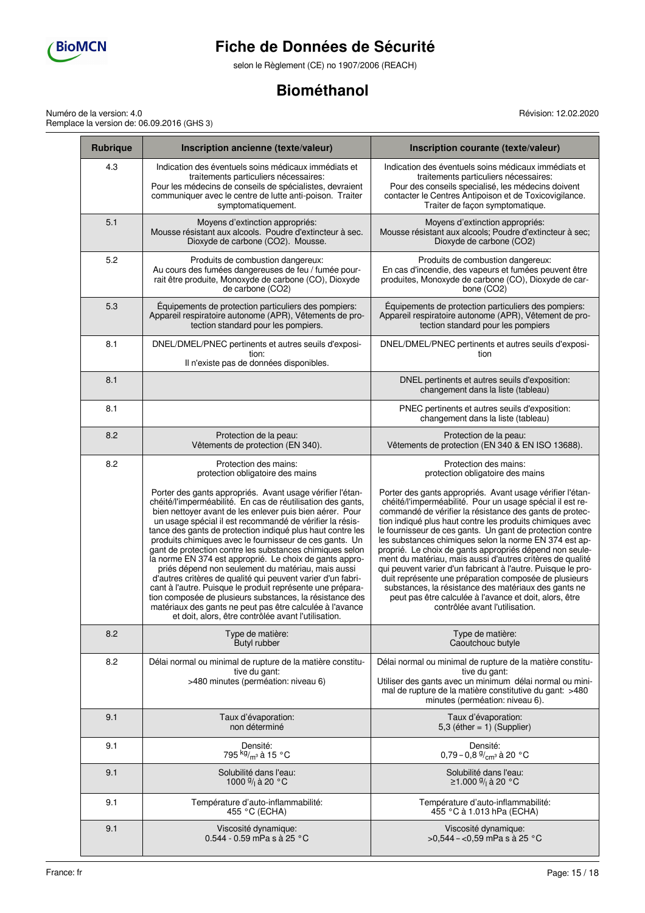

selon le Règlement (CE) no 1907/2006 (REACH)

# **Biométhanol**

Numéro de la version: 4.0 Remplace la version de: 06.09.2016 (GHS 3) Révision: 12.02.2020

| <b>Rubrique</b> | Inscription ancienne (texte/valeur)                                                                                                                                                                                                                                                                                                                                                                                                                                                                                                                                                                                                                                                                                                                                                                                                                                | Inscription courante (texte/valeur)                                                                                                                                                                                                                                                                                                                                                                                                                                                                                                                                                                                                                                                                                                                                        |
|-----------------|--------------------------------------------------------------------------------------------------------------------------------------------------------------------------------------------------------------------------------------------------------------------------------------------------------------------------------------------------------------------------------------------------------------------------------------------------------------------------------------------------------------------------------------------------------------------------------------------------------------------------------------------------------------------------------------------------------------------------------------------------------------------------------------------------------------------------------------------------------------------|----------------------------------------------------------------------------------------------------------------------------------------------------------------------------------------------------------------------------------------------------------------------------------------------------------------------------------------------------------------------------------------------------------------------------------------------------------------------------------------------------------------------------------------------------------------------------------------------------------------------------------------------------------------------------------------------------------------------------------------------------------------------------|
| 4.3             | Indication des éventuels soins médicaux immédiats et<br>traitements particuliers nécessaires:<br>Pour les médecins de conseils de spécialistes, devraient<br>communiquer avec le centre de lutte anti-poison. Traiter<br>symptomatiquement.                                                                                                                                                                                                                                                                                                                                                                                                                                                                                                                                                                                                                        | Indication des éventuels soins médicaux immédiats et<br>traitements particuliers nécessaires:<br>Pour des conseils specialisé, les médecins doivent<br>contacter le Centres Antipoison et de Toxicovigilance.<br>Traiter de façon symptomatique.                                                                                                                                                                                                                                                                                                                                                                                                                                                                                                                           |
| 5.1             | Moyens d'extinction appropriés:<br>Mousse résistant aux alcools. Poudre d'extincteur à sec.<br>Dioxyde de carbone (CO2). Mousse.                                                                                                                                                                                                                                                                                                                                                                                                                                                                                                                                                                                                                                                                                                                                   | Moyens d'extinction appropriés:<br>Mousse résistant aux alcools; Poudre d'extincteur à sec;<br>Dioxyde de carbone (CO2)                                                                                                                                                                                                                                                                                                                                                                                                                                                                                                                                                                                                                                                    |
| 5.2             | Produits de combustion dangereux:<br>Au cours des fumées dangereuses de feu / fumée pour-<br>rait être produite, Monoxyde de carbone (CO), Dioxyde<br>de carbone (CO2)                                                                                                                                                                                                                                                                                                                                                                                                                                                                                                                                                                                                                                                                                             | Produits de combustion dangereux:<br>En cas d'incendie, des vapeurs et fumées peuvent être<br>produites, Monoxyde de carbone (CO), Dioxyde de car-<br>bone (CO2)                                                                                                                                                                                                                                                                                                                                                                                                                                                                                                                                                                                                           |
| 5.3             | Équipements de protection particuliers des pompiers:<br>Appareil respiratoire autonome (APR), Vêtements de pro-<br>tection standard pour les pompiers.                                                                                                                                                                                                                                                                                                                                                                                                                                                                                                                                                                                                                                                                                                             | Équipements de protection particuliers des pompiers:<br>Appareil respiratoire autonome (APR), Vêtement de pro-<br>tection standard pour les pompiers                                                                                                                                                                                                                                                                                                                                                                                                                                                                                                                                                                                                                       |
| 8.1             | DNEL/DMEL/PNEC pertinents et autres seuils d'exposi-<br>tion:<br>Il n'existe pas de données disponibles.                                                                                                                                                                                                                                                                                                                                                                                                                                                                                                                                                                                                                                                                                                                                                           | DNEL/DMEL/PNEC pertinents et autres seuils d'exposi-<br>tion                                                                                                                                                                                                                                                                                                                                                                                                                                                                                                                                                                                                                                                                                                               |
| 8.1             |                                                                                                                                                                                                                                                                                                                                                                                                                                                                                                                                                                                                                                                                                                                                                                                                                                                                    | DNEL pertinents et autres seuils d'exposition:<br>changement dans la liste (tableau)                                                                                                                                                                                                                                                                                                                                                                                                                                                                                                                                                                                                                                                                                       |
| 8.1             |                                                                                                                                                                                                                                                                                                                                                                                                                                                                                                                                                                                                                                                                                                                                                                                                                                                                    | PNEC pertinents et autres seuils d'exposition:<br>changement dans la liste (tableau)                                                                                                                                                                                                                                                                                                                                                                                                                                                                                                                                                                                                                                                                                       |
| 8.2             | Protection de la peau:<br>Vêtements de protection (EN 340).                                                                                                                                                                                                                                                                                                                                                                                                                                                                                                                                                                                                                                                                                                                                                                                                        | Protection de la peau:<br>Vêtements de protection (EN 340 & EN ISO 13688).                                                                                                                                                                                                                                                                                                                                                                                                                                                                                                                                                                                                                                                                                                 |
| 8.2             | Protection des mains:<br>protection obligatoire des mains                                                                                                                                                                                                                                                                                                                                                                                                                                                                                                                                                                                                                                                                                                                                                                                                          | Protection des mains:<br>protection obligatoire des mains                                                                                                                                                                                                                                                                                                                                                                                                                                                                                                                                                                                                                                                                                                                  |
|                 | Porter des gants appropriés. Avant usage vérifier l'étan-<br>chéité/l'imperméabilité. En cas de réutilisation des gants,<br>bien nettoyer avant de les enlever puis bien aérer. Pour<br>un usage spécial il est recommandé de vérifier la résis-<br>tance des gants de protection indiqué plus haut contre les<br>produits chimiques avec le fournisseur de ces gants. Un<br>gant de protection contre les substances chimiques selon<br>la norme EN 374 est approprié. Le choix de gants appro-<br>priés dépend non seulement du matériau, mais aussi<br>d'autres critères de qualité qui peuvent varier d'un fabri-<br>cant à l'autre. Puisque le produit représente une prépara-<br>tion composée de plusieurs substances, la résistance des<br>matériaux des gants ne peut pas être calculée à l'avance<br>et doit, alors, être contrôlée avant l'utilisation. | Porter des gants appropriés. Avant usage vérifier l'étan-<br>chéité/l'imperméabilité. Pour un usage spécial il est re-<br>commandé de vérifier la résistance des gants de protec-<br>tion indiqué plus haut contre les produits chimiques avec<br>le fournisseur de ces gants. Un gant de protection contre<br>les substances chimiques selon la norme EN 374 est ap-<br>proprié. Le choix de gants appropriés dépend non seule-<br>ment du matériau, mais aussi d'autres critères de qualité<br>qui peuvent varier d'un fabricant à l'autre. Puisque le pro-<br>duit représente une préparation composée de plusieurs<br>substances, la résistance des matériaux des gants ne<br>peut pas être calculée à l'avance et doit, alors, être<br>contrôlée avant l'utilisation. |
| 8.2             | Type de matière:<br>Butyl rubber                                                                                                                                                                                                                                                                                                                                                                                                                                                                                                                                                                                                                                                                                                                                                                                                                                   | Type de matière:<br>Caoutchouc butyle                                                                                                                                                                                                                                                                                                                                                                                                                                                                                                                                                                                                                                                                                                                                      |
| 8.2             | Délai normal ou minimal de rupture de la matière constitu-<br>tive du gant:<br>>480 minutes (perméation: niveau 6)                                                                                                                                                                                                                                                                                                                                                                                                                                                                                                                                                                                                                                                                                                                                                 | Délai normal ou minimal de rupture de la matière constitu-<br>tive du gant:<br>Utiliser des gants avec un minimum délai normal ou mini-<br>mal de rupture de la matière constitutive du gant: >480<br>minutes (perméation: niveau 6).                                                                                                                                                                                                                                                                                                                                                                                                                                                                                                                                      |
| 9.1             | Taux d'évaporation:<br>non déterminé                                                                                                                                                                                                                                                                                                                                                                                                                                                                                                                                                                                                                                                                                                                                                                                                                               | Taux d'évaporation:<br>5,3 (éther = $1)$ (Supplier)                                                                                                                                                                                                                                                                                                                                                                                                                                                                                                                                                                                                                                                                                                                        |
| 9.1             | Densité:<br>795 kg/m3 à 15 °C                                                                                                                                                                                                                                                                                                                                                                                                                                                                                                                                                                                                                                                                                                                                                                                                                                      | Densité:<br>0,79 - 0,8 $\frac{9}{cm}$ à 20 °C                                                                                                                                                                                                                                                                                                                                                                                                                                                                                                                                                                                                                                                                                                                              |
| 9.1             | Solubilité dans l'eau:<br>1000 $9/$ <sub>1</sub> à 20 °C                                                                                                                                                                                                                                                                                                                                                                                                                                                                                                                                                                                                                                                                                                                                                                                                           | Solubilité dans l'eau:<br>≥1.000 <sup>9</sup> / <sub>l</sub> à 20 °C                                                                                                                                                                                                                                                                                                                                                                                                                                                                                                                                                                                                                                                                                                       |
| 9.1             | Température d'auto-inflammabilité:<br>455 °C (ECHA)                                                                                                                                                                                                                                                                                                                                                                                                                                                                                                                                                                                                                                                                                                                                                                                                                | Température d'auto-inflammabilité:<br>455 °C à 1.013 hPa (ECHA)                                                                                                                                                                                                                                                                                                                                                                                                                                                                                                                                                                                                                                                                                                            |
| 9.1             | Viscosité dynamique:<br>0.544 - 0.59 mPa s à 25 °C                                                                                                                                                                                                                                                                                                                                                                                                                                                                                                                                                                                                                                                                                                                                                                                                                 | Viscosité dynamique:<br>>0,544 - <0,59 mPa s à 25 °C                                                                                                                                                                                                                                                                                                                                                                                                                                                                                                                                                                                                                                                                                                                       |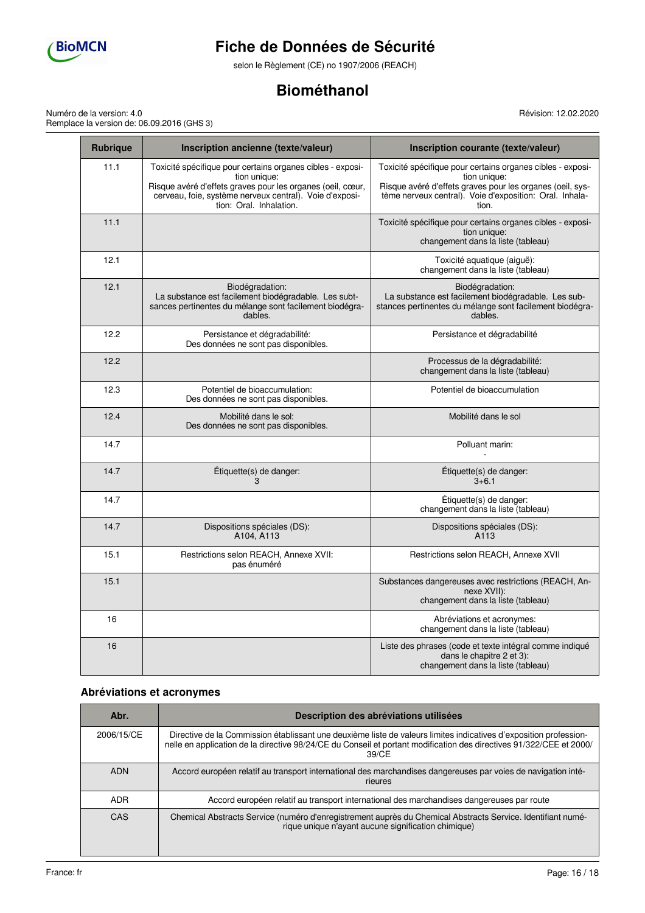

selon le Règlement (CE) no 1907/2006 (REACH)

# **Biométhanol**

Numéro de la version: 4.0 Remplace la version de: 06.09.2016 (GHS 3) Révision: 12.02.2020

| <b>Rubrique</b> | Inscription ancienne (texte/valeur)                                                                                                                                                                                            | Inscription courante (texte/valeur)                                                                                                                                                                         |
|-----------------|--------------------------------------------------------------------------------------------------------------------------------------------------------------------------------------------------------------------------------|-------------------------------------------------------------------------------------------------------------------------------------------------------------------------------------------------------------|
| 11.1            | Toxicité spécifique pour certains organes cibles - exposi-<br>tion unique:<br>Risque avéré d'effets graves pour les organes (oeil, cœur,<br>cerveau, foie, système nerveux central). Voie d'exposi-<br>tion: Oral. Inhalation. | Toxicité spécifique pour certains organes cibles - exposi-<br>tion unique:<br>Risque avéré d'effets graves pour les organes (oeil, sys-<br>tème nerveux central). Voie d'exposition: Oral. Inhala-<br>tion. |
| 11.1            |                                                                                                                                                                                                                                | Toxicité spécifique pour certains organes cibles - exposi-<br>tion unique:<br>changement dans la liste (tableau)                                                                                            |
| 12.1            |                                                                                                                                                                                                                                | Toxicité aquatique (aiguë):<br>changement dans la liste (tableau)                                                                                                                                           |
| 12.1            | Biodégradation:<br>La substance est facilement biodégradable. Les subt-<br>sances pertinentes du mélange sont facilement biodégra-<br>dables.                                                                                  | Biodégradation:<br>La substance est facilement biodégradable. Les sub-<br>stances pertinentes du mélange sont facilement biodégra-<br>dables.                                                               |
| 12.2            | Persistance et dégradabilité:<br>Des données ne sont pas disponibles.                                                                                                                                                          | Persistance et dégradabilité                                                                                                                                                                                |
| 12.2            |                                                                                                                                                                                                                                | Processus de la dégradabilité:<br>changement dans la liste (tableau)                                                                                                                                        |
| 12.3            | Potentiel de bioaccumulation:<br>Des données ne sont pas disponibles.                                                                                                                                                          | Potentiel de bioaccumulation                                                                                                                                                                                |
| 12.4            | Mobilité dans le sol:<br>Des données ne sont pas disponibles.                                                                                                                                                                  | Mobilité dans le sol                                                                                                                                                                                        |
| 14.7            |                                                                                                                                                                                                                                | Polluant marin:                                                                                                                                                                                             |
| 14.7            | Etiquette(s) de danger:<br>3                                                                                                                                                                                                   | Étiquette(s) de danger:<br>$3 + 6.1$                                                                                                                                                                        |
| 14.7            |                                                                                                                                                                                                                                | Etiquette(s) de danger:<br>changement dans la liste (tableau)                                                                                                                                               |
| 14.7            | Dispositions spéciales (DS):<br>A104, A113                                                                                                                                                                                     | Dispositions spéciales (DS):<br>A <sub>113</sub>                                                                                                                                                            |
| 15.1            | Restrictions selon REACH, Annexe XVII:<br>pas énuméré                                                                                                                                                                          | Restrictions selon REACH, Annexe XVII                                                                                                                                                                       |
| 15.1            |                                                                                                                                                                                                                                | Substances dangereuses avec restrictions (REACH, An-<br>nexe XVII):<br>changement dans la liste (tableau)                                                                                                   |
| 16              |                                                                                                                                                                                                                                | Abréviations et acronymes:<br>changement dans la liste (tableau)                                                                                                                                            |
| 16              |                                                                                                                                                                                                                                | Liste des phrases (code et texte intégral comme indiqué<br>dans le chapitre 2 et 3):<br>changement dans la liste (tableau)                                                                                  |

# **Abréviations et acronymes**

| Abr.       | Description des abréviations utilisées                                                                                                                                                                                                            |
|------------|---------------------------------------------------------------------------------------------------------------------------------------------------------------------------------------------------------------------------------------------------|
| 2006/15/CE | Directive de la Commission établissant une deuxième liste de valeurs limites indicatives d'exposition profession-<br>nelle en application de la directive 98/24/CE du Conseil et portant modification des directives 91/322/CEE et 2000/<br>39/CE |
| <b>ADN</b> | Accord européen relatif au transport international des marchandises dangereuses par voies de navigation inté-<br>rieures                                                                                                                          |
| <b>ADR</b> | Accord européen relatif au transport international des marchandises dangereuses par route                                                                                                                                                         |
| <b>CAS</b> | Chemical Abstracts Service (numéro d'enregistrement auprès du Chemical Abstracts Service. Identifiant numé-<br>rique unique n'ayant aucune signification chimique)                                                                                |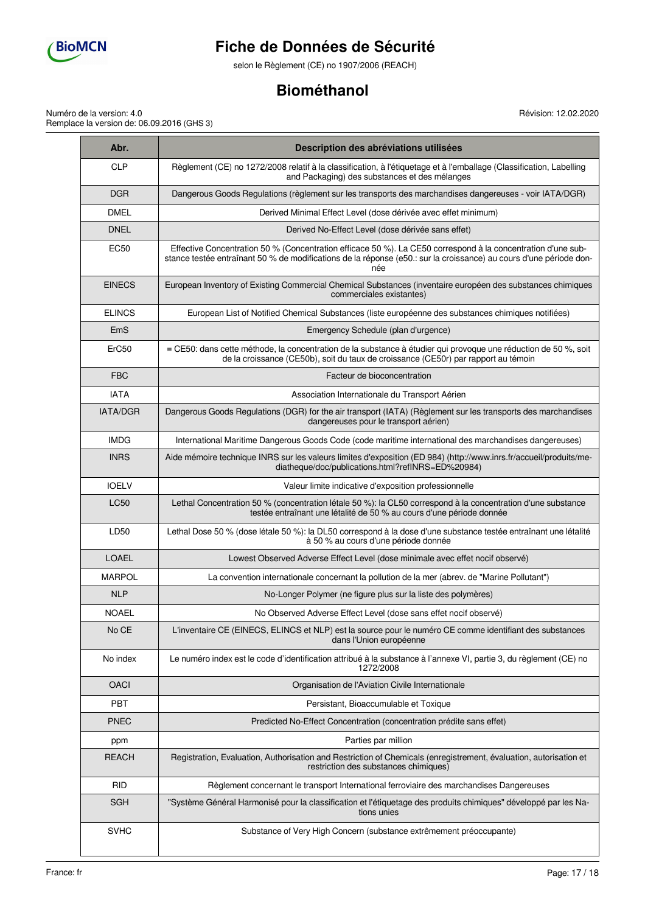

selon le Règlement (CE) no 1907/2006 (REACH)

# **Biométhanol**

Numéro de la version: 4.0 Remplace la version de: 06.09.2016 (GHS 3)

۰

| Abr.            | Description des abréviations utilisées                                                                                                                                                                                                    |  |  |  |
|-----------------|-------------------------------------------------------------------------------------------------------------------------------------------------------------------------------------------------------------------------------------------|--|--|--|
| <b>CLP</b>      | Règlement (CE) no 1272/2008 relatif à la classification, à l'étiquetage et à l'emballage (Classification, Labelling<br>and Packaging) des substances et des mélanges                                                                      |  |  |  |
| <b>DGR</b>      | Dangerous Goods Regulations (règlement sur les transports des marchandises dangereuses - voir IATA/DGR)                                                                                                                                   |  |  |  |
| <b>DMEL</b>     | Derived Minimal Effect Level (dose dérivée avec effet minimum)                                                                                                                                                                            |  |  |  |
| <b>DNEL</b>     | Derived No-Effect Level (dose dérivée sans effet)                                                                                                                                                                                         |  |  |  |
| <b>EC50</b>     | Effective Concentration 50 % (Concentration efficace 50 %). La CE50 correspond à la concentration d'une sub-<br>stance testée entraînant 50 % de modifications de la réponse (e50.: sur la croissance) au cours d'une période don-<br>née |  |  |  |
| <b>EINECS</b>   | European Inventory of Existing Commercial Chemical Substances (inventaire européen des substances chimiques<br>commerciales existantes)                                                                                                   |  |  |  |
| <b>ELINCS</b>   | European List of Notified Chemical Substances (liste européenne des substances chimiques notifiées)                                                                                                                                       |  |  |  |
| EmS             | Emergency Schedule (plan d'urgence)                                                                                                                                                                                                       |  |  |  |
| ErC50           | $\equiv$ CE50: dans cette méthode, la concentration de la substance à étudier qui provoque une réduction de 50 %, soit<br>de la croissance (CE50b), soit du taux de croissance (CE50r) par rapport au témoin                              |  |  |  |
| <b>FBC</b>      | Facteur de bioconcentration                                                                                                                                                                                                               |  |  |  |
| <b>IATA</b>     | Association Internationale du Transport Aérien                                                                                                                                                                                            |  |  |  |
| <b>IATA/DGR</b> | Dangerous Goods Regulations (DGR) for the air transport (IATA) (Règlement sur les transports des marchandises<br>dangereuses pour le transport aérien)                                                                                    |  |  |  |
| <b>IMDG</b>     | International Maritime Dangerous Goods Code (code maritime international des marchandises dangereuses)                                                                                                                                    |  |  |  |
| <b>INRS</b>     | Aide mémoire technique INRS sur les valeurs limites d'exposition (ED 984) (http://www.inrs.fr/accueil/produits/me-<br>diatheque/doc/publications.html?refINRS=ED%20984)                                                                   |  |  |  |
| <b>IOELV</b>    | Valeur limite indicative d'exposition professionnelle                                                                                                                                                                                     |  |  |  |
| <b>LC50</b>     | Lethal Concentration 50 % (concentration létale 50 %): la CL50 correspond à la concentration d'une substance<br>testée entraînant une létalité de 50 % au cours d'une période donnée                                                      |  |  |  |
| LD50            | Lethal Dose 50 % (dose létale 50 %): la DL50 correspond à la dose d'une substance testée entraînant une létalité<br>à 50 % au cours d'une période donnée                                                                                  |  |  |  |
| <b>LOAEL</b>    | Lowest Observed Adverse Effect Level (dose minimale avec effet nocif observé)                                                                                                                                                             |  |  |  |
| MARPOL          | La convention internationale concernant la pollution de la mer (abrev. de "Marine Pollutant")                                                                                                                                             |  |  |  |
| <b>NLP</b>      | No-Longer Polymer (ne figure plus sur la liste des polymères)                                                                                                                                                                             |  |  |  |
| <b>NOAEL</b>    | No Observed Adverse Effect Level (dose sans effet nocif observé)                                                                                                                                                                          |  |  |  |
| No CE           | L'inventaire CE (EINECS, ELINCS et NLP) est la source pour le numéro CE comme identifiant des substances<br>dans l'Union européenne                                                                                                       |  |  |  |
| No index        | Le numéro index est le code d'identification attribué à la substance à l'annexe VI, partie 3, du règlement (CE) no<br>1272/2008                                                                                                           |  |  |  |
| <b>OACI</b>     | Organisation de l'Aviation Civile Internationale                                                                                                                                                                                          |  |  |  |
| PBT             | Persistant, Bioaccumulable et Toxique                                                                                                                                                                                                     |  |  |  |
| <b>PNEC</b>     | Predicted No-Effect Concentration (concentration prédite sans effet)                                                                                                                                                                      |  |  |  |
| ppm             | Parties par million                                                                                                                                                                                                                       |  |  |  |
| <b>REACH</b>    | Registration, Evaluation, Authorisation and Restriction of Chemicals (enregistrement, évaluation, autorisation et<br>restriction des substances chimiques)                                                                                |  |  |  |
| <b>RID</b>      | Règlement concernant le transport International ferroviaire des marchandises Dangereuses                                                                                                                                                  |  |  |  |
| <b>SGH</b>      | "Système Général Harmonisé pour la classification et l'étiquetage des produits chimiques" développé par les Na-<br>tions unies                                                                                                            |  |  |  |
| <b>SVHC</b>     | Substance of Very High Concern (substance extrêmement préoccupante)                                                                                                                                                                       |  |  |  |

Révision: 12.02.2020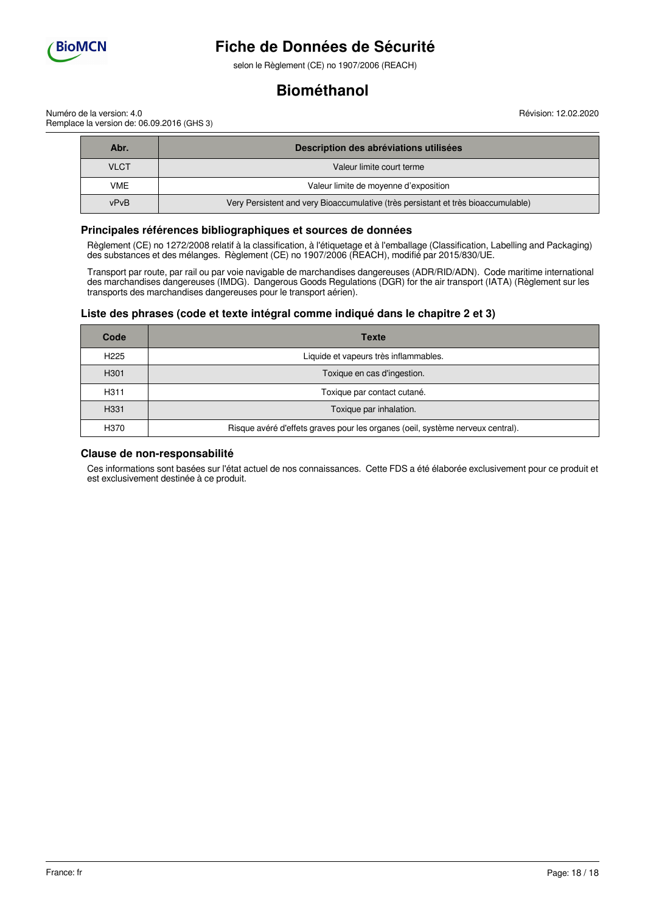

selon le Règlement (CE) no 1907/2006 (REACH)

# **Biométhanol**

Révision: 12.02.2020

Numéro de la version: 4.0 Remplace la version de: 06.09.2016 (GHS 3)

| Abr.        | Description des abréviations utilisées                                            |
|-------------|-----------------------------------------------------------------------------------|
| <b>VLCT</b> | Valeur limite court terme                                                         |
| <b>VME</b>  | Valeur limite de moyenne d'exposition                                             |
| vPvB        | Very Persistent and very Bioaccumulative (très persistant et très bioaccumulable) |

### **Principales références bibliographiques et sources de données**

Règlement (CE) no 1272/2008 relatif à la classification, à l'étiquetage et à l'emballage (Classification, Labelling and Packaging) des substances et des mélanges. Règlement (CE) no 1907/2006 (REACH), modifié par 2015/830/UE.

Transport par route, par rail ou par voie navigable de marchandises dangereuses (ADR/RID/ADN). Code maritime international des marchandises dangereuses (IMDG). Dangerous Goods Regulations (DGR) for the air transport (IATA) (Règlement sur les transports des marchandises dangereuses pour le transport aérien).

## **Liste des phrases (code et texte intégral comme indiqué dans le chapitre 2 et 3)**

| Code             | <b>Texte</b>                                                                   |
|------------------|--------------------------------------------------------------------------------|
| H <sub>225</sub> | Liquide et vapeurs très inflammables.                                          |
| H <sub>301</sub> | Toxique en cas d'ingestion.                                                    |
| H <sub>311</sub> | Toxique par contact cutané.                                                    |
| H <sub>331</sub> | Toxique par inhalation.                                                        |
| H370             | Risque avéré d'effets graves pour les organes (oeil, système nerveux central). |

### **Clause de non-responsabilité**

Ces informations sont basées sur l'état actuel de nos connaissances. Cette FDS a été élaborée exclusivement pour ce produit et est exclusivement destinée à ce produit.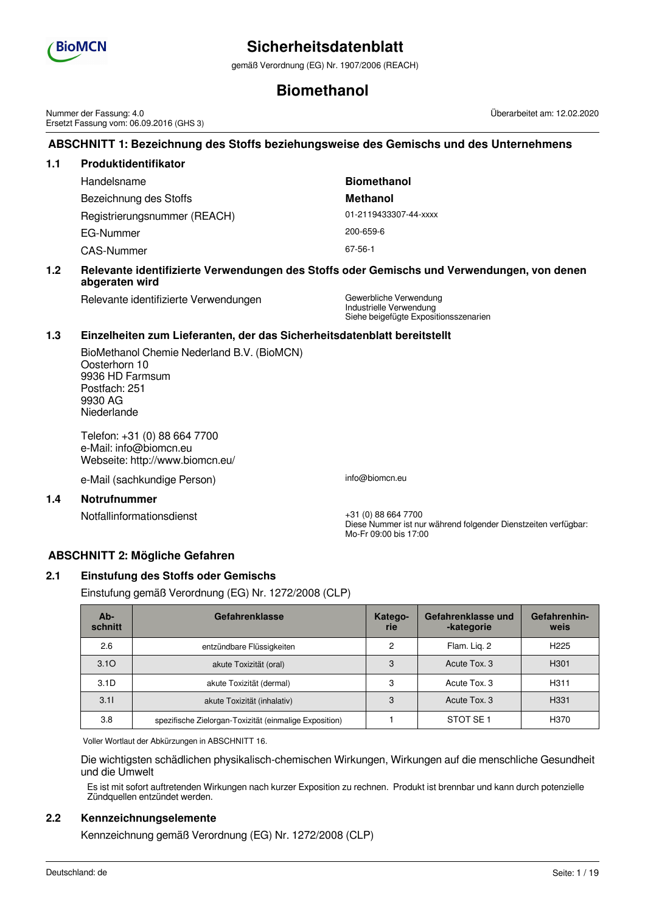

gemäß Verordnung (EG) Nr. 1907/2006 (REACH)

# **Biomethanol**

Nummer der Fassung: 4.0 Ersetzt Fassung vom: 06.09.2016 (GHS 3)

# **ABSCHNITT 1: Bezeichnung des Stoffs beziehungsweise des Gemischs und des Unternehmens**

| 1.1 | Produktidentifikator         |                       |  |  |  |  |
|-----|------------------------------|-----------------------|--|--|--|--|
|     | Handelsname                  | <b>Biomethanol</b>    |  |  |  |  |
|     | Bezeichnung des Stoffs       | <b>Methanol</b>       |  |  |  |  |
|     | Registrierungsnummer (REACH) | 01-2119433307-44-xxxx |  |  |  |  |
|     | EG-Nummer                    | 200-659-6             |  |  |  |  |
|     | <b>CAS-Nummer</b>            | 67-56-1               |  |  |  |  |
|     |                              |                       |  |  |  |  |

## **1.2 Relevante identifizierte Verwendungen des Stoffs oder Gemischs und Verwendungen, von denen abgeraten wird**

Relevante identifizierte Verwendungen Gewerbliche Verwendung

Industrielle Verwendung Siehe beigefügte Expositionsszenarien

# **1.3 Einzelheiten zum Lieferanten, der das Sicherheitsdatenblatt bereitstellt**

BioMethanol Chemie Nederland B.V. (BioMCN) Oosterhorn 10 9936 HD Farmsum Postfach: 251 9930 AG Niederlande

Telefon: +31 (0) 88 664 7700 e-Mail: info@biomcn.eu Webseite: http://www.biomcn.eu/

e-Mail (sachkundige Person) info@biomcn.eu

### **1.4 Notrufnummer**

Notfallinformationsdienst +31 (0) 88 664 7700

Diese Nummer ist nur während folgender Dienstzeiten verfügbar: Mo-Fr 09:00 bis 17:00

# **ABSCHNITT 2: Mögliche Gefahren**

# **2.1 Einstufung des Stoffs oder Gemischs**

Einstufung gemäß Verordnung (EG) Nr. 1272/2008 (CLP)

| Ab-<br>schnitt   | Gefahrenklasse                                         | Katego-<br>rie | Gefahrenklasse und<br>-kategorie | Gefahrenhin-<br>weis |
|------------------|--------------------------------------------------------|----------------|----------------------------------|----------------------|
| 2.6              | entzündbare Flüssigkeiten                              |                | Flam. Lig. 2                     | H <sub>225</sub>     |
| 3.10             | akute Toxizität (oral)                                 | 3              | Acute Tox, 3                     | H <sub>301</sub>     |
| 3.1 <sub>D</sub> | akute Toxizität (dermal)                               | 3              | Acute Tox, 3                     | H <sub>311</sub>     |
| 3.11             | akute Toxizität (inhalativ)                            | 3              | Acute Tox, 3                     | H <sub>331</sub>     |
| 3.8              | spezifische Zielorgan-Toxizität (einmalige Exposition) |                | STOT SE <sub>1</sub>             | H370                 |

Voller Wortlaut der Abkürzungen in ABSCHNITT 16.

Die wichtigsten schädlichen physikalisch-chemischen Wirkungen, Wirkungen auf die menschliche Gesundheit und die Umwelt

Es ist mit sofort auftretenden Wirkungen nach kurzer Exposition zu rechnen. Produkt ist brennbar und kann durch potenzielle Zündquellen entzündet werden.

# **2.2 Kennzeichnungselemente**

Kennzeichnung gemäß Verordnung (EG) Nr. 1272/2008 (CLP)

Überarbeitet am: 12.02.2020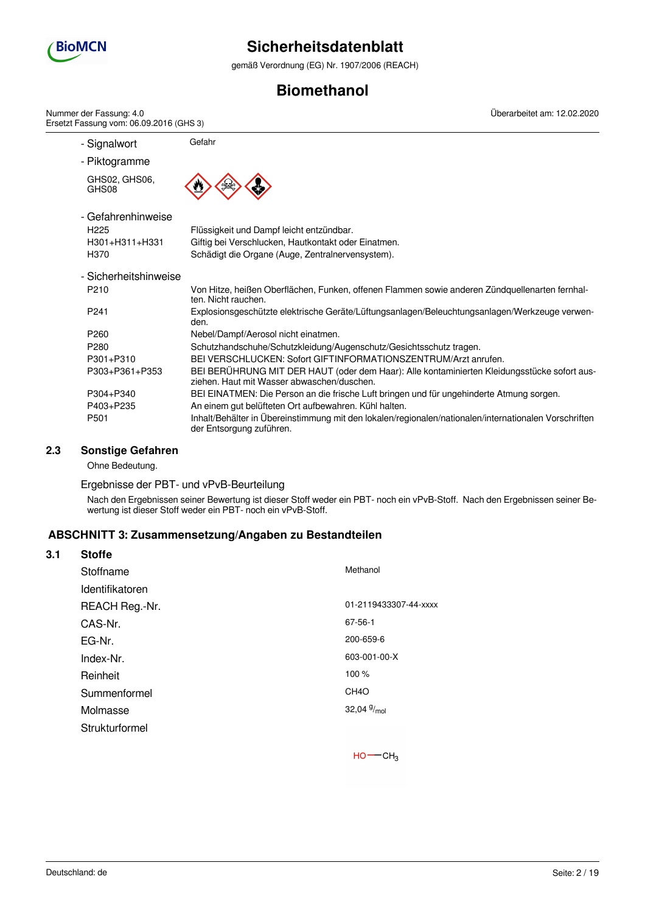

gemäß Verordnung (EG) Nr. 1907/2006 (REACH)

# **Biomethanol**

- Signalwort Gefahr - Piktogramme GHS02, GHS06, GHS08 - Gefahrenhinweise H225 Flüssigkeit und Dampf leicht entzündbar. H301+H311+H331 Giftig bei Verschlucken, Hautkontakt oder Einatmen. H370 Schädigt die Organe (Auge, Zentralnervensystem). - Sicherheitshinweise P210 Von Hitze, heißen Oberflächen, Funken, offenen Flammen sowie anderen Zündquellenarten fernhalten. Nicht rauchen. P241 Explosionsgeschützte elektrische Geräte/Lüftungsanlagen/Beleuchtungsanlagen/Werkzeuge verwenden. P260 Nebel/Dampf/Aerosol nicht einatmen. P280 Schutzhandschuhe/Schutzkleidung/Augenschutz/Gesichtsschutz tragen. P301+P310 BEI VERSCHLUCKEN: Sofort GIFTINFORMATIONSZENTRUM/Arzt anrufen. P303+P361+P353 BEI BERÜHRUNG MIT DER HAUT (oder dem Haar): Alle kontaminierten Kleidungsstücke sofort ausziehen. Haut mit Wasser abwaschen/duschen. P304+P340 BEI EINATMEN: Die Person an die frische Luft bringen und für ungehinderte Atmung sorgen. P403+P235 An einem gut belüfteten Ort aufbewahren. Kühl halten. P501 Inhalt/Behälter in Übereinstimmung mit den lokalen/regionalen/nationalen/internationalen Vorschriften der Entsorgung zuführen. Nummer der Fassung: 4.0 Ersetzt Fassung vom: 06.09.2016 (GHS 3) Überarbeitet am: 12.02.2020

## **2.3 Sonstige Gefahren**

Ohne Bedeutung.

### Ergebnisse der PBT- und vPvB-Beurteilung

Nach den Ergebnissen seiner Bewertung ist dieser Stoff weder ein PBT- noch ein vPvB-Stoff. Nach den Ergebnissen seiner Bewertung ist dieser Stoff weder ein PBT- noch ein vPvB-Stoff.

### **ABSCHNITT 3: Zusammensetzung/Angaben zu Bestandteilen**

| 3.1 | <b>Stoffe</b>   |                       |
|-----|-----------------|-----------------------|
|     | Stoffname       | Methanol              |
|     | Identifikatoren |                       |
|     | REACH Reg.-Nr.  | 01-2119433307-44-xxxx |
|     | CAS-Nr.         | 67-56-1               |
|     | EG-Nr.          | 200-659-6             |
|     | Index-Nr.       | 603-001-00-X          |
|     | Reinheit        | 100 %                 |
|     | Summenformel    | CH <sub>4</sub> O     |
|     | Molmasse        | 32,04 $\frac{9}{mol}$ |
|     | Strukturformel  |                       |
|     |                 |                       |

 $HO$  -  $CH<sub>3</sub>$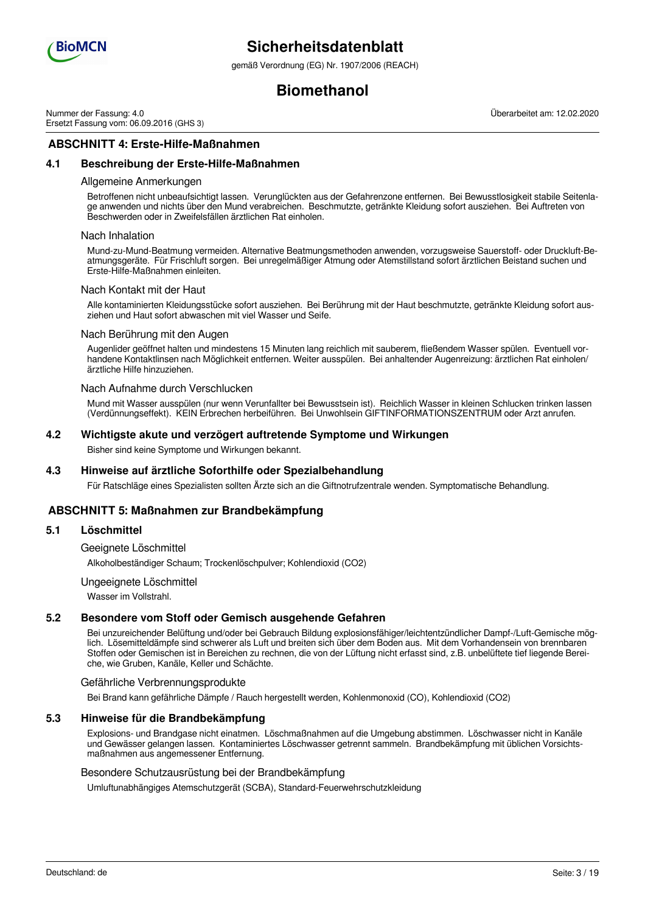

gemäß Verordnung (EG) Nr. 1907/2006 (REACH)

# **Biomethanol**

Nummer der Fassung: 4.0 Ersetzt Fassung vom: 06.09.2016 (GHS 3)

**ABSCHNITT 4: Erste-Hilfe-Maßnahmen**

## **4.1 Beschreibung der Erste-Hilfe-Maßnahmen**

#### Allgemeine Anmerkungen

Betroffenen nicht unbeaufsichtigt lassen. Verunglückten aus der Gefahrenzone entfernen. Bei Bewusstlosigkeit stabile Seitenlage anwenden und nichts über den Mund verabreichen. Beschmutzte, getränkte Kleidung sofort ausziehen. Bei Auftreten von Beschwerden oder in Zweifelsfällen ärztlichen Rat einholen.

#### Nach Inhalation

Mund-zu-Mund-Beatmung vermeiden. Alternative Beatmungsmethoden anwenden, vorzugsweise Sauerstoff- oder Druckluft-Beatmungsgeräte. Für Frischluft sorgen. Bei unregelmäßiger Atmung oder Atemstillstand sofort ärztlichen Beistand suchen und Erste-Hilfe-Maßnahmen einleiten.

#### Nach Kontakt mit der Haut

Alle kontaminierten Kleidungsstücke sofort ausziehen. Bei Berührung mit der Haut beschmutzte, getränkte Kleidung sofort ausziehen und Haut sofort abwaschen mit viel Wasser und Seife.

### Nach Berührung mit den Augen

Augenlider geöffnet halten und mindestens 15 Minuten lang reichlich mit sauberem, fließendem Wasser spülen. Eventuell vorhandene Kontaktlinsen nach Möglichkeit entfernen. Weiter ausspülen. Bei anhaltender Augenreizung: ärztlichen Rat einholen/ ärztliche Hilfe hinzuziehen.

### Nach Aufnahme durch Verschlucken

Mund mit Wasser ausspülen (nur wenn Verunfallter bei Bewusstsein ist). Reichlich Wasser in kleinen Schlucken trinken lassen (Verdünnungseffekt). KEIN Erbrechen herbeiführen. Bei Unwohlsein GIFTINFORMATIONSZENTRUM oder Arzt anrufen.

### **4.2 Wichtigste akute und verzögert auftretende Symptome und Wirkungen**

Bisher sind keine Symptome und Wirkungen bekannt.

### **4.3 Hinweise auf ärztliche Soforthilfe oder Spezialbehandlung**

Für Ratschläge eines Spezialisten sollten Ärzte sich an die Giftnotrufzentrale wenden. Symptomatische Behandlung.

# **ABSCHNITT 5: Maßnahmen zur Brandbekämpfung**

## **5.1 Löschmittel**

Geeignete Löschmittel

Alkoholbeständiger Schaum; Trockenlöschpulver; Kohlendioxid (CO2)

#### Ungeeignete Löschmittel

Wasser im Vollstrahl.

### **5.2 Besondere vom Stoff oder Gemisch ausgehende Gefahren**

Bei unzureichender Belüftung und/oder bei Gebrauch Bildung explosionsfähiger/leichtentzündlicher Dampf-/Luft-Gemische möglich. Lösemitteldämpfe sind schwerer als Luft und breiten sich über dem Boden aus. Mit dem Vorhandensein von brennbaren Stoffen oder Gemischen ist in Bereichen zu rechnen, die von der Lüftung nicht erfasst sind, z.B. unbelüftete tief liegende Bereiche, wie Gruben, Kanäle, Keller und Schächte.

#### Gefährliche Verbrennungsprodukte

Bei Brand kann gefährliche Dämpfe / Rauch hergestellt werden, Kohlenmonoxid (CO), Kohlendioxid (CO2)

#### **5.3 Hinweise für die Brandbekämpfung**

Explosions- und Brandgase nicht einatmen. Löschmaßnahmen auf die Umgebung abstimmen. Löschwasser nicht in Kanäle und Gewässer gelangen lassen. Kontaminiertes Löschwasser getrennt sammeln. Brandbekämpfung mit üblichen Vorsichtsmaßnahmen aus angemessener Entfernung.

#### Besondere Schutzausrüstung bei der Brandbekämpfung

Umluftunabhängiges Atemschutzgerät (SCBA), Standard-Feuerwehrschutzkleidung

Überarbeitet am: 12.02.2020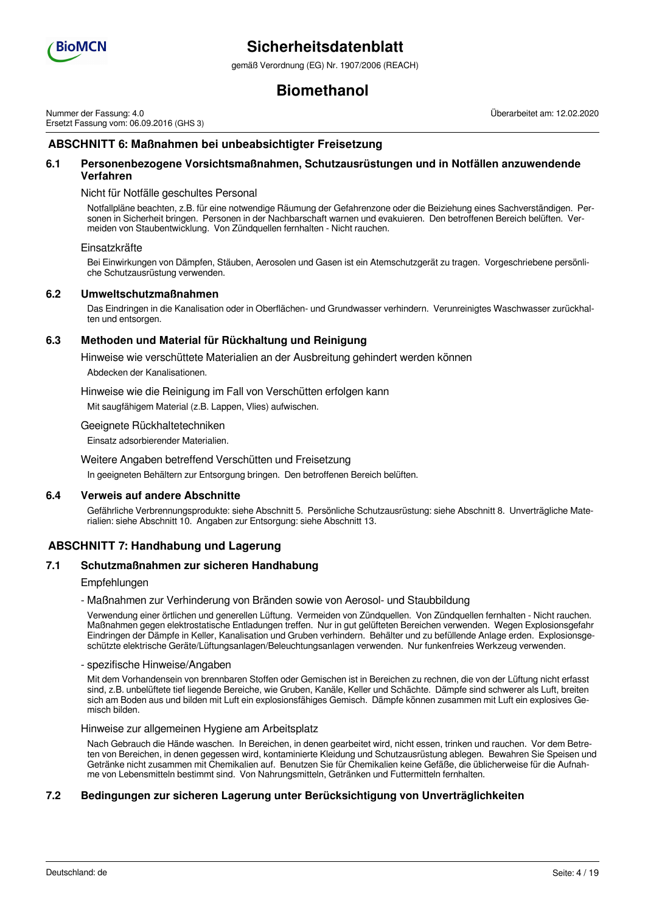

gemäß Verordnung (EG) Nr. 1907/2006 (REACH)

# **Biomethanol**

Nummer der Fassung: 4.0 Ersetzt Fassung vom: 06.09.2016 (GHS 3) Überarbeitet am: 12.02.2020

# **ABSCHNITT 6: Maßnahmen bei unbeabsichtigter Freisetzung**

### **6.1 Personenbezogene Vorsichtsmaßnahmen, Schutzausrüstungen und in Notfällen anzuwendende Verfahren**

### Nicht für Notfälle geschultes Personal

Notfallpläne beachten, z.B. für eine notwendige Räumung der Gefahrenzone oder die Beiziehung eines Sachverständigen. Personen in Sicherheit bringen. Personen in der Nachbarschaft warnen und evakuieren. Den betroffenen Bereich belüften. Vermeiden von Staubentwicklung. Von Zündquellen fernhalten - Nicht rauchen.

#### Einsatzkräfte

Bei Einwirkungen von Dämpfen, Stäuben, Aerosolen und Gasen ist ein Atemschutzgerät zu tragen. Vorgeschriebene persönliche Schutzausrüstung verwenden.

## **6.2 Umweltschutzmaßnahmen**

Das Eindringen in die Kanalisation oder in Oberflächen- und Grundwasser verhindern. Verunreinigtes Waschwasser zurückhalten und entsorgen.

### **6.3 Methoden und Material für Rückhaltung und Reinigung**

Hinweise wie verschüttete Materialien an der Ausbreitung gehindert werden können

Abdecken der Kanalisationen.

Hinweise wie die Reinigung im Fall von Verschütten erfolgen kann

Mit saugfähigem Material (z.B. Lappen, Vlies) aufwischen.

### Geeignete Rückhaltetechniken

Einsatz adsorbierender Materialien.

### Weitere Angaben betreffend Verschütten und Freisetzung

In geeigneten Behältern zur Entsorgung bringen. Den betroffenen Bereich belüften.

#### **6.4 Verweis auf andere Abschnitte**

Gefährliche Verbrennungsprodukte: siehe Abschnitt 5. Persönliche Schutzausrüstung: siehe Abschnitt 8. Unverträgliche Materialien: siehe Abschnitt 10. Angaben zur Entsorgung: siehe Abschnitt 13.

# **ABSCHNITT 7: Handhabung und Lagerung**

### **7.1 Schutzmaßnahmen zur sicheren Handhabung**

#### Empfehlungen

#### - Maßnahmen zur Verhinderung von Bränden sowie von Aerosol- und Staubbildung

Verwendung einer örtlichen und generellen Lüftung. Vermeiden von Zündquellen. Von Zündquellen fernhalten - Nicht rauchen. Maßnahmen gegen elektrostatische Entladungen treffen. Nur in gut gelüfteten Bereichen verwenden. Wegen Explosionsgefahr Eindringen der Dämpfe in Keller, Kanalisation und Gruben verhindern. Behälter und zu befüllende Anlage erden. Explosionsgeschützte elektrische Geräte/Lüftungsanlagen/Beleuchtungsanlagen verwenden. Nur funkenfreies Werkzeug verwenden.

#### - spezifische Hinweise/Angaben

Mit dem Vorhandensein von brennbaren Stoffen oder Gemischen ist in Bereichen zu rechnen, die von der Lüftung nicht erfasst sind, z.B. unbelüftete tief liegende Bereiche, wie Gruben, Kanäle, Keller und Schächte. Dämpfe sind schwerer als Luft, breiten sich am Boden aus und bilden mit Luft ein explosionsfähiges Gemisch. Dämpfe können zusammen mit Luft ein explosives Gemisch bilden.

#### Hinweise zur allgemeinen Hygiene am Arbeitsplatz

Nach Gebrauch die Hände waschen. In Bereichen, in denen gearbeitet wird, nicht essen, trinken und rauchen. Vor dem Betreten von Bereichen, in denen gegessen wird, kontaminierte Kleidung und Schutzausrüstung ablegen. Bewahren Sie Speisen und Getränke nicht zusammen mit Chemikalien auf. Benutzen Sie für Chemikalien keine Gefäße, die üblicherweise für die Aufnahme von Lebensmitteln bestimmt sind. Von Nahrungsmitteln, Getränken und Futtermitteln fernhalten.

### **7.2 Bedingungen zur sicheren Lagerung unter Berücksichtigung von Unverträglichkeiten**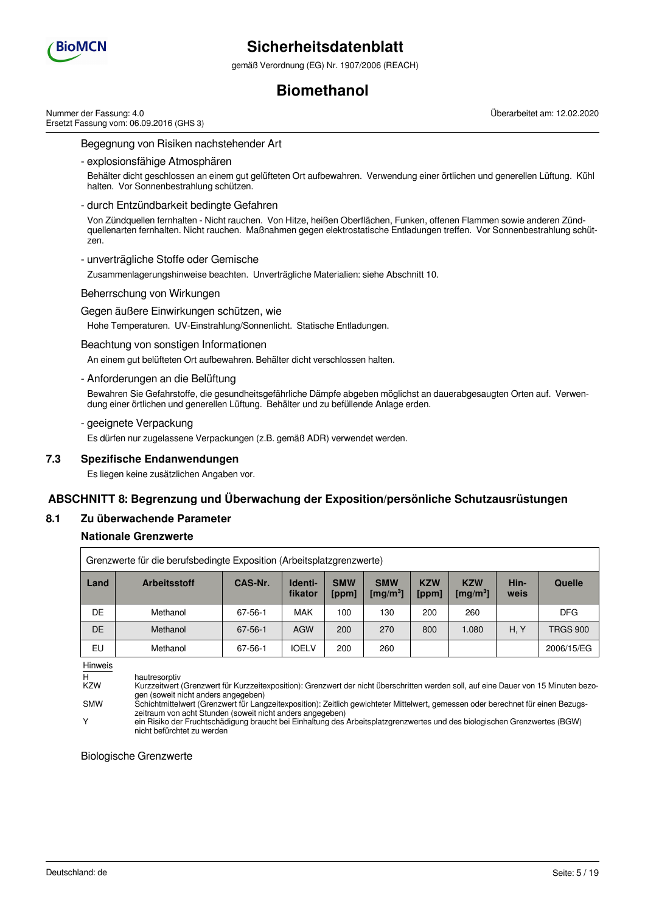

gemäß Verordnung (EG) Nr. 1907/2006 (REACH)

# **Biomethanol**

Nummer der Fassung: 4.0 Ersetzt Fassung vom: 06.09.2016 (GHS 3) Überarbeitet am: 12.02.2020

Begegnung von Risiken nachstehender Art

- explosionsfähige Atmosphären

Behälter dicht geschlossen an einem gut gelüfteten Ort aufbewahren. Verwendung einer örtlichen und generellen Lüftung. Kühl halten. Vor Sonnenbestrahlung schützen.

- durch Entzündbarkeit bedingte Gefahren

Von Zündquellen fernhalten - Nicht rauchen. Von Hitze, heißen Oberflächen, Funken, offenen Flammen sowie anderen Zündquellenarten fernhalten. Nicht rauchen. Maßnahmen gegen elektrostatische Entladungen treffen. Vor Sonnenbestrahlung schützen.

- unverträgliche Stoffe oder Gemische

Zusammenlagerungshinweise beachten. Unverträgliche Materialien: siehe Abschnitt 10.

Beherrschung von Wirkungen

Gegen äußere Einwirkungen schützen, wie

Hohe Temperaturen. UV-Einstrahlung/Sonnenlicht. Statische Entladungen.

### Beachtung von sonstigen Informationen

An einem gut belüfteten Ort aufbewahren. Behälter dicht verschlossen halten.

### - Anforderungen an die Belüftung

Bewahren Sie Gefahrstoffe, die gesundheitsgefährliche Dämpfe abgeben möglichst an dauerabgesaugten Orten auf. Verwendung einer örtlichen und generellen Lüftung. Behälter und zu befüllende Anlage erden.

- geeignete Verpackung

Es dürfen nur zugelassene Verpackungen (z.B. gemäß ADR) verwendet werden.

### **7.3 Spezifische Endanwendungen**

Es liegen keine zusätzlichen Angaben vor.

# **ABSCHNITT 8: Begrenzung und Überwachung der Exposition/persönliche Schutzausrüstungen**

### **8.1 Zu überwachende Parameter**

### **Nationale Grenzwerte**

| Grenzwerte für die berufsbedingte Exposition (Arbeitsplatzgrenzwerte) |                     |               |                    |                     |                                    |                     |                                            |              |                 |
|-----------------------------------------------------------------------|---------------------|---------------|--------------------|---------------------|------------------------------------|---------------------|--------------------------------------------|--------------|-----------------|
| Land                                                                  | <b>Arbeitsstoff</b> | CAS-Nr.       | Identi-<br>fikator | <b>SMW</b><br>[ppm] | <b>SMW</b><br>[mg/m <sup>3</sup> ] | <b>KZW</b><br>[ppm] | <b>KZW</b><br>$\left[\text{mg/m}^3\right]$ | Hin-<br>weis | Quelle          |
| DE                                                                    | Methanol            | 67-56-1       | <b>MAK</b>         | 100                 | 130                                | 200                 | 260                                        |              | <b>DFG</b>      |
| <b>DE</b>                                                             | Methanol            | $67 - 56 - 1$ | <b>AGW</b>         | 200                 | 270                                | 800                 | 1.080                                      | H, Y         | <b>TRGS 900</b> |
| EU                                                                    | Methanol            | $67 - 56 - 1$ | <b>IOELV</b>       | 200                 | 260                                |                     |                                            |              | 2006/15/EG      |

Hinweis

H hautresorptiv<br>KZW Kurzzeitwert Kurzzeitwert (Grenzwert für Kurzzeitexposition): Grenzwert der nicht überschritten werden soll, auf eine Dauer von 15 Minuten bezogen (soweit nicht anders angegeben)

Y ein Risiko der Fruchtschädigung braucht bei Einhaltung des Arbeitsplatzgrenzwertes und des biologischen Grenzwertes (BGW) nicht befürchtet zu werden

Biologische Grenzwerte

SMW Schichtmittelwert (Grenzwert für Langzeitexposition): Zeitlich gewichteter Mittelwert, gemessen oder berechnet für einen Bezugszeitraum von acht Stunden (soweit nicht anders angegeben)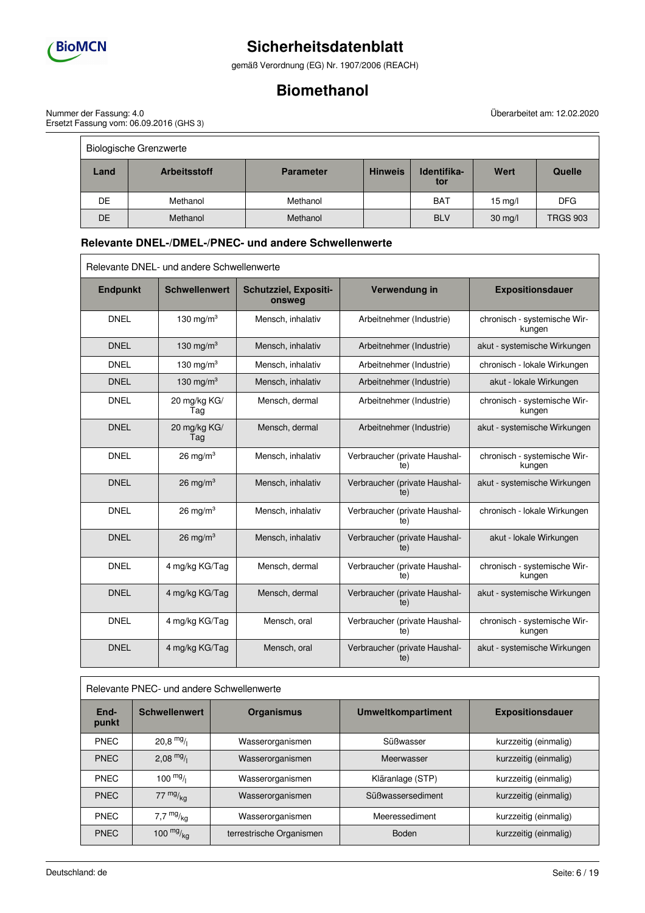

 $\overline{\phantom{a}}$ 

# **Sicherheitsdatenblatt**

gemäß Verordnung (EG) Nr. 1907/2006 (REACH)

# **Biomethanol**

Nummer der Fassung: 4.0 Ersetzt Fassung vom: 06.09.2016 (GHS 3) Überarbeitet am: 12.02.2020 

 $\equiv$ 

| <b>Biologische Grenzwerte</b> |                     |                  |                |                    |                   |                 |
|-------------------------------|---------------------|------------------|----------------|--------------------|-------------------|-----------------|
| Land                          | <b>Arbeitsstoff</b> | <b>Parameter</b> | <b>Hinweis</b> | Identifika-<br>tor | Wert              | <b>Quelle</b>   |
| DE.                           | Methanol            | Methanol         |                | <b>BAT</b>         | $15 \text{ mg/l}$ | <b>DFG</b>      |
| DE                            | Methanol            | Methanol         |                | <b>BLV</b>         | $30$ mg/l         | <b>TRGS 903</b> |

# **Relevante DNEL-/DMEL-/PNEC- und andere Schwellenwerte**

| Relevante DNEL- und andere Schwellenwerte |                      |                                 |                                      |                                        |
|-------------------------------------------|----------------------|---------------------------------|--------------------------------------|----------------------------------------|
| <b>Endpunkt</b>                           | <b>Schwellenwert</b> | Schutzziel, Expositi-<br>onsweg | Verwendung in                        | <b>Expositionsdauer</b>                |
| <b>DNEL</b>                               | 130 mg/m $3$         | Mensch, inhalativ               | Arbeitnehmer (Industrie)             | chronisch - systemische Wir-<br>kungen |
| <b>DNEL</b>                               | 130 mg/m $3$         | Mensch, inhalativ               | Arbeitnehmer (Industrie)             | akut - systemische Wirkungen           |
| <b>DNEL</b>                               | 130 mg/m $3$         | Mensch, inhalativ               | Arbeitnehmer (Industrie)             | chronisch - lokale Wirkungen           |
| <b>DNEL</b>                               | 130 mg/m $3$         | Mensch, inhalativ               | Arbeitnehmer (Industrie)             | akut - lokale Wirkungen                |
| <b>DNEL</b>                               | 20 mg/kg KG/<br>Tag  | Mensch, dermal                  | Arbeitnehmer (Industrie)             | chronisch - systemische Wir-<br>kungen |
| <b>DNEL</b>                               | 20 mg/kg KG/<br>Tag  | Mensch, dermal                  | Arbeitnehmer (Industrie)             | akut - systemische Wirkungen           |
| <b>DNEL</b>                               | 26 mg/m $3$          | Mensch, inhalativ               | Verbraucher (private Haushal-<br>te) | chronisch - systemische Wir-<br>kungen |
| <b>DNEL</b>                               | 26 mg/m <sup>3</sup> | Mensch, inhalativ               | Verbraucher (private Haushal-<br>te) | akut - systemische Wirkungen           |
| <b>DNEL</b>                               | $26 \text{ mg/m}^3$  | Mensch, inhalativ               | Verbraucher (private Haushal-<br>te) | chronisch - lokale Wirkungen           |
| <b>DNEL</b>                               | 26 mg/m <sup>3</sup> | Mensch, inhalativ               | Verbraucher (private Haushal-<br>te) | akut - lokale Wirkungen                |
| <b>DNEL</b>                               | 4 mg/kg KG/Tag       | Mensch, dermal                  | Verbraucher (private Haushal-<br>te) | chronisch - systemische Wir-<br>kungen |
| <b>DNEL</b>                               | 4 mg/kg KG/Tag       | Mensch, dermal                  | Verbraucher (private Haushal-<br>te) | akut - systemische Wirkungen           |
| <b>DNEL</b>                               | 4 mg/kg KG/Tag       | Mensch, oral                    | Verbraucher (private Haushal-<br>te) | chronisch - systemische Wir-<br>kungen |
| <b>DNEL</b>                               | 4 mg/kg KG/Tag       | Mensch, oral                    | Verbraucher (private Haushal-<br>te) | akut - systemische Wirkungen           |

### Relevante PNEC- und andere Schwellenwerte

| End-<br>punkt | <b>Schwellenwert</b> | <b>Organismus</b>        | <b>Umweltkompartiment</b> | <b>Expositionsdauer</b> |  |
|---------------|----------------------|--------------------------|---------------------------|-------------------------|--|
| <b>PNEC</b>   | $20,8$ mg/           | Wasserorganismen         | Süßwasser                 | kurzzeitig (einmalig)   |  |
| <b>PNEC</b>   | 2,08 $mg/1$          | Wasserorganismen         | Meerwasser                | kurzzeitig (einmalig)   |  |
| <b>PNEC</b>   | $100 \frac{mg}{l}$   | Wasserorganismen         | Kläranlage (STP)          | kurzzeitig (einmalig)   |  |
| <b>PNEC</b>   | $77 \frac{mg}{ka}$   | Wasserorganismen         | Süßwassersediment         | kurzzeitig (einmalig)   |  |
| <b>PNEC</b>   | 7,7 $mg/kq$          | Wasserorganismen         | Meeressediment            | kurzzeitig (einmalig)   |  |
| <b>PNEC</b>   | 100 $mg/kq$          | terrestrische Organismen | <b>Boden</b>              | kurzzeitig (einmalig)   |  |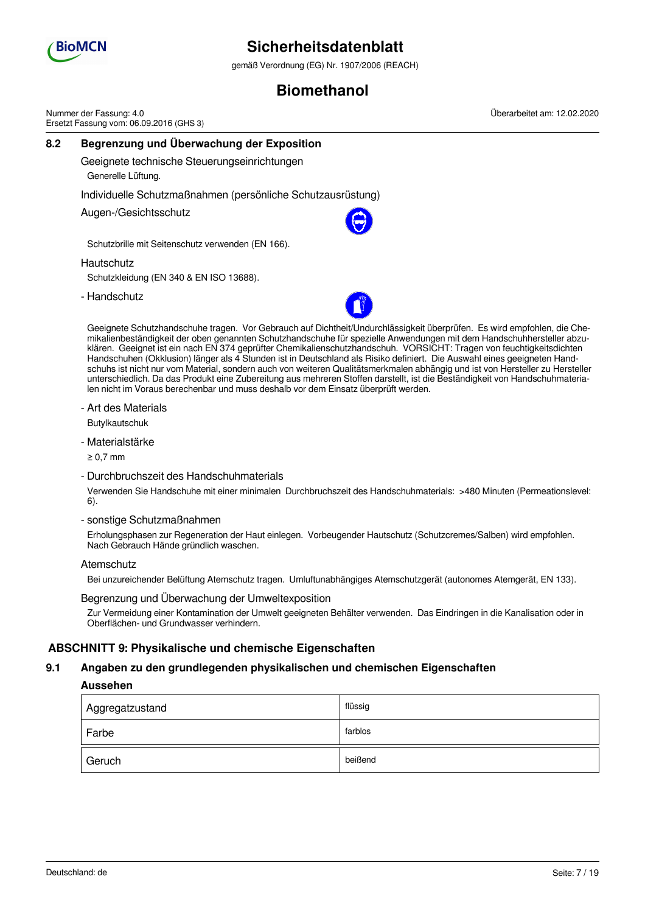

gemäß Verordnung (EG) Nr. 1907/2006 (REACH)

# **Biomethanol**

**8.2 Begrenzung und Überwachung der Exposition** Geeignete technische Steuerungseinrichtungen Generelle Lüftung. Individuelle Schutzmaßnahmen (persönliche Schutzausrüstung) Augen-/Gesichtsschutz Schutzbrille mit Seitenschutz verwenden (EN 166). **Hautschutz** Schutzkleidung (EN 340 & EN ISO 13688). - Handschutz Nummer der Fassung: 4.0 Ersetzt Fassung vom: 06.09.2016 (GHS 3) Überarbeitet am: 12.02.2020

Geeignete Schutzhandschuhe tragen. Vor Gebrauch auf Dichtheit/Undurchlässigkeit überprüfen. Es wird empfohlen, die Chemikalienbeständigkeit der oben genannten Schutzhandschuhe für spezielle Anwendungen mit dem Handschuhhersteller abzuklären. Geeignet ist ein nach EN 374 geprüfter Chemikalienschutzhandschuh. VORSICHT: Tragen von feuchtigkeitsdichten Handschuhen (Okklusion) länger als 4 Stunden ist in Deutschland als Risiko definiert. Die Auswahl eines geeigneten Handschuhs ist nicht nur vom Material, sondern auch von weiteren Qualitätsmerkmalen abhängig und ist von Hersteller zu Hersteller unterschiedlich. Da das Produkt eine Zubereitung aus mehreren Stoffen darstellt, ist die Beständigkeit von Handschuhmaterialen nicht im Voraus berechenbar und muss deshalb vor dem Einsatz überprüft werden.

- Art des Materials

Butylkautschuk

- Materialstärke

≥ 0,7 mm

- Durchbruchszeit des Handschuhmaterials

Verwenden Sie Handschuhe mit einer minimalen Durchbruchszeit des Handschuhmaterials: >480 Minuten (Permeationslevel: 6).

- sonstige Schutzmaßnahmen

Erholungsphasen zur Regeneration der Haut einlegen. Vorbeugender Hautschutz (Schutzcremes/Salben) wird empfohlen. Nach Gebrauch Hände gründlich waschen.

### **Atemschutz**

Bei unzureichender Belüftung Atemschutz tragen. Umluftunabhängiges Atemschutzgerät (autonomes Atemgerät, EN 133).

#### Begrenzung und Überwachung der Umweltexposition

Zur Vermeidung einer Kontamination der Umwelt geeigneten Behälter verwenden. Das Eindringen in die Kanalisation oder in Oberflächen- und Grundwasser verhindern.

### **ABSCHNITT 9: Physikalische und chemische Eigenschaften**

#### **9.1 Angaben zu den grundlegenden physikalischen und chemischen Eigenschaften**

### **Aussehen**

| Aggregatzustand | flüssig |
|-----------------|---------|
| Farbe           | farblos |
| Geruch          | beißend |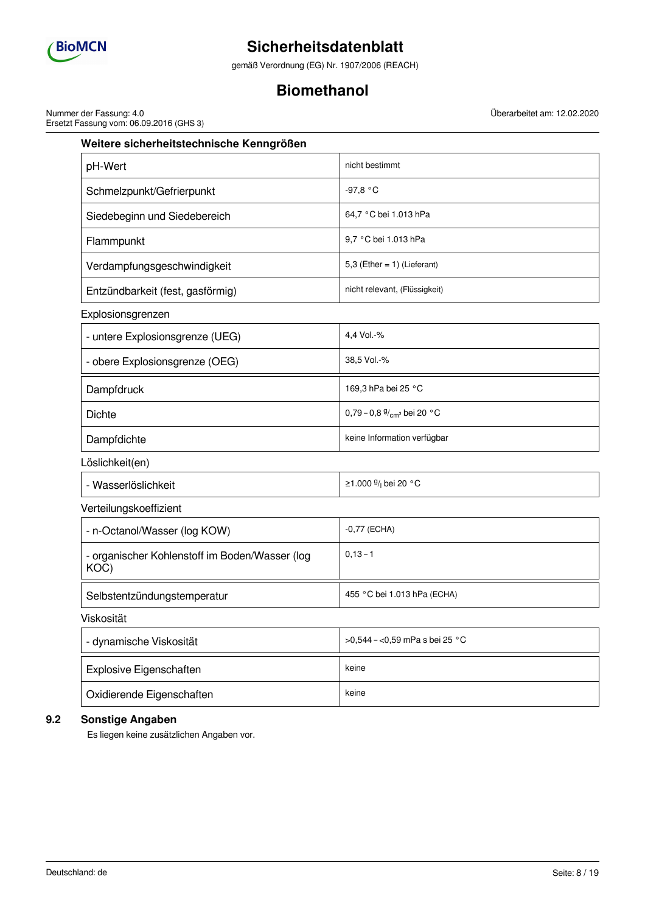

gemäß Verordnung (EG) Nr. 1907/2006 (REACH)

# **Biomethanol**

Nummer der Fassung: 4.0 Ersetzt Fassung vom: 06.09.2016 (GHS 3) Überarbeitet am: 12.02.2020

| Weitere sicherheitstechnische Kenngrößen               |                                     |  |  |  |
|--------------------------------------------------------|-------------------------------------|--|--|--|
| pH-Wert                                                | nicht bestimmt                      |  |  |  |
| Schmelzpunkt/Gefrierpunkt                              | $-97,8 °C$                          |  |  |  |
| Siedebeginn und Siedebereich                           | 64,7 °C bei 1.013 hPa               |  |  |  |
| Flammpunkt                                             | 9,7 °C bei 1.013 hPa                |  |  |  |
| Verdampfungsgeschwindigkeit                            | 5,3 (Ether = $1$ ) (Lieferant)      |  |  |  |
| Entzündbarkeit (fest, gasförmig)                       | nicht relevant, (Flüssigkeit)       |  |  |  |
| Explosionsgrenzen                                      |                                     |  |  |  |
| - untere Explosionsgrenze (UEG)                        | 4,4 Vol.-%                          |  |  |  |
| - obere Explosionsgrenze (OEG)                         | 38,5 Vol.-%                         |  |  |  |
| Dampfdruck                                             | 169,3 hPa bei 25 °C                 |  |  |  |
| <b>Dichte</b>                                          | 0,79 - 0,8 $\frac{9}{cm}$ bei 20 °C |  |  |  |
| Dampfdichte                                            | keine Information verfügbar         |  |  |  |
| Löslichkeit(en)                                        |                                     |  |  |  |
| - Wasserlöslichkeit                                    | ≥1.000 $\frac{9}{1}$ bei 20 °C      |  |  |  |
| Verteilungskoeffizient                                 |                                     |  |  |  |
| - n-Octanol/Wasser (log KOW)                           | $-0,77$ (ECHA)                      |  |  |  |
| - organischer Kohlenstoff im Boden/Wasser (log<br>KOC) | $0, 13 - 1$                         |  |  |  |
| Selbstentzündungstemperatur                            | 455 °C bei 1.013 hPa (ECHA)         |  |  |  |
| Viskosität                                             |                                     |  |  |  |
| - dynamische Viskosität                                | >0,544 - <0,59 mPa s bei 25 °C      |  |  |  |
| Explosive Eigenschaften                                | keine                               |  |  |  |
| Oxidierende Eigenschaften                              | keine                               |  |  |  |

# **9.2 Sonstige Angaben**

Es liegen keine zusätzlichen Angaben vor.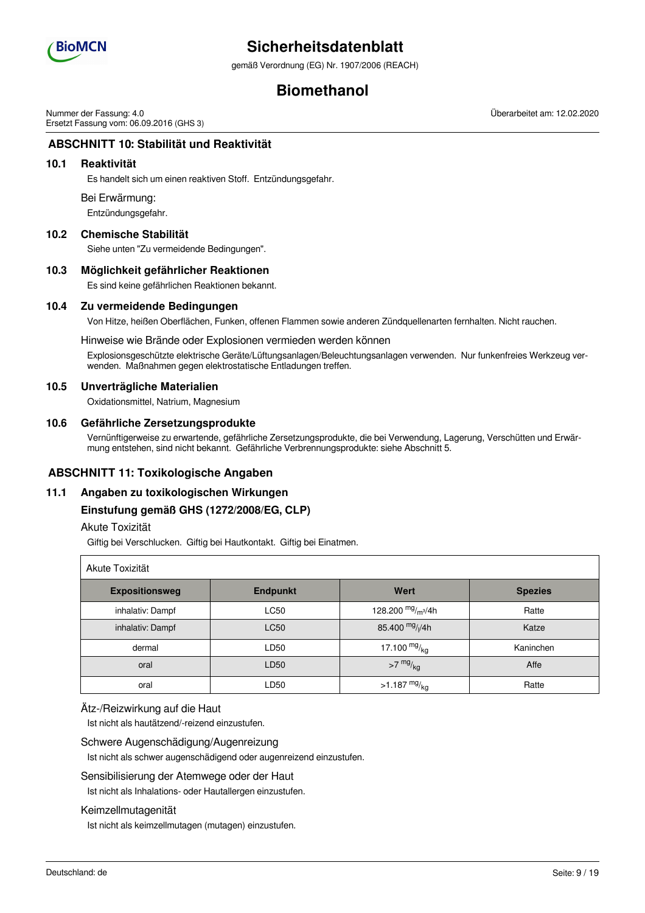

gemäß Verordnung (EG) Nr. 1907/2006 (REACH)

# **Biomethanol**

Nummer der Fassung: 4.0 Ersetzt Fassung vom: 06.09.2016 (GHS 3) Überarbeitet am: 12.02.2020

# **ABSCHNITT 10: Stabilität und Reaktivität**

### **10.1 Reaktivität**

Es handelt sich um einen reaktiven Stoff. Entzündungsgefahr.

#### Bei Erwärmung:

Entzündungsgefahr.

### **10.2 Chemische Stabilität**

Siehe unten "Zu vermeidende Bedingungen".

### **10.3 Möglichkeit gefährlicher Reaktionen**

Es sind keine gefährlichen Reaktionen bekannt.

### **10.4 Zu vermeidende Bedingungen**

Von Hitze, heißen Oberflächen, Funken, offenen Flammen sowie anderen Zündquellenarten fernhalten. Nicht rauchen.

#### Hinweise wie Brände oder Explosionen vermieden werden können

Explosionsgeschützte elektrische Geräte/Lüftungsanlagen/Beleuchtungsanlagen verwenden. Nur funkenfreies Werkzeug verwenden. Maßnahmen gegen elektrostatische Entladungen treffen.

### **10.5 Unverträgliche Materialien**

Oxidationsmittel, Natrium, Magnesium

### **10.6 Gefährliche Zersetzungsprodukte**

Vernünftigerweise zu erwartende, gefährliche Zersetzungsprodukte, die bei Verwendung, Lagerung, Verschütten und Erwärmung entstehen, sind nicht bekannt. Gefährliche Verbrennungsprodukte: siehe Abschnitt 5.

### **ABSCHNITT 11: Toxikologische Angaben**

### **11.1 Angaben zu toxikologischen Wirkungen**

### **Einstufung gemäß GHS (1272/2008/EG, CLP)**

## Akute Toxizität

Giftig bei Verschlucken. Giftig bei Hautkontakt. Giftig bei Einatmen.

| Akute Toxizität       |                 |                                       |                |  |  |
|-----------------------|-----------------|---------------------------------------|----------------|--|--|
| <b>Expositionsweg</b> | <b>Endpunkt</b> | Wert                                  | <b>Spezies</b> |  |  |
| inhalativ: Dampf      | <b>LC50</b>     | 128.200 $mg/m^3/4h$                   | Ratte          |  |  |
| inhalativ: Dampf      | <b>LC50</b>     | 85.400 mg/ <sub>l</sub> /4h           | Katze          |  |  |
| dermal                | LD50            | 17.100 $mg/kq$                        | Kaninchen      |  |  |
| oral                  | LD50            | $>7$ mg/ $_{\text{kg}}$               | Affe           |  |  |
| oral                  | LD50            | $>1.187$ $\mathrm{mg}/_{\mathrm{kg}}$ | Ratte          |  |  |

#### Ätz-/Reizwirkung auf die Haut

Ist nicht als hautätzend/-reizend einzustufen.

#### Schwere Augenschädigung/Augenreizung

Ist nicht als schwer augenschädigend oder augenreizend einzustufen.

### Sensibilisierung der Atemwege oder der Haut

Ist nicht als Inhalations- oder Hautallergen einzustufen.

#### Keimzellmutagenität

Ist nicht als keimzellmutagen (mutagen) einzustufen.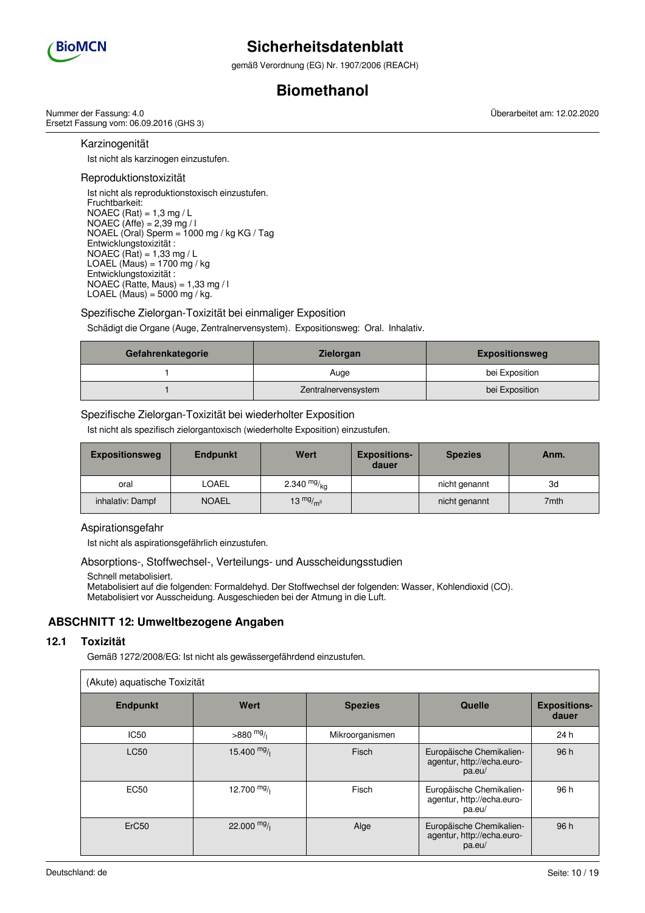

gemäß Verordnung (EG) Nr. 1907/2006 (REACH)

# **Biomethanol**

Nummer der Fassung: 4.0 Ersetzt Fassung vom: 06.09.2016 (GHS 3) Überarbeitet am: 12.02.2020

Karzinogenität

Ist nicht als karzinogen einzustufen.

### Reproduktionstoxizität

Ist nicht als reproduktionstoxisch einzustufen. Fruchtbarkeit: NOAEC (Rat) = 1,3 mg / L NOAEC (Affe) = 2,39 mg / l NOAEL (Oral) Sperm = 1000 mg / kg KG / Tag Entwicklungstoxizität : NOAEC (Rat) =  $1,33$  mg / L LOAEL (Maus) =  $1700$  mg / kg Entwicklungstoxizität : NOAEC (Ratte, Maus) =  $1.33$  mg / l LOAEL (Maus) =  $5000$  mg / kg.

## Spezifische Zielorgan-Toxizität bei einmaliger Exposition

Schädigt die Organe (Auge, Zentralnervensystem). Expositionsweg: Oral. Inhalativ.

| Gefahrenkategorie | <b>Zielorgan</b>    | <b>Expositionsweg</b> |
|-------------------|---------------------|-----------------------|
|                   | Auge                | bei Exposition        |
|                   | Zentralnervensystem | bei Exposition        |

## Spezifische Zielorgan-Toxizität bei wiederholter Exposition

Ist nicht als spezifisch zielorgantoxisch (wiederholte Exposition) einzustufen.

| <b>Expositionsweg</b> | <b>Endpunkt</b> | Wert          | <b>Expositions-</b><br>dauer | <b>Spezies</b> | Anm. |
|-----------------------|-----------------|---------------|------------------------------|----------------|------|
| oral                  | LOAEL           | 2.340 $mg/kq$ |                              | nicht genannt  | 3d   |
| inhalativ: Dampf      | <b>NOAEL</b>    | 13 $mg/m3$    |                              | nicht genannt  | 7mth |

### Aspirationsgefahr

Ist nicht als aspirationsgefährlich einzustufen.

### Absorptions-, Stoffwechsel-, Verteilungs- und Ausscheidungsstudien

Schnell metabolisiert.

Metabolisiert auf die folgenden: Formaldehyd. Der Stoffwechsel der folgenden: Wasser, Kohlendioxid (CO). Metabolisiert vor Ausscheidung. Ausgeschieden bei der Atmung in die Luft.

# **ABSCHNITT 12: Umweltbezogene Angaben**

### **12.1 Toxizität**

Gemäß 1272/2008/EG: Ist nicht als gewässergefährdend einzustufen.

| (Akute) aquatische Toxizität |              |                 |                                                                  |                              |  |  |
|------------------------------|--------------|-----------------|------------------------------------------------------------------|------------------------------|--|--|
| <b>Endpunkt</b>              | Wert         | <b>Spezies</b>  | <b>Quelle</b>                                                    | <b>Expositions-</b><br>dauer |  |  |
| <b>IC50</b>                  | $>880$ mg/   | Mikroorganismen |                                                                  | 24 h                         |  |  |
| <b>LC50</b>                  | 15.400 $mg/$ | Fisch           | Europäische Chemikalien-<br>agentur, http://echa.euro-<br>pa.eu/ | 96 h                         |  |  |
| <b>EC50</b>                  | 12.700 $mg/$ | Fisch           | Europäische Chemikalien-<br>agentur, http://echa.euro-<br>pa.eu/ | 96 h                         |  |  |
| ErC <sub>50</sub>            | 22.000 $mg/$ | Alge            | Europäische Chemikalien-<br>agentur, http://echa.euro-<br>pa.eu/ | 96 h                         |  |  |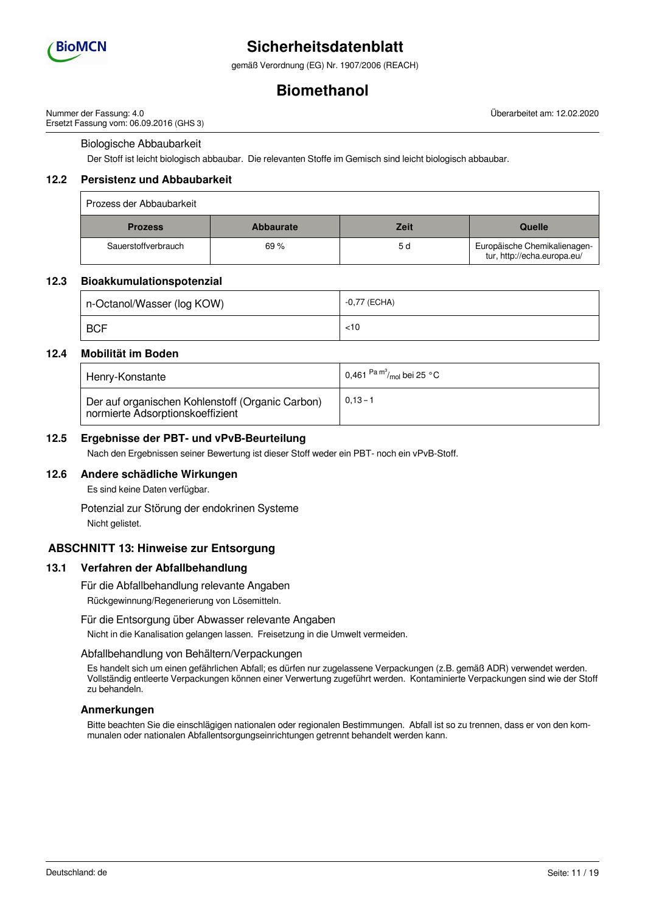

gemäß Verordnung (EG) Nr. 1907/2006 (REACH)

# **Biomethanol**

Nummer der Fassung: 4.0 Ersetzt Fassung vom: 06.09.2016 (GHS 3) Überarbeitet am: 12.02.2020

### Biologische Abbaubarkeit

Der Stoff ist leicht biologisch abbaubar. Die relevanten Stoffe im Gemisch sind leicht biologisch abbaubar.

### **12.2 Persistenz und Abbaubarkeit**

| Prozess der Abbaubarkeit |                  |             |                                                             |
|--------------------------|------------------|-------------|-------------------------------------------------------------|
| <b>Prozess</b>           | <b>Abbaurate</b> | <b>Zeit</b> | Quelle                                                      |
| Sauerstoffverbrauch      | 69%              | 5 d         | Europäische Chemikalienagen-<br>tur, http://echa.europa.eu/ |

### **12.3 Bioakkumulationspotenzial**

| n-Octanol/Wasser (log KOW) | $-0.77$ (ECHA) |
|----------------------------|----------------|
| <b>BCF</b>                 | $<$ 10         |

### **12.4 Mobilität im Boden**

| Henry-Konstante                                                                      | 0,461 $\mathrm{^{Pa}}\mathrm{^{m^3}\!}/_{\mathrm{mol}}$ bei 25 °C |
|--------------------------------------------------------------------------------------|-------------------------------------------------------------------|
| Der auf organischen Kohlenstoff (Organic Carbon)<br>normierte Adsorptionskoeffizient | $0.13 - 1$                                                        |

### **12.5 Ergebnisse der PBT- und vPvB-Beurteilung**

Nach den Ergebnissen seiner Bewertung ist dieser Stoff weder ein PBT- noch ein vPvB-Stoff.

### **12.6 Andere schädliche Wirkungen**

Es sind keine Daten verfügbar.

Potenzial zur Störung der endokrinen Systeme Nicht gelistet.

## **ABSCHNITT 13: Hinweise zur Entsorgung**

#### **13.1 Verfahren der Abfallbehandlung**

Für die Abfallbehandlung relevante Angaben

Rückgewinnung/Regenerierung von Lösemitteln.

#### Für die Entsorgung über Abwasser relevante Angaben

Nicht in die Kanalisation gelangen lassen. Freisetzung in die Umwelt vermeiden.

#### Abfallbehandlung von Behältern/Verpackungen

Es handelt sich um einen gefährlichen Abfall; es dürfen nur zugelassene Verpackungen (z.B. gemäß ADR) verwendet werden. Vollständig entleerte Verpackungen können einer Verwertung zugeführt werden. Kontaminierte Verpackungen sind wie der Stoff zu behandeln.

## **Anmerkungen**

Bitte beachten Sie die einschlägigen nationalen oder regionalen Bestimmungen. Abfall ist so zu trennen, dass er von den kommunalen oder nationalen Abfallentsorgungseinrichtungen getrennt behandelt werden kann.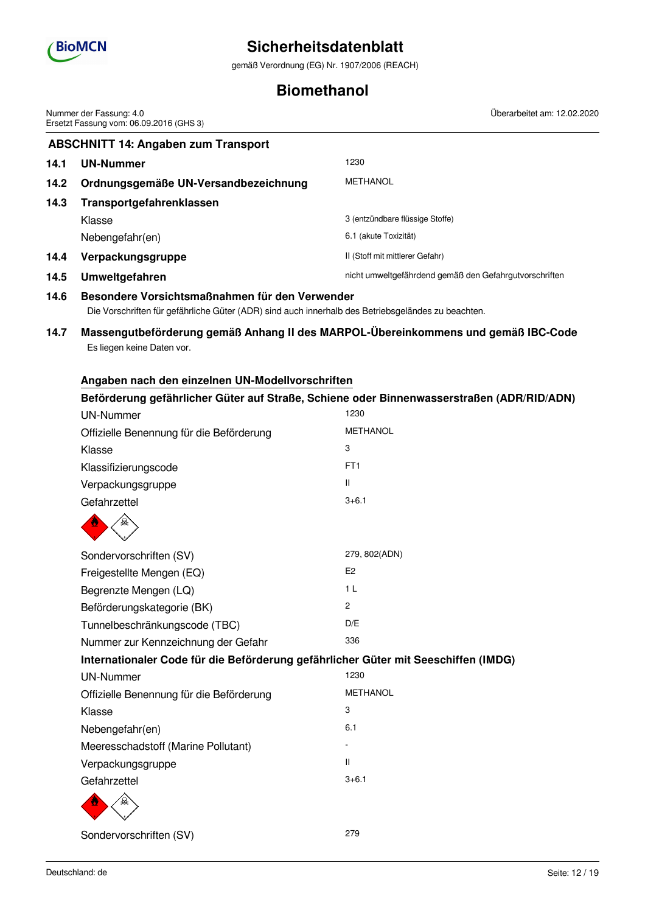

gemäß Verordnung (EG) Nr. 1907/2006 (REACH)

# **Biomethanol**

**ABSCHNITT 14: Angaben zum Transport 14.1 UN-Nummer** 1230 **14.2 Ordnungsgemäße UN-Versandbezeichnung** METHANOL **14.3 Transportgefahrenklassen** Klasse 3 (entzündbare flüssige Stoffe) Nebengefahr(en) 6.1 (akute Toxizität) 14.4 **Verpackungsgruppe 14.4 Verpackungsgruppe II** (Stoff mit mittlerer Gefahr) 14.5 Umweltgefahren **nicht umweltgefährdend gemäß den Gefahrgutvorschriften 14.6 Besondere Vorsichtsmaßnahmen für den Verwender** Die Vorschriften für gefährliche Güter (ADR) sind auch innerhalb des Betriebsgeländes zu beachten. **14.7 Massengutbeförderung gemäß Anhang II des MARPOL-Übereinkommens und gemäß IBC-Code** Es liegen keine Daten vor. **Angaben nach den einzelnen UN-Modellvorschriften Beförderung gefährlicher Güter auf Straße, Schiene oder Binnenwasserstraßen (ADR/RID/ADN)** UN-Nummer 1230 Offizielle Benennung für die Beförderung METHANOL Klasse 3 Klassifizierungscode FT1 Verpackungsgruppe II Gefahrzettel 3+6.1 Sondervorschriften (SV) 279, 802(ADN) Freigestellte Mengen (EQ) E2 Begrenzte Mengen (LQ) 1 L Beförderungskategorie (BK) 2 Tunnelbeschränkungscode (TBC) D/E Nummer zur Kennzeichnung der Gefahr 336 **Internationaler Code für die Beförderung gefährlicher Güter mit Seeschiffen (IMDG)** UN-Nummer 1230 Offizielle Benennung für die Beförderung METHANOL Klasse 3 Nebengefahr(en) 6.1 Meeresschadstoff (Marine Pollutant) Verpackungsgruppe **II** and the III and the III and III and III and III and III and III and III and III and III and III and III and III and III and III and III and III and III and III and III and III and III and III and III Gefahrzettel 3+6.1 Sondervorschriften (SV) 279 Nummer der Fassung: 4.0 Ersetzt Fassung vom: 06.09.2016 (GHS 3) Überarbeitet am: 12.02.2020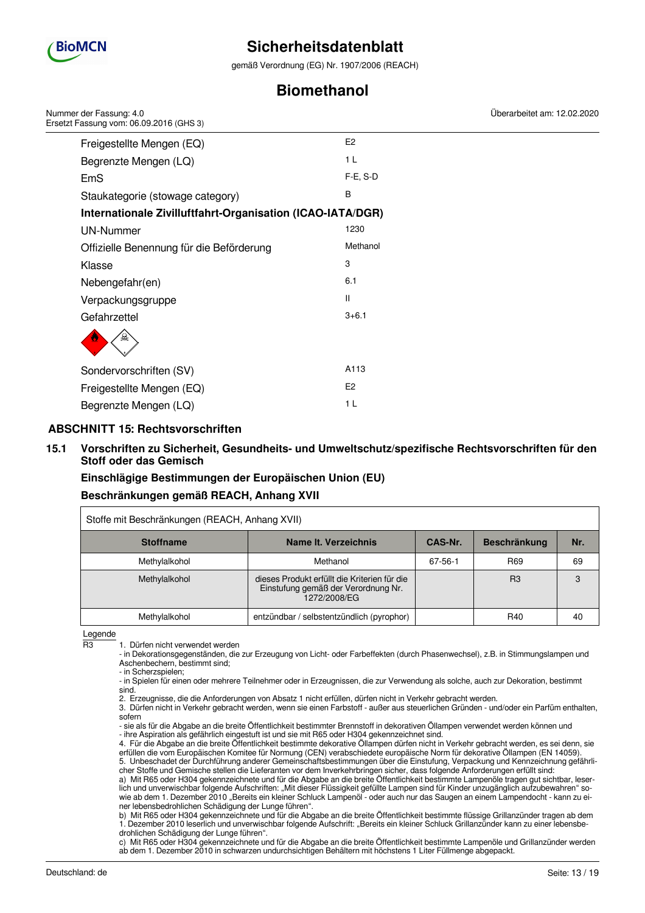

gemäß Verordnung (EG) Nr. 1907/2006 (REACH)

# **Biomethanol**

| Nummer der Fassung: 4.0<br>Ersetzt Fassung vom: 06.09.2016 (GHS 3) |                | Überarbeitet am: 12.02.2020 |
|--------------------------------------------------------------------|----------------|-----------------------------|
| Freigestellte Mengen (EQ)                                          | E <sub>2</sub> |                             |
| Begrenzte Mengen (LQ)                                              | 1 <sub>L</sub> |                             |
| <b>EmS</b>                                                         | $F-E$ , S-D    |                             |
| Staukategorie (stowage category)                                   | B              |                             |
| Internationale Zivilluftfahrt-Organisation (ICAO-IATA/DGR)         |                |                             |
| <b>UN-Nummer</b>                                                   | 1230           |                             |
| Offizielle Benennung für die Beförderung                           | Methanol       |                             |
| Klasse                                                             | 3              |                             |
| Nebengefahr(en)                                                    | 6.1            |                             |
| Verpackungsgruppe                                                  | Ш              |                             |
| Gefahrzettel                                                       | $3 + 6.1$      |                             |
|                                                                    |                |                             |
| Sondervorschriften (SV)                                            | A113           |                             |
| Freigestellte Mengen (EQ)                                          | E <sub>2</sub> |                             |
| Begrenzte Mengen (LQ)                                              | 1 <sub>L</sub> |                             |

# **ABSCHNITT 15: Rechtsvorschriften**

## **15.1 Vorschriften zu Sicherheit, Gesundheits- und Umweltschutz/spezifische Rechtsvorschriften für den Stoff oder das Gemisch**

**Einschlägige Bestimmungen der Europäischen Union (EU) Beschränkungen gemäß REACH, Anhang XVII**

| Stoffe mit Beschränkungen (REACH, Anhang XVII) |                                                                                                     |         |                     |     |  |
|------------------------------------------------|-----------------------------------------------------------------------------------------------------|---------|---------------------|-----|--|
| <b>Stoffname</b>                               | Name It. Verzeichnis                                                                                | CAS-Nr. | <b>Beschränkung</b> | Nr. |  |
| Methylalkohol                                  | Methanol                                                                                            | 67-56-1 | R <sub>69</sub>     | 69  |  |
| Methylalkohol                                  | dieses Produkt erfüllt die Kriterien für die<br>Einstufung gemäß der Verordnung Nr.<br>1272/2008/EG |         | R3                  | 3   |  |
| Methylalkohol                                  | entzündbar / selbstentzündlich (pyrophor)                                                           |         | R40                 | 40  |  |

Legende

R3 1. Dürfen nicht verwendet werden

- in Dekorationsgegenständen, die zur Erzeugung von Licht- oder Farbeffekten (durch Phasenwechsel), z.B. in Stimmungslampen und Aschenbechern, bestimmt sind;

- in Scherzspielen;

- in Spielen für einen oder mehrere Teilnehmer oder in Erzeugnissen, die zur Verwendung als solche, auch zur Dekoration, bestimmt sind.

2. Erzeugnisse, die die Anforderungen von Absatz 1 nicht erfüllen, dürfen nicht in Verkehr gebracht werden.

3. Dürfen nicht in Verkehr gebracht werden, wenn sie einen Farbstoff - außer aus steuerlichen Gründen - und/oder ein Parfüm enthalten, sofern

- sie als für die Abgabe an die breite Öffentlichkeit bestimmter Brennstoff in dekorativen Öllampen verwendet werden können und - ihre Aspiration als gefährlich eingestuft ist und sie mit R65 oder H304 gekennzeichnet sind.

4. Für die Abgabe an die breite Öffentlichkeit bestimmte dekorative Öllampen dürfen nicht in Verkehr gebracht werden, es sei denn, sie erfüllen die vom Europäischen Komitee für Normung (CEN) verabschiedete europäische Norm für dekorative Öllampen (EN 14059). 5. Unbeschadet der Durchführung anderer Gemeinschaftsbestimmungen über die Einstufung, Verpackung und Kennzeichnung gefährlicher Stoffe und Gemische stellen die Lieferanten vor dem Inverkehrbringen sicher, dass folgende Anforderungen erfüllt sind:

a) Mit R65 oder H304 gekennzeichnete und für die Abgabe an die breite Öffentlichkeit bestimmte Lampenöle tragen gut sichtbar, leserlich und unverwischbar folgende Aufschriften: "Mit dieser Flüssigkeit gefüllte Lampen sind für Kinder unzugänglich aufzubewahren" sowie ab dem 1. Dezember 2010 "Bereits ein kleiner Schluck Lampenöl - oder auch nur das Saugen an einem Lampendocht - kann zu einer lebensbedrohlichen Schädigung der Lunge führen".

b) Mit R65 oder H304 gekennzeichnete und für die Abgabe an die breite Öffentlichkeit bestimmte flüssige Grillanzünder tragen ab dem 1. Dezember 2010 leserlich und unverwischbar folgende Aufschrift: "Bereits ein kleiner Schluck Grillanzünder kann zu einer lebensbedrohlichen Schädigung der Lunge führen".

c) Mit R65 oder H304 gekennzeichnete und für die Abgabe an die breite Öffentlichkeit bestimmte Lampenöle und Grillanzünder werden ab dem 1. Dezember 2010 in schwarzen undurchsichtigen Behältern mit höchstens 1 Liter Füllmenge abgepackt.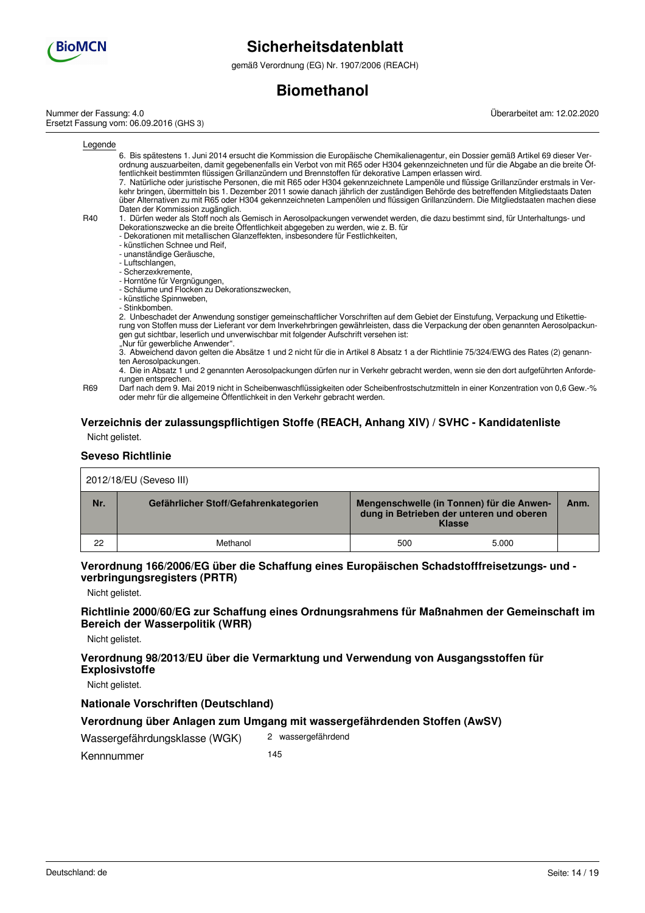

gemäß Verordnung (EG) Nr. 1907/2006 (REACH)

# **Biomethanol**

Nummer der Fassung: 4.0 Ersetzt Fassung vom: 06.09.2016 (GHS 3) Überarbeitet am: 12.02.2020

 $\underline{\mathsf{L}}$ 

| Legende |                                                                                                                                                                                                                                                                                                                                                                                                                                                                                                                                                                                                                                                                                                                                                                                                                                           |
|---------|-------------------------------------------------------------------------------------------------------------------------------------------------------------------------------------------------------------------------------------------------------------------------------------------------------------------------------------------------------------------------------------------------------------------------------------------------------------------------------------------------------------------------------------------------------------------------------------------------------------------------------------------------------------------------------------------------------------------------------------------------------------------------------------------------------------------------------------------|
|         | 6. Bis spätestens 1. Juni 2014 ersucht die Kommission die Europäische Chemikalienagentur, ein Dossier gemäß Artikel 69 dieser Ver-<br>ordnung auszuarbeiten, damit gegebenenfalls ein Verbot von mit R65 oder H304 gekennzeichneten und für die Abgabe an die breite Öf-<br>fentlichkeit bestimmten flüssigen Grillanzündern und Brennstoffen für dekorative Lampen erlassen wird.<br>7. Natürliche oder juristische Personen, die mit R65 oder H304 gekennzeichnete Lampenöle und flüssige Grillanzünder erstmals in Ver-<br>kehr bringen, übermitteln bis 1. Dezember 2011 sowie danach jährlich der zuständigen Behörde des betreffenden Mitgliedstaats Daten<br>über Alternativen zu mit R65 oder H304 gekennzeichneten Lampenölen und flüssigen Grillanzündern. Die Mitgliedstaaten machen diese<br>Daten der Kommission zugänglich. |
| R40     | 1. Dürfen weder als Stoff noch als Gemisch in Aerosolpackungen verwendet werden, die dazu bestimmt sind, für Unterhaltungs- und<br>Dekorationszwecke an die breite Öffentlichkeit abgegeben zu werden, wie z. B. für<br>- Dekorationen mit metallischen Glanzeffekten, insbesondere für Festlichkeiten,<br>- künstlichen Schnee und Reif.<br>- unanständige Geräusche,<br>- Luftschlangen,<br>- Scherzexkremente.<br>- Horntöne für Vergnügungen,<br>- Schäume und Flocken zu Dekorationszwecken,<br>- künstliche Spinnweben,<br>- Stinkbomben.                                                                                                                                                                                                                                                                                           |
|         | 2. Unbeschadet der Anwendung sonstiger gemeinschaftlicher Vorschriften auf dem Gebiet der Einstufung, Verpackung und Etikettie-<br>rung von Stoffen muss der Lieferant vor dem Inverkehrbringen gewährleisten, dass die Verpackung der oben genannten Aerosolpackun-<br>gen gut sichtbar, leserlich und unverwischbar mit folgender Aufschrift versehen ist:<br>"Nur für gewerbliche Anwender".<br>3. Abweichend davon gelten die Absätze 1 und 2 nicht für die in Artikel 8 Absatz 1 a der Richtlinie 75/324/EWG des Rates (2) genann-                                                                                                                                                                                                                                                                                                   |
|         | ten Aerosolpackungen.<br>4. Die in Absatz 1 und 2 genannten Aerosolpackungen dürfen nur in Verkehr gebracht werden, wenn sie den dort aufgeführten Anforde-                                                                                                                                                                                                                                                                                                                                                                                                                                                                                                                                                                                                                                                                               |
| R69     | rungen entsprechen.<br>Darf nach dem 9. Mai 2019 nicht in Scheibenwaschflüssigkeiten oder Scheibenfrostschutzmitteln in einer Konzentration von 0,6 Gew.-%<br>oder mehr für die allgemeine Öffentlichkeit in den Verkehr gebracht werden.                                                                                                                                                                                                                                                                                                                                                                                                                                                                                                                                                                                                 |
|         | Verzeichnis der zulassungspflichtigen Stoffe (REACH, Anhang XIV) / SVHC - Kandidatenliste                                                                                                                                                                                                                                                                                                                                                                                                                                                                                                                                                                                                                                                                                                                                                 |

Nicht gelistet.

#### **Seveso Richtlinie**

| 2012/18/EU (Seveso III) |                                       |                                                                                                        |       |      |  |
|-------------------------|---------------------------------------|--------------------------------------------------------------------------------------------------------|-------|------|--|
| Nr.                     | Gefährlicher Stoff/Gefahrenkategorien | Mengenschwelle (in Tonnen) für die Anwen-<br>dung in Betrieben der unteren und oberen<br><b>Klasse</b> |       | Anm. |  |
| 22                      | Methanol                              | 500                                                                                                    | 5.000 |      |  |

## **Verordnung 166/2006/EG über die Schaffung eines Europäischen Schadstofffreisetzungs- und verbringungsregisters (PRTR)**

Nicht gelistet.

## **Richtlinie 2000/60/EG zur Schaffung eines Ordnungsrahmens für Maßnahmen der Gemeinschaft im Bereich der Wasserpolitik (WRR)**

Nicht gelistet.

# **Verordnung 98/2013/EU über die Vermarktung und Verwendung von Ausgangsstoffen für Explosivstoffe**

Nicht gelistet.

### **Nationale Vorschriften (Deutschland)**

## **Verordnung über Anlagen zum Umgang mit wassergefährdenden Stoffen (AwSV)**

Wassergefährdungsklasse (WGK) 2 wassergefährdend

Kennnummer 145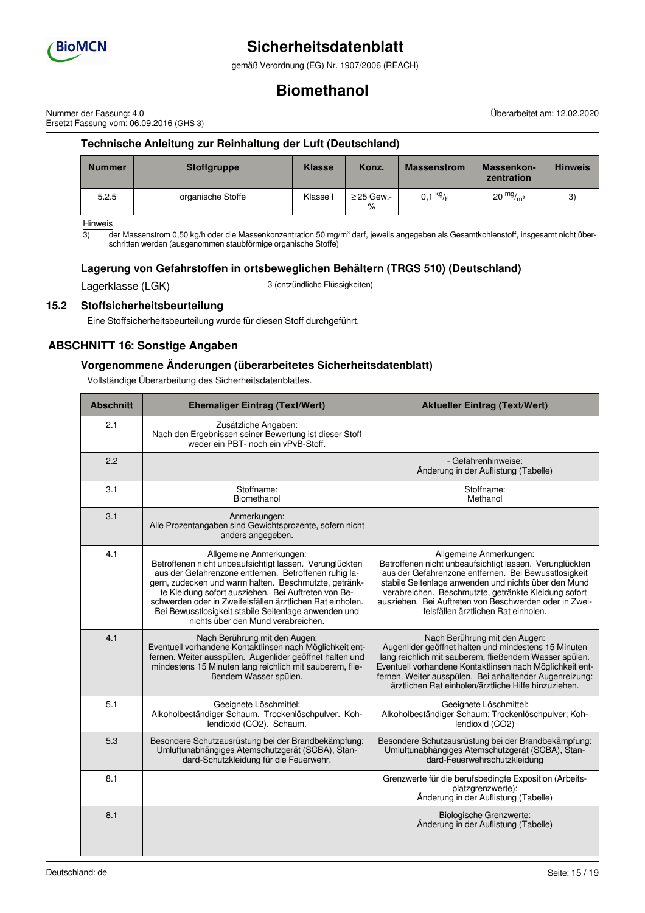

gemäß Verordnung (EG) Nr. 1907/2006 (REACH)

# **Biomethanol**

Nummer der Fassung: 4.0 Ersetzt Fassung vom: 06.09.2016 (GHS 3)

**Technische Anleitung zur Reinhaltung der Luft (Deutschland)**

| <b>Nummer</b> | <b>Stoffgruppe</b> | <b>Klasse</b> | Konz.                   | <b>Massenstrom</b> | Massenkon-<br>zentration | <b>Hinweis</b> |
|---------------|--------------------|---------------|-------------------------|--------------------|--------------------------|----------------|
| 5.2.5         | organische Stoffe  | Klasse I      | $\geq$ 25 Gew.-<br>$\%$ | 0,1 $kg/h$         | $20 \frac{mg}{m^3}$      | 3)             |

Hinweis

 $\overline{3}$  der Massenstrom 0,50 kg/h oder die Massenkonzentration 50 mg/m<sup>3</sup> darf, jeweils angegeben als Gesamtkohlenstoff, insgesamt nicht überschritten werden (ausgenommen staubförmige organische Stoffe)

# **Lagerung von Gefahrstoffen in ortsbeweglichen Behältern (TRGS 510) (Deutschland)**

Lagerklasse (LGK) 3 (entzündliche Flüssigkeiten)

# **15.2 Stoffsicherheitsbeurteilung**

Eine Stoffsicherheitsbeurteilung wurde für diesen Stoff durchgeführt.

# **ABSCHNITT 16: Sonstige Angaben**

## **Vorgenommene Änderungen (überarbeitetes Sicherheitsdatenblatt)**

Vollständige Überarbeitung des Sicherheitsdatenblattes.

| <b>Abschnitt</b> | <b>Ehemaliger Eintrag (Text/Wert)</b>                                                                                                                                                                                                                                                                                                                                                                                  | <b>Aktueller Eintrag (Text/Wert)</b>                                                                                                                                                                                                                                                                                                                        |
|------------------|------------------------------------------------------------------------------------------------------------------------------------------------------------------------------------------------------------------------------------------------------------------------------------------------------------------------------------------------------------------------------------------------------------------------|-------------------------------------------------------------------------------------------------------------------------------------------------------------------------------------------------------------------------------------------------------------------------------------------------------------------------------------------------------------|
| 2.1              | Zusätzliche Angaben:<br>Nach den Ergebnissen seiner Bewertung ist dieser Stoff<br>weder ein PBT- noch ein vPvB-Stoff.                                                                                                                                                                                                                                                                                                  |                                                                                                                                                                                                                                                                                                                                                             |
| 2.2              |                                                                                                                                                                                                                                                                                                                                                                                                                        | - Gefahrenhinweise:<br>Änderung in der Auflistung (Tabelle)                                                                                                                                                                                                                                                                                                 |
| 3.1              | Stoffname:<br>Biomethanol                                                                                                                                                                                                                                                                                                                                                                                              | Stoffname:<br>Methanol                                                                                                                                                                                                                                                                                                                                      |
| 3.1              | Anmerkungen:<br>Alle Prozentangaben sind Gewichtsprozente, sofern nicht<br>anders angegeben.                                                                                                                                                                                                                                                                                                                           |                                                                                                                                                                                                                                                                                                                                                             |
| 4.1              | Allgemeine Anmerkungen:<br>Betroffenen nicht unbeaufsichtigt lassen. Verunglückten<br>aus der Gefahrenzone entfernen. Betroffenen ruhig la-<br>gern, zudecken und warm halten. Beschmutzte, getränk-<br>te Kleidung sofort ausziehen. Bei Auftreten von Be-<br>schwerden oder in Zweifelsfällen ärztlichen Rat einholen.<br>Bei Bewusstlosigkeit stabile Seitenlage anwenden und<br>nichts über den Mund verabreichen. | Allgemeine Anmerkungen:<br>Betroffenen nicht unbeaufsichtigt lassen. Verunglückten<br>aus der Gefahrenzone entfernen. Bei Bewusstlosigkeit<br>stabile Seitenlage anwenden und nichts über den Mund<br>verabreichen. Beschmutzte, getränkte Kleidung sofort<br>ausziehen. Bei Auftreten von Beschwerden oder in Zwei-<br>felsfällen ärztlichen Rat einholen. |
| 4.1              | Nach Berührung mit den Augen:<br>Eventuell vorhandene Kontaktlinsen nach Möglichkeit ent-<br>fernen. Weiter ausspülen. Augenlider geöffnet halten und<br>mindestens 15 Minuten lang reichlich mit sauberem, flie-<br>ßendem Wasser spülen.                                                                                                                                                                             | Nach Berührung mit den Augen:<br>Augenlider geöffnet halten und mindestens 15 Minuten<br>lang reichlich mit sauberem, fließendem Wasser spülen.<br>Eventuell vorhandene Kontaktlinsen nach Möglichkeit ent-<br>fernen. Weiter ausspülen. Bei anhaltender Augenreizung:<br>ärztlichen Rat einholen/ärztliche Hilfe hinzuziehen.                              |
| 5.1              | Geeignete Löschmittel:<br>Alkoholbeständiger Schaum. Trockenlöschpulver. Koh-<br>lendioxid (CO2). Schaum.                                                                                                                                                                                                                                                                                                              | Geeignete Löschmittel:<br>Alkoholbeständiger Schaum; Trockenlöschpulver; Koh-<br>lendioxid (CO2)                                                                                                                                                                                                                                                            |
| 5.3              | Besondere Schutzausrüstung bei der Brandbekämpfung:<br>Umluftunabhängiges Atemschutzgerät (SCBA), Stan-<br>dard-Schutzkleidung für die Feuerwehr.                                                                                                                                                                                                                                                                      | Besondere Schutzausrüstung bei der Brandbekämpfung:<br>Umluftunabhängiges Atemschutzgerät (SCBA), Stan-<br>dard-Feuerwehrschutzkleidung                                                                                                                                                                                                                     |
| 8.1              |                                                                                                                                                                                                                                                                                                                                                                                                                        | Grenzwerte für die berufsbedingte Exposition (Arbeits-<br>platzgrenzwerte):<br>Änderung in der Auflistung (Tabelle)                                                                                                                                                                                                                                         |
| 8.1              |                                                                                                                                                                                                                                                                                                                                                                                                                        | <b>Biologische Grenzwerte:</b><br>Änderung in der Auflistung (Tabelle)                                                                                                                                                                                                                                                                                      |

Überarbeitet am: 12.02.2020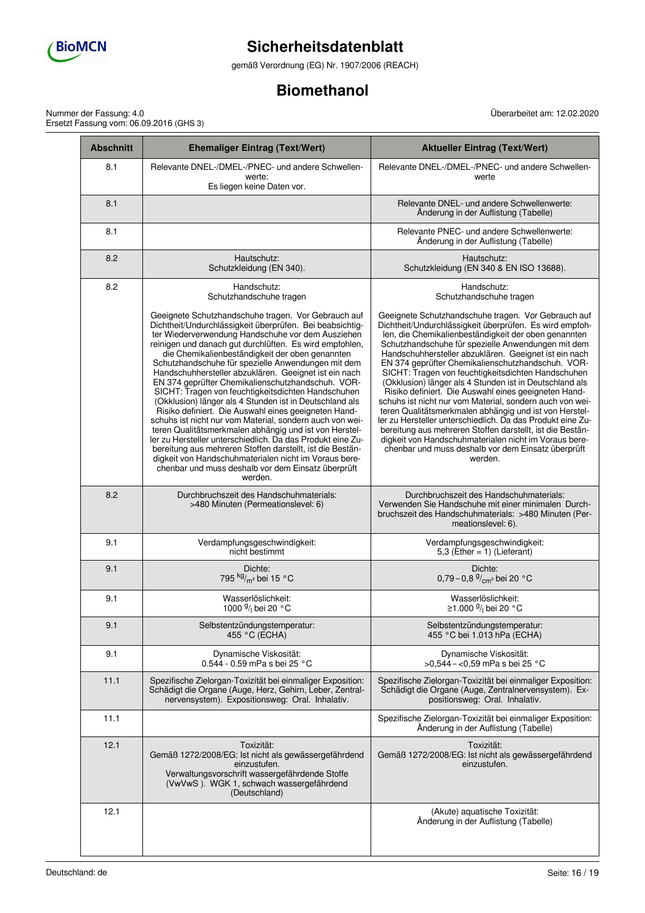

gemäß Verordnung (EG) Nr. 1907/2006 (REACH)

# **Biomethanol**

Überarbeitet am: 12.02.2020

Nummer der Fassung: 4.0 Ersetzt Fassung vom: 06.09.2016 (GHS 3)

| <b>Abschnitt</b> | <b>Ehemaliger Eintrag (Text/Wert)</b>                                                                                                                                                                                                                                                                                                                                                                                                                                                                                                                                                                                                                                                                                                                                                                                                                                                                                                                                                                      | <b>Aktueller Eintrag (Text/Wert)</b>                                                                                                                                                                                                                                                                                                                                                                                                                                                                                                                                                                                                                                                                                                                                                                                                                                                           |
|------------------|------------------------------------------------------------------------------------------------------------------------------------------------------------------------------------------------------------------------------------------------------------------------------------------------------------------------------------------------------------------------------------------------------------------------------------------------------------------------------------------------------------------------------------------------------------------------------------------------------------------------------------------------------------------------------------------------------------------------------------------------------------------------------------------------------------------------------------------------------------------------------------------------------------------------------------------------------------------------------------------------------------|------------------------------------------------------------------------------------------------------------------------------------------------------------------------------------------------------------------------------------------------------------------------------------------------------------------------------------------------------------------------------------------------------------------------------------------------------------------------------------------------------------------------------------------------------------------------------------------------------------------------------------------------------------------------------------------------------------------------------------------------------------------------------------------------------------------------------------------------------------------------------------------------|
| 8.1              | Relevante DNEL-/DMEL-/PNEC- und andere Schwellen-<br>werte:<br>Es liegen keine Daten vor.                                                                                                                                                                                                                                                                                                                                                                                                                                                                                                                                                                                                                                                                                                                                                                                                                                                                                                                  | Relevante DNEL-/DMEL-/PNEC- und andere Schwellen-<br>werte                                                                                                                                                                                                                                                                                                                                                                                                                                                                                                                                                                                                                                                                                                                                                                                                                                     |
| 8.1              |                                                                                                                                                                                                                                                                                                                                                                                                                                                                                                                                                                                                                                                                                                                                                                                                                                                                                                                                                                                                            | Relevante DNEL- und andere Schwellenwerte:<br>Änderung in der Auflistung (Tabelle)                                                                                                                                                                                                                                                                                                                                                                                                                                                                                                                                                                                                                                                                                                                                                                                                             |
| 8.1              |                                                                                                                                                                                                                                                                                                                                                                                                                                                                                                                                                                                                                                                                                                                                                                                                                                                                                                                                                                                                            | Relevante PNEC- und andere Schwellenwerte:<br>Änderung in der Auflistung (Tabelle)                                                                                                                                                                                                                                                                                                                                                                                                                                                                                                                                                                                                                                                                                                                                                                                                             |
| 8.2              | Hautschutz:<br>Schutzkleidung (EN 340).                                                                                                                                                                                                                                                                                                                                                                                                                                                                                                                                                                                                                                                                                                                                                                                                                                                                                                                                                                    | Hautschutz:<br>Schutzkleidung (EN 340 & EN ISO 13688).                                                                                                                                                                                                                                                                                                                                                                                                                                                                                                                                                                                                                                                                                                                                                                                                                                         |
| 8.2              | Handschutz:<br>Schutzhandschuhe tragen                                                                                                                                                                                                                                                                                                                                                                                                                                                                                                                                                                                                                                                                                                                                                                                                                                                                                                                                                                     | Handschutz:<br>Schutzhandschuhe tragen                                                                                                                                                                                                                                                                                                                                                                                                                                                                                                                                                                                                                                                                                                                                                                                                                                                         |
|                  | Geeignete Schutzhandschuhe tragen. Vor Gebrauch auf<br>Dichtheit/Undurchlässigkeit überprüfen. Bei beabsichtig-<br>ter Wiederverwendung Handschuhe vor dem Ausziehen<br>reinigen und danach gut durchlüften. Es wird empfohlen,<br>die Chemikalienbeständigkeit der oben genannten<br>Schutzhandschuhe für spezielle Anwendungen mit dem<br>Handschuhhersteller abzuklären. Geeignet ist ein nach<br>EN 374 geprüfter Chemikalienschutzhandschuh. VOR-<br>SICHT: Tragen von feuchtigkeitsdichten Handschuhen<br>(Okklusion) länger als 4 Stunden ist in Deutschland als<br>Risiko definiert. Die Auswahl eines geeigneten Hand-<br>schuhs ist nicht nur vom Material, sondern auch von wei-<br>teren Qualitätsmerkmalen abhängig und ist von Herstel-<br>ler zu Hersteller unterschiedlich. Da das Produkt eine Zu-<br>bereitung aus mehreren Stoffen darstellt, ist die Bestän-<br>digkeit von Handschuhmaterialen nicht im Voraus bere-<br>chenbar und muss deshalb vor dem Einsatz überprüft<br>werden. | Geeignete Schutzhandschuhe tragen. Vor Gebrauch auf<br>Dichtheit/Undurchlässigkeit überprüfen. Es wird empfoh-<br>len, die Chemikalienbeständigkeit der oben genannten<br>Schutzhandschuhe für spezielle Anwendungen mit dem<br>Handschuhhersteller abzuklären. Geeignet ist ein nach<br>EN 374 geprüfter Chemikalienschutzhandschuh. VOR-<br>SICHT: Tragen von feuchtigkeitsdichten Handschuhen<br>(Okklusion) länger als 4 Stunden ist in Deutschland als<br>Risiko definiert. Die Auswahl eines geeigneten Hand-<br>schuhs ist nicht nur vom Material, sondern auch von wei-<br>teren Qualitätsmerkmalen abhängig und ist von Herstel-<br>ler zu Hersteller unterschiedlich. Da das Produkt eine Zu-<br>bereitung aus mehreren Stoffen darstellt, ist die Bestän-<br>digkeit von Handschuhmaterialen nicht im Voraus bere-<br>chenbar und muss deshalb vor dem Einsatz überprüft<br>werden. |
| 8.2              | Durchbruchszeit des Handschuhmaterials:<br>>480 Minuten (Permeationslevel: 6)                                                                                                                                                                                                                                                                                                                                                                                                                                                                                                                                                                                                                                                                                                                                                                                                                                                                                                                              | Durchbruchszeit des Handschuhmaterials:<br>Verwenden Sie Handschuhe mit einer minimalen Durch-<br>bruchszeit des Handschuhmaterials: >480 Minuten (Per-<br>meationslevel: 6).                                                                                                                                                                                                                                                                                                                                                                                                                                                                                                                                                                                                                                                                                                                  |
| 9.1              | Verdampfungsgeschwindigkeit:<br>nicht bestimmt                                                                                                                                                                                                                                                                                                                                                                                                                                                                                                                                                                                                                                                                                                                                                                                                                                                                                                                                                             | Verdampfungsgeschwindigkeit:<br>5,3 (Ether = $1$ ) (Lieferant)                                                                                                                                                                                                                                                                                                                                                                                                                                                                                                                                                                                                                                                                                                                                                                                                                                 |
| 9.1              | Dichte:<br>795 kg/m <sup>3</sup> bei 15 °C                                                                                                                                                                                                                                                                                                                                                                                                                                                                                                                                                                                                                                                                                                                                                                                                                                                                                                                                                                 | Dichte:<br>0,79 - 0,8 $\frac{9}{cm}$ bei 20 °C                                                                                                                                                                                                                                                                                                                                                                                                                                                                                                                                                                                                                                                                                                                                                                                                                                                 |
| 9.1              | Wasserlöslichkeit:<br>1000 9/1 bei 20 °C                                                                                                                                                                                                                                                                                                                                                                                                                                                                                                                                                                                                                                                                                                                                                                                                                                                                                                                                                                   | Wasserlöslichkeit:<br>≥1.000 <sup>g</sup> / <sub>l</sub> bei 20 °C                                                                                                                                                                                                                                                                                                                                                                                                                                                                                                                                                                                                                                                                                                                                                                                                                             |
| 9.1              | Selbstentzündungstemperatur:<br>455 °C (ECHA)                                                                                                                                                                                                                                                                                                                                                                                                                                                                                                                                                                                                                                                                                                                                                                                                                                                                                                                                                              | Selbstentzündungstemperatur:<br>455 °C bei 1.013 hPa (ECHA)                                                                                                                                                                                                                                                                                                                                                                                                                                                                                                                                                                                                                                                                                                                                                                                                                                    |
| 9.1              | Dynamische Viskosität:<br>0.544 - 0.59 mPa s bei 25 °C                                                                                                                                                                                                                                                                                                                                                                                                                                                                                                                                                                                                                                                                                                                                                                                                                                                                                                                                                     | Dynamische Viskosität:<br>>0,544 - <0,59 mPa s bei 25 °C                                                                                                                                                                                                                                                                                                                                                                                                                                                                                                                                                                                                                                                                                                                                                                                                                                       |
| 11.1             | Spezifische Zielorgan-Toxizität bei einmaliger Exposition:<br>Schädigt die Organe (Auge, Herz, Gehirn, Leber, Zentral-<br>nervensystem). Expositionsweg: Oral. Inhalativ.                                                                                                                                                                                                                                                                                                                                                                                                                                                                                                                                                                                                                                                                                                                                                                                                                                  | Spezifische Zielorgan-Toxizität bei einmaliger Exposition:<br>Schädigt die Organe (Auge, Zentralnervensystem). Ex-<br>positionsweg: Oral. Inhalativ.                                                                                                                                                                                                                                                                                                                                                                                                                                                                                                                                                                                                                                                                                                                                           |
| 11.1             |                                                                                                                                                                                                                                                                                                                                                                                                                                                                                                                                                                                                                                                                                                                                                                                                                                                                                                                                                                                                            | Spezifische Zielorgan-Toxizität bei einmaliger Exposition:<br>Änderung in der Auflistung (Tabelle)                                                                                                                                                                                                                                                                                                                                                                                                                                                                                                                                                                                                                                                                                                                                                                                             |
| 12.1             | Toxizität:<br>Gemäß 1272/2008/EG: Ist nicht als gewässergefährdend<br>einzustufen.<br>Verwaltungsvorschrift wassergefährdende Stoffe<br>(VwVwS). WGK 1, schwach wassergefährdend<br>(Deutschland)                                                                                                                                                                                                                                                                                                                                                                                                                                                                                                                                                                                                                                                                                                                                                                                                          | Toxizität:<br>Gemäß 1272/2008/EG: Ist nicht als gewässergefährdend<br>einzustufen.                                                                                                                                                                                                                                                                                                                                                                                                                                                                                                                                                                                                                                                                                                                                                                                                             |
| 12.1             |                                                                                                                                                                                                                                                                                                                                                                                                                                                                                                                                                                                                                                                                                                                                                                                                                                                                                                                                                                                                            | (Akute) aquatische Toxizität:<br>Änderung in der Auflistung (Tabelle)                                                                                                                                                                                                                                                                                                                                                                                                                                                                                                                                                                                                                                                                                                                                                                                                                          |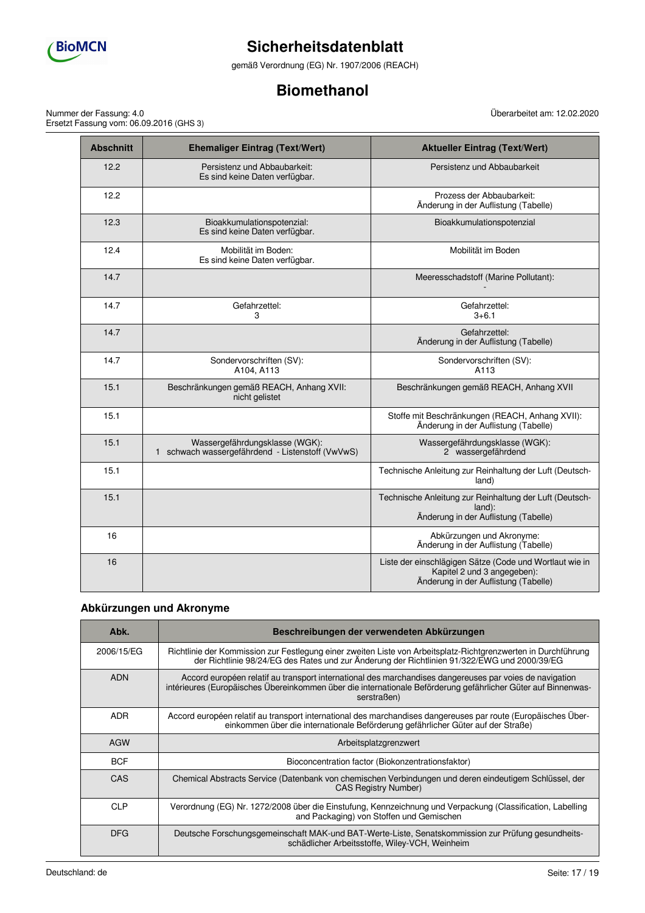

gemäß Verordnung (EG) Nr. 1907/2006 (REACH)

# **Biomethanol**

Nummer der Fassung: 4.0 Ersetzt Fassung vom: 06.09.2016 (GHS 3)

| <b>Abschnitt</b> | <b>Ehemaliger Eintrag (Text/Wert)</b>                                              | <b>Aktueller Eintrag (Text/Wert)</b>                                                                                           |
|------------------|------------------------------------------------------------------------------------|--------------------------------------------------------------------------------------------------------------------------------|
| 12.2             | Persistenz und Abbaubarkeit:<br>Es sind keine Daten verfügbar.                     | Persistenz und Abbaubarkeit                                                                                                    |
| 12.2             |                                                                                    | Prozess der Abbaubarkeit:<br>Änderung in der Auflistung (Tabelle)                                                              |
| 12.3             | Bioakkumulationspotenzial:<br>Es sind keine Daten verfügbar.                       | Bioakkumulationspotenzial                                                                                                      |
| 12.4             | Mobilität im Boden:<br>Es sind keine Daten verfügbar.                              | Mobilität im Boden                                                                                                             |
| 14.7             |                                                                                    | Meeresschadstoff (Marine Pollutant):                                                                                           |
| 14.7             | Gefahrzettel:<br>3                                                                 | Gefahrzettel:<br>$3 + 6.1$                                                                                                     |
| 14.7             |                                                                                    | Gefahrzettel:<br>Änderung in der Auflistung (Tabelle)                                                                          |
| 14.7             | Sondervorschriften (SV):<br>A104, A113                                             | Sondervorschriften (SV):<br>A113                                                                                               |
| 15.1             | Beschränkungen gemäß REACH, Anhang XVII:<br>nicht gelistet                         | Beschränkungen gemäß REACH, Anhang XVII                                                                                        |
| 15.1             |                                                                                    | Stoffe mit Beschränkungen (REACH, Anhang XVII):<br>Änderung in der Auflistung (Tabelle)                                        |
| 15.1             | Wassergefährdungsklasse (WGK):<br>1 schwach wassergefährdend - Listenstoff (VwVwS) | Wassergefährdungsklasse (WGK):<br>2 wassergefährdend                                                                           |
| 15.1             |                                                                                    | Technische Anleitung zur Reinhaltung der Luft (Deutsch-<br>land)                                                               |
| 15.1             |                                                                                    | Technische Anleitung zur Reinhaltung der Luft (Deutsch-<br>land):<br>Änderung in der Auflistung (Tabelle)                      |
| 16               |                                                                                    | Abkürzungen und Akronyme:<br>Änderung in der Auflistung (Tabelle)                                                              |
| 16               |                                                                                    | Liste der einschlägigen Sätze (Code und Wortlaut wie in<br>Kapitel 2 und 3 angegeben):<br>Änderung in der Auflistung (Tabelle) |

# **Abkürzungen und Akronyme**

| Abk.       | Beschreibungen der verwendeten Abkürzungen                                                                                                                                                                                              |
|------------|-----------------------------------------------------------------------------------------------------------------------------------------------------------------------------------------------------------------------------------------|
| 2006/15/EG | Richtlinie der Kommission zur Festlegung einer zweiten Liste von Arbeitsplatz-Richtgrenzwerten in Durchführung<br>der Richtlinie 98/24/EG des Rates und zur Änderung der Richtlinien 91/322/EWG und 2000/39/EG                          |
| <b>ADN</b> | Accord européen relatif au transport international des marchandises dangereuses par voies de navigation<br>intérieures (Europäisches Übereinkommen über die internationale Beförderung gefährlicher Güter auf Binnenwas-<br>serstraßen) |
| ADR.       | Accord européen relatif au transport international des marchandises dangereuses par route (Europäisches Über-<br>einkommen über die internationale Beförderung gefährlicher Güter auf der Straße)                                       |
| <b>AGW</b> | Arbeitsplatzgrenzwert                                                                                                                                                                                                                   |
| <b>BCF</b> | Bioconcentration factor (Biokonzentrationsfaktor)                                                                                                                                                                                       |
| <b>CAS</b> | Chemical Abstracts Service (Datenbank von chemischen Verbindungen und deren eindeutigem Schlüssel, der<br><b>CAS Registry Number)</b>                                                                                                   |
| <b>CLP</b> | Verordnung (EG) Nr. 1272/2008 über die Einstufung, Kennzeichnung und Verpackung (Classification, Labelling<br>and Packaging) von Stoffen und Gemischen                                                                                  |
| <b>DFG</b> | Deutsche Forschungsgemeinschaft MAK-und BAT-Werte-Liste, Senatskommission zur Prüfung gesundheits-<br>schädlicher Arbeitsstoffe, Wiley-VCH, Weinheim                                                                                    |

Überarbeitet am: 12.02.2020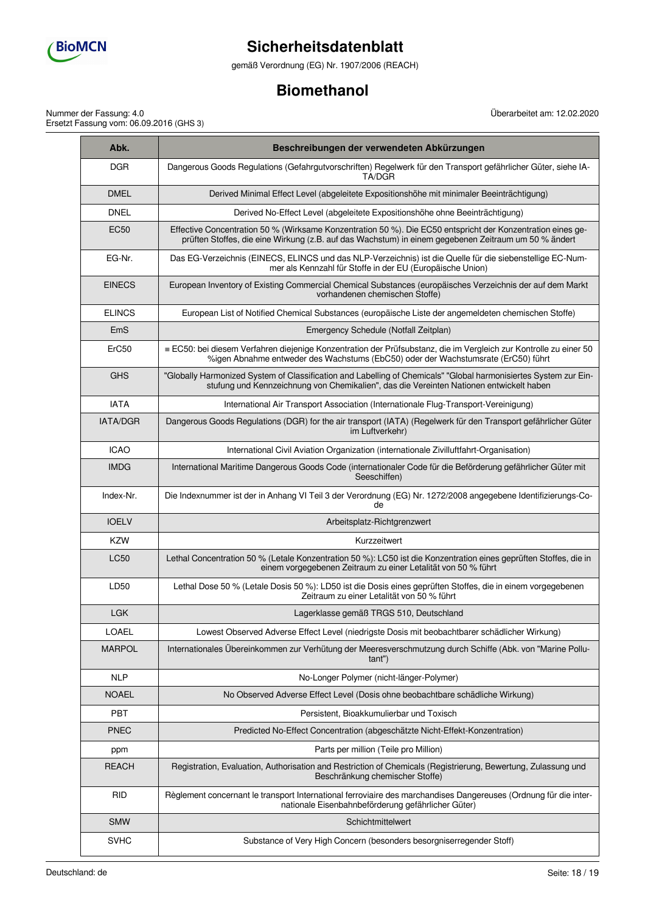

gemäß Verordnung (EG) Nr. 1907/2006 (REACH)

# **Biomethanol**

Nummer der Fassung: 4.0 Ersetzt Fassung vom: 06.09.2016 (GHS 3) Überarbeitet am: 12.02.2020

| Abk.            | Beschreibungen der verwendeten Abkürzungen                                                                                                                                                                          |
|-----------------|---------------------------------------------------------------------------------------------------------------------------------------------------------------------------------------------------------------------|
| <b>DGR</b>      | Dangerous Goods Regulations (Gefahrgutvorschriften) Regelwerk für den Transport gefährlicher Güter, siehe IA-<br>TA/DGR                                                                                             |
| <b>DMEL</b>     | Derived Minimal Effect Level (abgeleitete Expositionshöhe mit minimaler Beeinträchtigung)                                                                                                                           |
| <b>DNEL</b>     | Derived No-Effect Level (abgeleitete Expositionshöhe ohne Beeinträchtigung)                                                                                                                                         |
| <b>EC50</b>     | Effective Concentration 50 % (Wirksame Konzentration 50 %). Die EC50 entspricht der Konzentration eines ge-<br>prüften Stoffes, die eine Wirkung (z.B. auf das Wachstum) in einem gegebenen Zeitraum um 50 % ändert |
| EG-Nr.          | Das EG-Verzeichnis (EINECS, ELINCS und das NLP-Verzeichnis) ist die Quelle für die siebenstellige EC-Num-<br>mer als Kennzahl für Stoffe in der EU (Éuropäische Union)                                              |
| <b>EINECS</b>   | European Inventory of Existing Commercial Chemical Substances (europäisches Verzeichnis der auf dem Markt<br>vorhandenen chemischen Stoffe)                                                                         |
| <b>ELINCS</b>   | European List of Notified Chemical Substances (europäische Liste der angemeldeten chemischen Stoffe)                                                                                                                |
| EmS             | Emergency Schedule (Notfall Zeitplan)                                                                                                                                                                               |
| ErC50           | ≡ EC50: bei diesem Verfahren diejenige Konzentration der Prüfsubstanz, die im Vergleich zur Kontrolle zu einer 50<br>%igen Abnahme entweder des Wachstums (EbC50) oder der Wachstumsrate (ErC50) führt              |
| <b>GHS</b>      | "Globally Harmonized System of Classification and Labelling of Chemicals" "Global harmonisiertes System zur Ein-<br>stufung und Kennzeichnung von Chemikalien", das die Vereinten Nationen entwickelt haben         |
| <b>IATA</b>     | International Air Transport Association (Internationale Flug-Transport-Vereinigung)                                                                                                                                 |
| <b>IATA/DGR</b> | Dangerous Goods Regulations (DGR) for the air transport (IATA) (Regelwerk für den Transport gefährlicher Güter<br>im Luftverkehr)                                                                                   |
| <b>ICAO</b>     | International Civil Aviation Organization (internationale Zivilluftfahrt-Organisation)                                                                                                                              |
| <b>IMDG</b>     | International Maritime Dangerous Goods Code (internationaler Code für die Beförderung gefährlicher Güter mit<br>Seeschiffen)                                                                                        |
| Index-Nr.       | Die Indexnummer ist der in Anhang VI Teil 3 der Verordnung (EG) Nr. 1272/2008 angegebene Identifizierungs-Co-<br>de                                                                                                 |
| <b>IOELV</b>    | Arbeitsplatz-Richtgrenzwert                                                                                                                                                                                         |
| <b>KZW</b>      | Kurzzeitwert                                                                                                                                                                                                        |
| <b>LC50</b>     | Lethal Concentration 50 % (Letale Konzentration 50 %): LC50 ist die Konzentration eines geprüften Stoffes, die in<br>einem vorgegebenen Zeitraum zu einer Letalität von 50 % führt                                  |
| LD50            | Lethal Dose 50 % (Letale Dosis 50 %): LD50 ist die Dosis eines geprüften Stoffes, die in einem vorgegebenen<br>Zeitraum zu einer Letalität von 50 % führt                                                           |
| <b>LGK</b>      | Lagerklasse gemäß TRGS 510, Deutschland                                                                                                                                                                             |
| <b>LOAEL</b>    | Lowest Observed Adverse Effect Level (niedrigste Dosis mit beobachtbarer schädlicher Wirkung)                                                                                                                       |
| <b>MARPOL</b>   | Internationales Übereinkommen zur Verhütung der Meeresverschmutzung durch Schiffe (Abk. von "Marine Pollu-<br>tant")                                                                                                |
| <b>NLP</b>      | No-Longer Polymer (nicht-länger-Polymer)                                                                                                                                                                            |
| <b>NOAEL</b>    | No Observed Adverse Effect Level (Dosis ohne beobachtbare schädliche Wirkung)                                                                                                                                       |
| <b>PBT</b>      | Persistent, Bioakkumulierbar und Toxisch                                                                                                                                                                            |
| <b>PNEC</b>     | Predicted No-Effect Concentration (abgeschätzte Nicht-Effekt-Konzentration)                                                                                                                                         |
| ppm             | Parts per million (Teile pro Million)                                                                                                                                                                               |
| <b>REACH</b>    | Registration, Evaluation, Authorisation and Restriction of Chemicals (Registrierung, Bewertung, Zulassung und<br>Beschränkung chemischer Stoffe)                                                                    |
| <b>RID</b>      | Règlement concernant le transport International ferroviaire des marchandises Dangereuses (Ordnung für die inter-<br>nationale Eisenbahnbeförderung gefährlicher Güter)                                              |
| <b>SMW</b>      | Schichtmittelwert                                                                                                                                                                                                   |
| <b>SVHC</b>     | Substance of Very High Concern (besonders besorgniserregender Stoff)                                                                                                                                                |